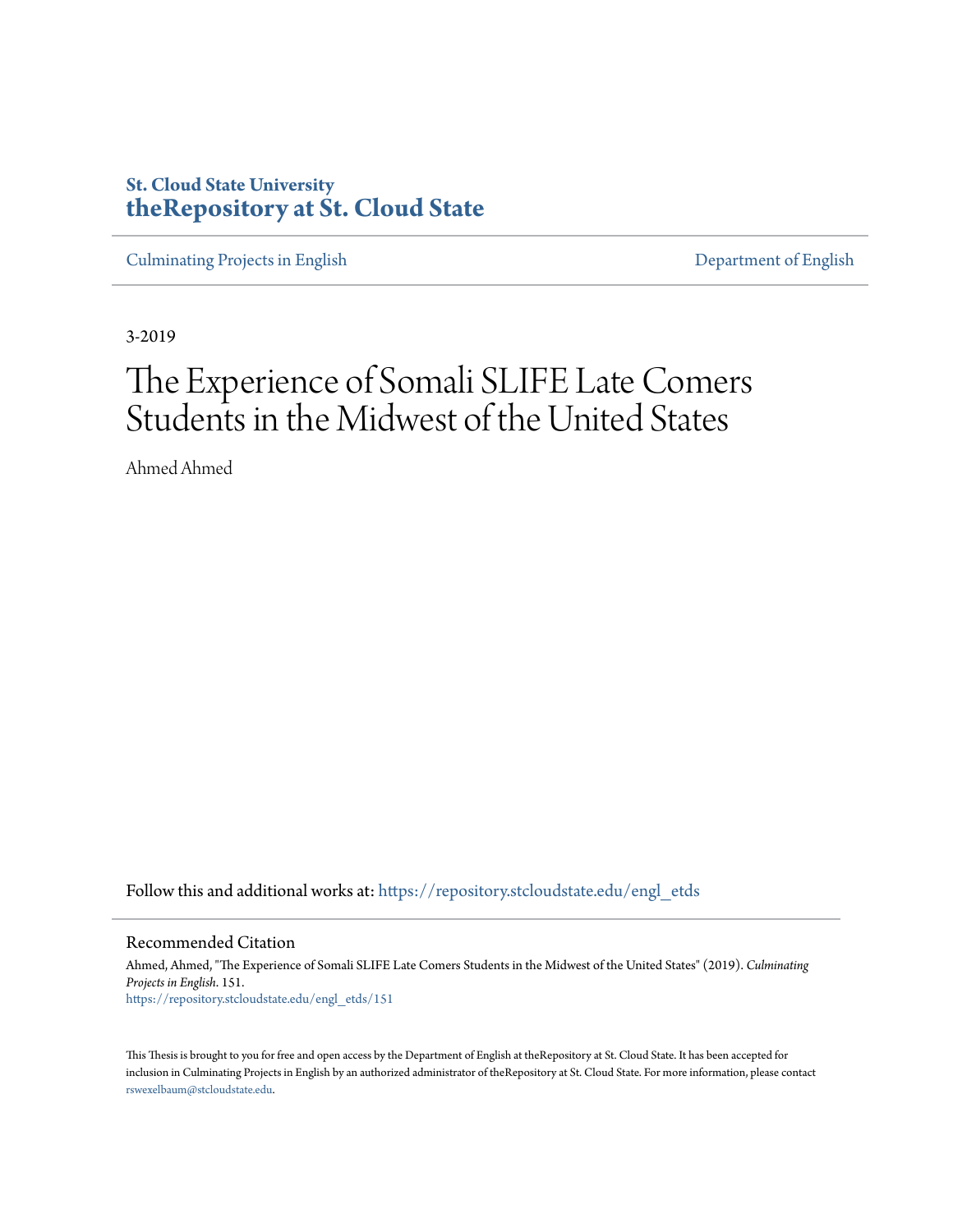# **St. Cloud State University [theRepository at St. Cloud State](https://repository.stcloudstate.edu?utm_source=repository.stcloudstate.edu%2Fengl_etds%2F151&utm_medium=PDF&utm_campaign=PDFCoverPages)**

[Culminating Projects in English](https://repository.stcloudstate.edu/engl_etds?utm_source=repository.stcloudstate.edu%2Fengl_etds%2F151&utm_medium=PDF&utm_campaign=PDFCoverPages) [Department of English](https://repository.stcloudstate.edu/engl?utm_source=repository.stcloudstate.edu%2Fengl_etds%2F151&utm_medium=PDF&utm_campaign=PDFCoverPages)

3-2019

# The Experience of Somali SLIFE Late Comers Students in the Midwest of the United States

Ahmed Ahmed

Follow this and additional works at: [https://repository.stcloudstate.edu/engl\\_etds](https://repository.stcloudstate.edu/engl_etds?utm_source=repository.stcloudstate.edu%2Fengl_etds%2F151&utm_medium=PDF&utm_campaign=PDFCoverPages)

Recommended Citation

Ahmed, Ahmed, "The Experience of Somali SLIFE Late Comers Students in the Midwest of the United States" (2019). *Culminating Projects in English*. 151. [https://repository.stcloudstate.edu/engl\\_etds/151](https://repository.stcloudstate.edu/engl_etds/151?utm_source=repository.stcloudstate.edu%2Fengl_etds%2F151&utm_medium=PDF&utm_campaign=PDFCoverPages)

This Thesis is brought to you for free and open access by the Department of English at theRepository at St. Cloud State. It has been accepted for inclusion in Culminating Projects in English by an authorized administrator of theRepository at St. Cloud State. For more information, please contact [rswexelbaum@stcloudstate.edu](mailto:rswexelbaum@stcloudstate.edu).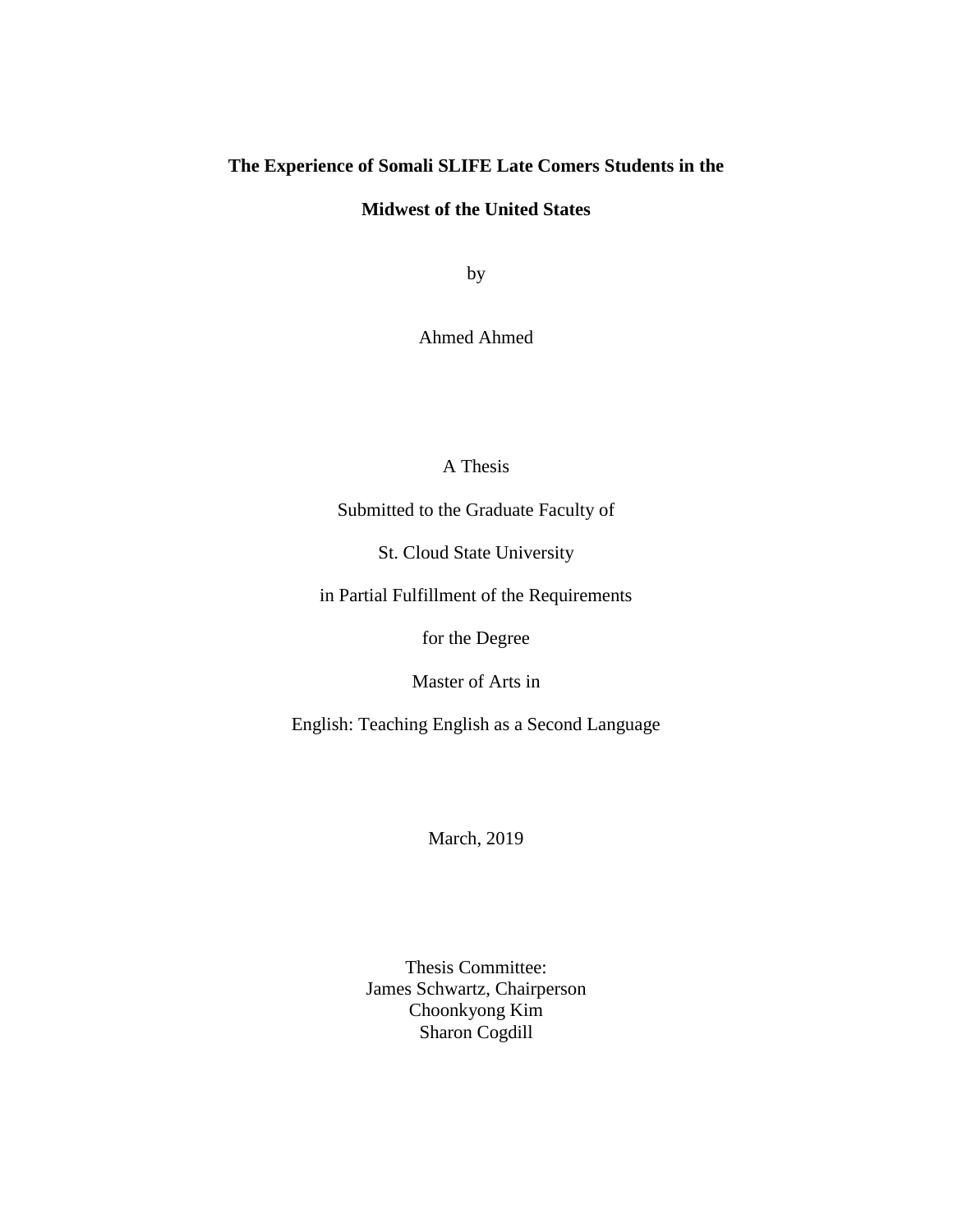# **The Experience of Somali SLIFE Late Comers Students in the**

# **Midwest of the United States**

by

Ahmed Ahmed

# A Thesis

Submitted to the Graduate Faculty of

St. Cloud State University

in Partial Fulfillment of the Requirements

for the Degree

Master of Arts in

English: Teaching English as a Second Language

March, 2019

Thesis Committee: James Schwartz, Chairperson Choonkyong Kim Sharon Cogdill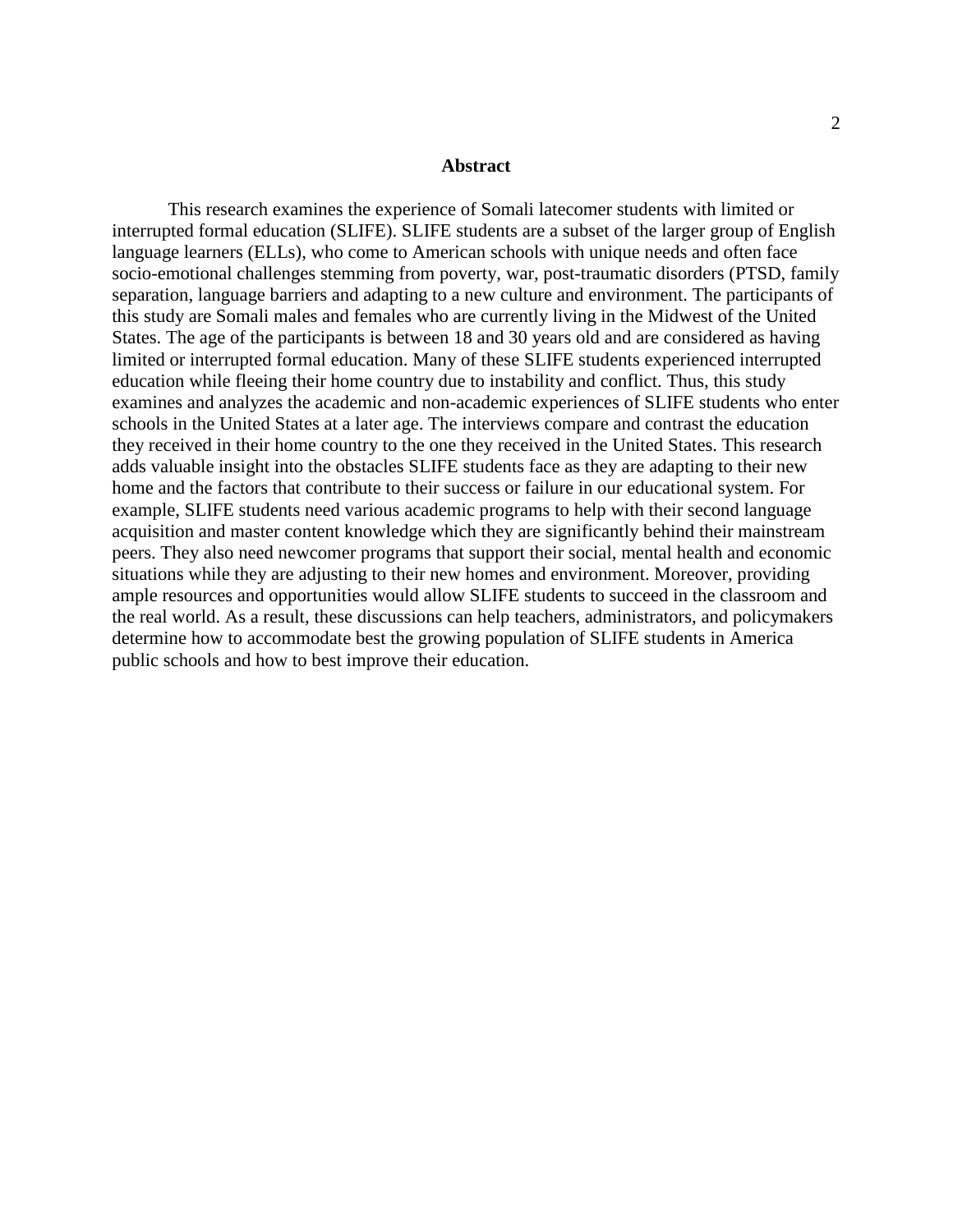#### **Abstract**

This research examines the experience of Somali latecomer students with limited or interrupted formal education (SLIFE). SLIFE students are a subset of the larger group of English language learners (ELLs), who come to American schools with unique needs and often face socio-emotional challenges stemming from poverty, war, post-traumatic disorders (PTSD, family separation, language barriers and adapting to a new culture and environment. The participants of this study are Somali males and females who are currently living in the Midwest of the United States. The age of the participants is between 18 and 30 years old and are considered as having limited or interrupted formal education. Many of these SLIFE students experienced interrupted education while fleeing their home country due to instability and conflict. Thus, this study examines and analyzes the academic and non-academic experiences of SLIFE students who enter schools in the United States at a later age. The interviews compare and contrast the education they received in their home country to the one they received in the United States. This research adds valuable insight into the obstacles SLIFE students face as they are adapting to their new home and the factors that contribute to their success or failure in our educational system. For example, SLIFE students need various academic programs to help with their second language acquisition and master content knowledge which they are significantly behind their mainstream peers. They also need newcomer programs that support their social, mental health and economic situations while they are adjusting to their new homes and environment. Moreover, providing ample resources and opportunities would allow SLIFE students to succeed in the classroom and the real world. As a result, these discussions can help teachers, administrators, and policymakers determine how to accommodate best the growing population of SLIFE students in America public schools and how to best improve their education.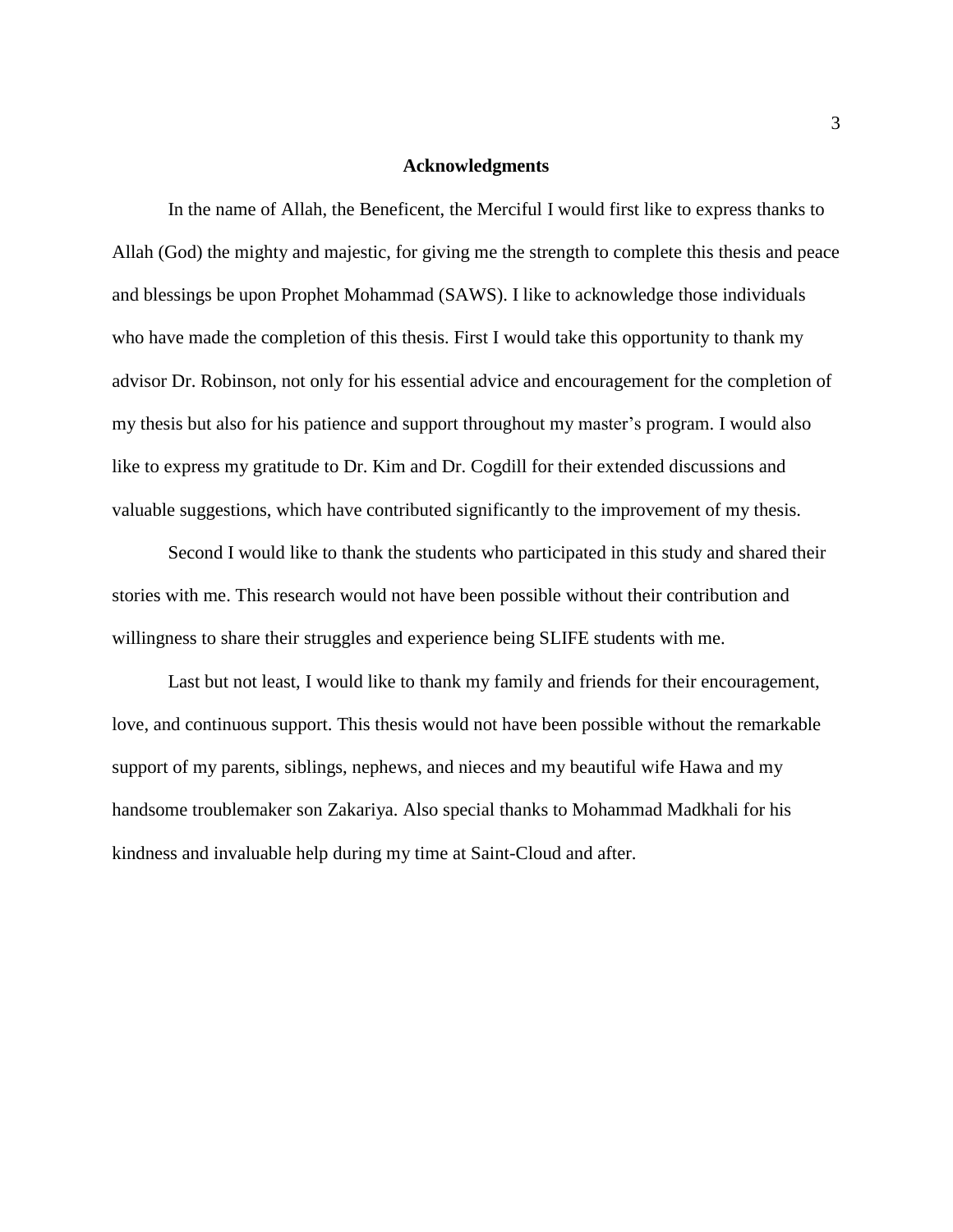# **Acknowledgments**

In the name of Allah, the Beneficent, the Merciful I would first like to express thanks to Allah (God) the mighty and majestic, for giving me the strength to complete this thesis and peace and blessings be upon Prophet Mohammad (SAWS). I like to acknowledge those individuals who have made the completion of this thesis. First I would take this opportunity to thank my advisor Dr. Robinson, not only for his essential advice and encouragement for the completion of my thesis but also for his patience and support throughout my master's program. I would also like to express my gratitude to Dr. Kim and Dr. Cogdill for their extended discussions and valuable suggestions, which have contributed significantly to the improvement of my thesis.

Second I would like to thank the students who participated in this study and shared their stories with me. This research would not have been possible without their contribution and willingness to share their struggles and experience being SLIFE students with me.

Last but not least, I would like to thank my family and friends for their encouragement, love, and continuous support. This thesis would not have been possible without the remarkable support of my parents, siblings, nephews, and nieces and my beautiful wife Hawa and my handsome troublemaker son Zakariya. Also special thanks to Mohammad Madkhali for his kindness and invaluable help during my time at Saint-Cloud and after.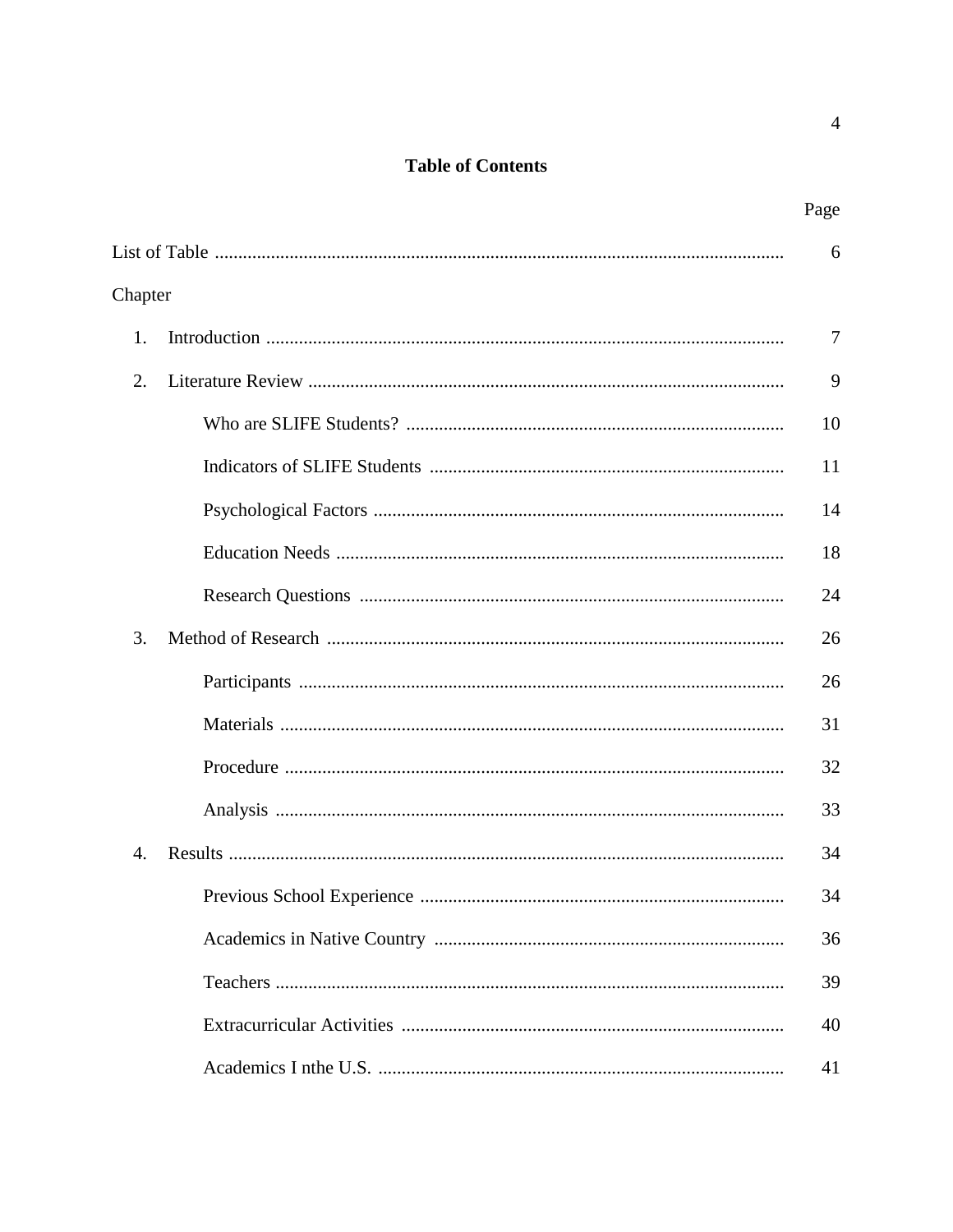# **Table of Contents**

|         | Page   |
|---------|--------|
|         | 6      |
| Chapter |        |
| 1.      | $\tau$ |
| 2.      | 9      |
|         | 10     |
|         | 11     |
|         | 14     |
|         | 18     |
|         | 24     |
| 3.      | 26     |
|         | 26     |
|         | 31     |
|         | 32     |
|         | 33     |
| 4.      | 34     |
|         | 34     |
|         | 36     |
|         | 39     |
|         | 40     |
|         | 41     |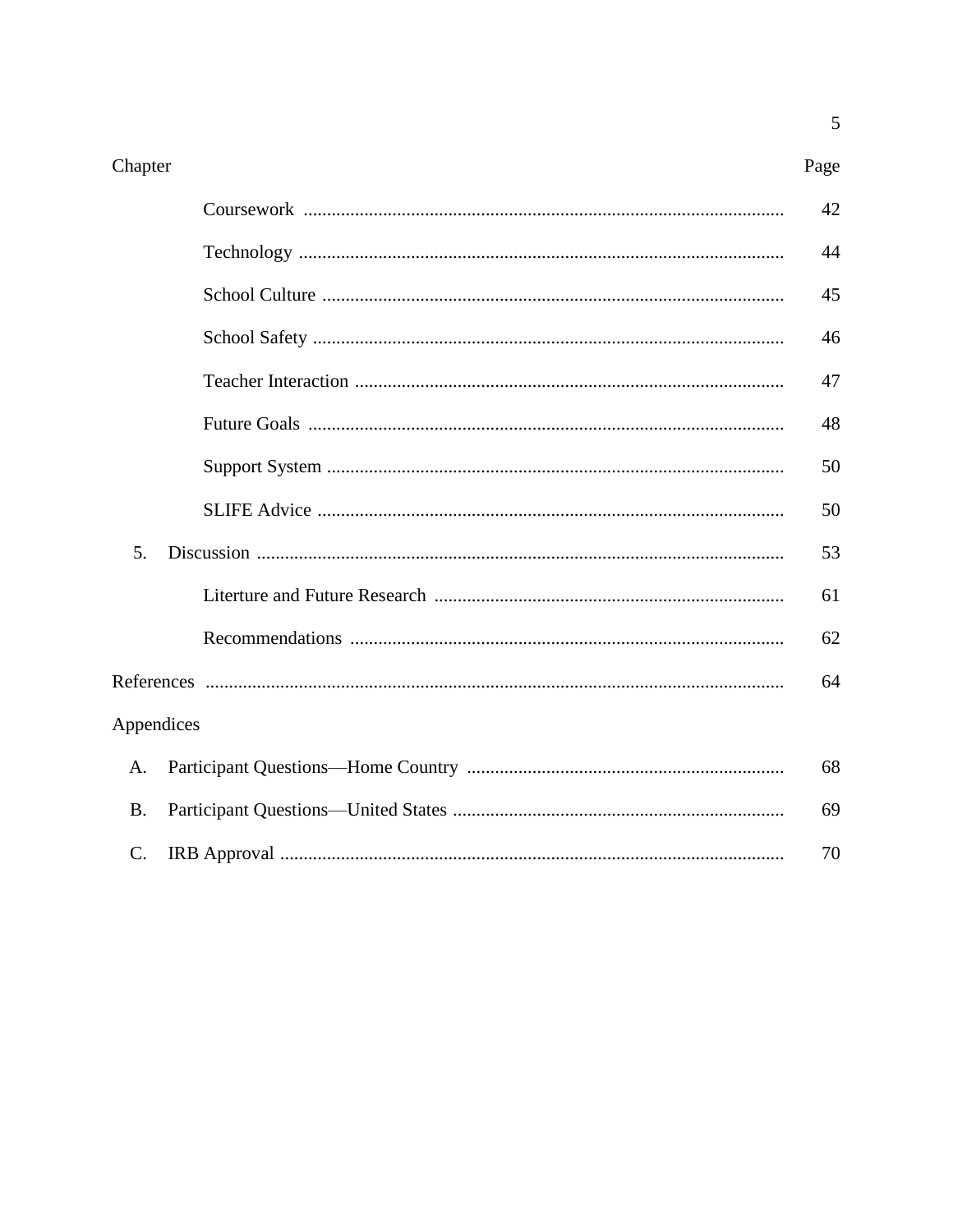$\overline{5}$ 

|            | 42 |
|------------|----|
|            | 44 |
|            | 45 |
|            | 46 |
|            | 47 |
|            | 48 |
|            | 50 |
|            | 50 |
| 5.         | 53 |
|            | 61 |
|            | 62 |
|            | 64 |
| Appendices |    |
| A.         | 68 |
| B.         | 69 |
| C.         | 70 |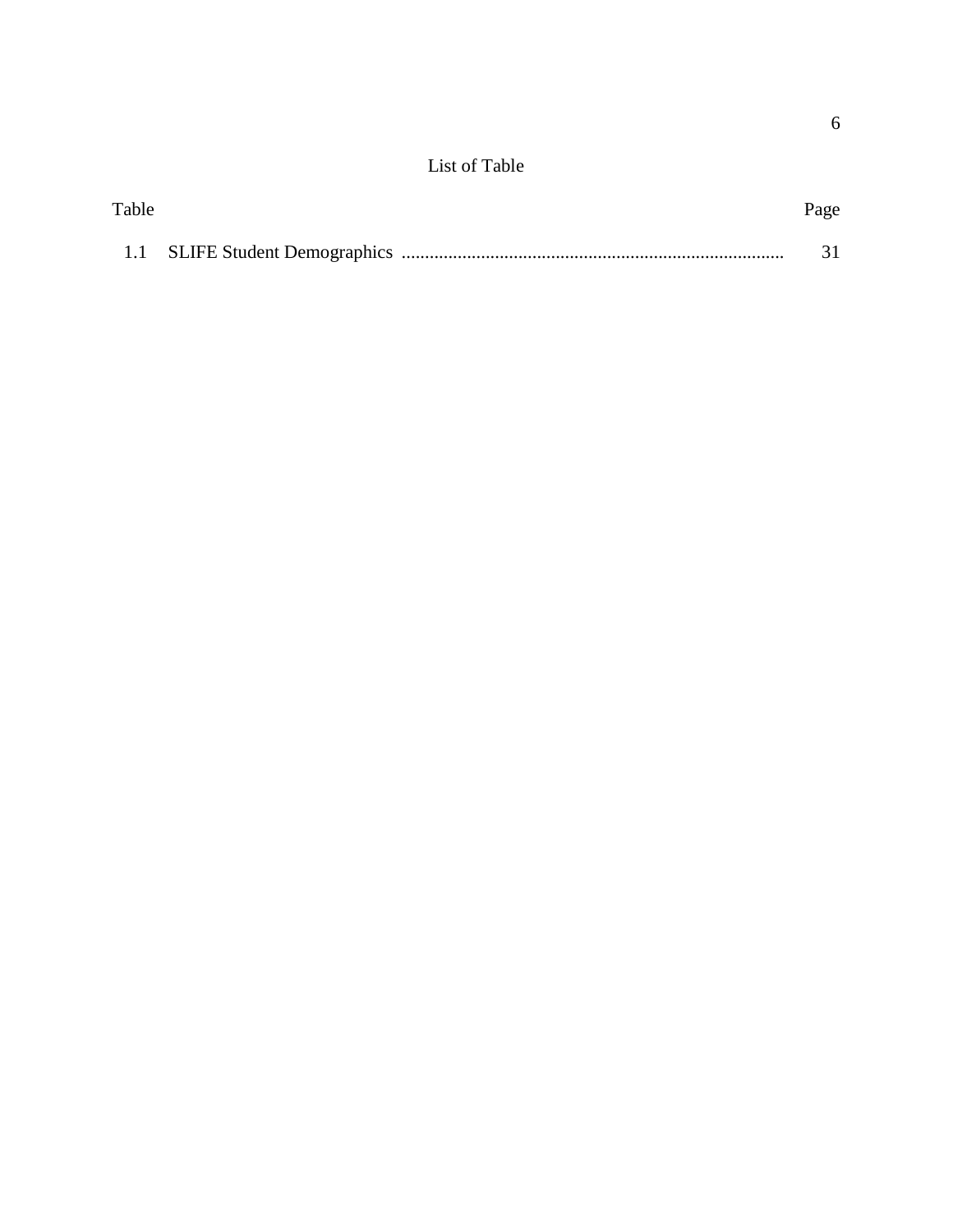# List of Table

| Table |  | Page |
|-------|--|------|
|       |  |      |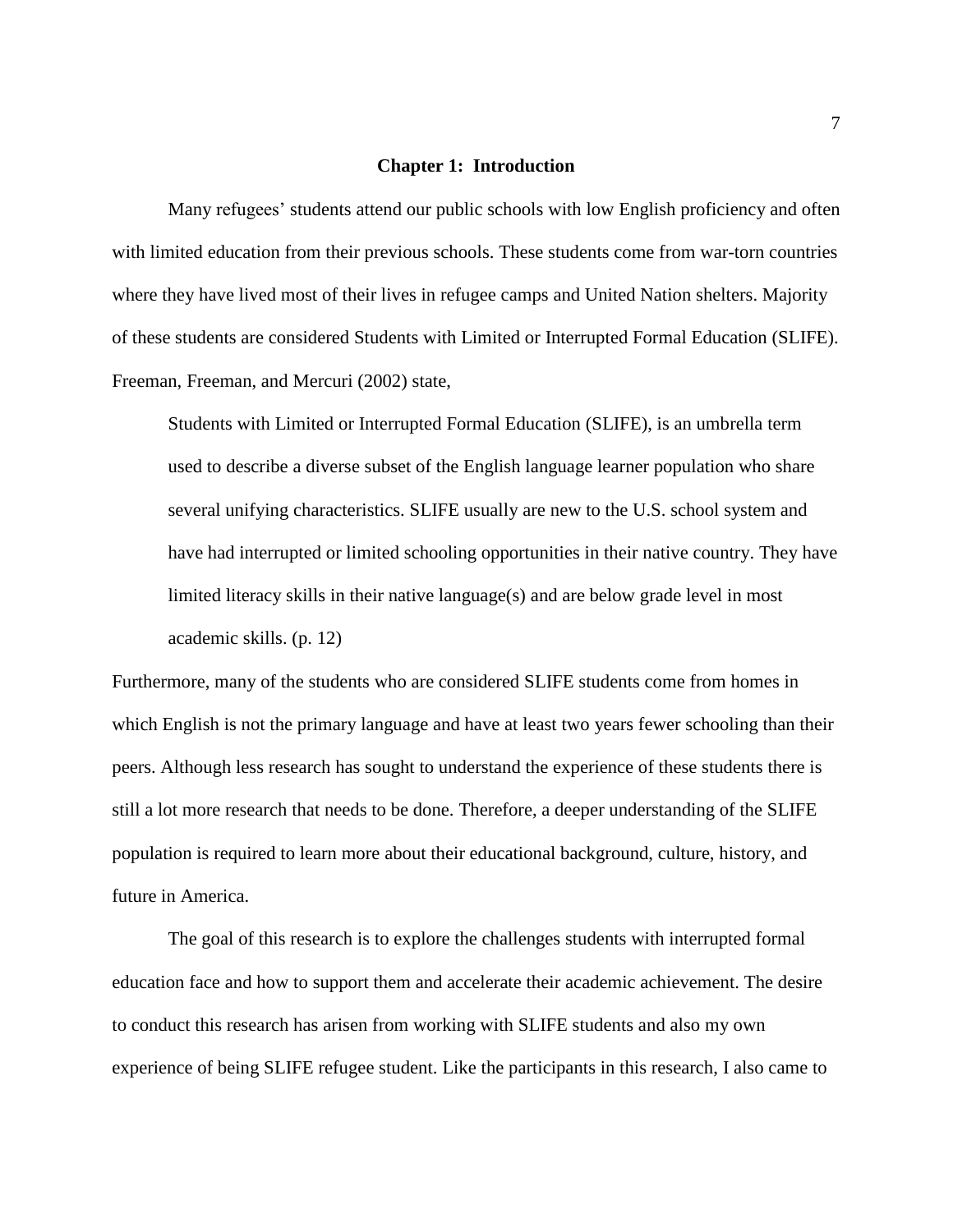#### **Chapter 1: Introduction**

Many refugees' students attend our public schools with low English proficiency and often with limited education from their previous schools. These students come from war-torn countries where they have lived most of their lives in refugee camps and United Nation shelters. Majority of these students are considered Students with Limited or Interrupted Formal Education (SLIFE). Freeman, Freeman, and Mercuri (2002) state,

Students with Limited or Interrupted Formal Education (SLIFE), is an umbrella term used to describe a diverse subset of the English language learner population who share several unifying characteristics. SLIFE usually are new to the U.S. school system and have had interrupted or limited schooling opportunities in their native country. They have limited literacy skills in their native language(s) and are below grade level in most academic skills. (p. 12)

Furthermore, many of the students who are considered SLIFE students come from homes in which English is not the primary language and have at least two years fewer schooling than their peers. Although less research has sought to understand the experience of these students there is still a lot more research that needs to be done. Therefore, a deeper understanding of the SLIFE population is required to learn more about their educational background, culture, history, and future in America.

The goal of this research is to explore the challenges students with interrupted formal education face and how to support them and accelerate their academic achievement. The desire to conduct this research has arisen from working with SLIFE students and also my own experience of being SLIFE refugee student. Like the participants in this research, I also came to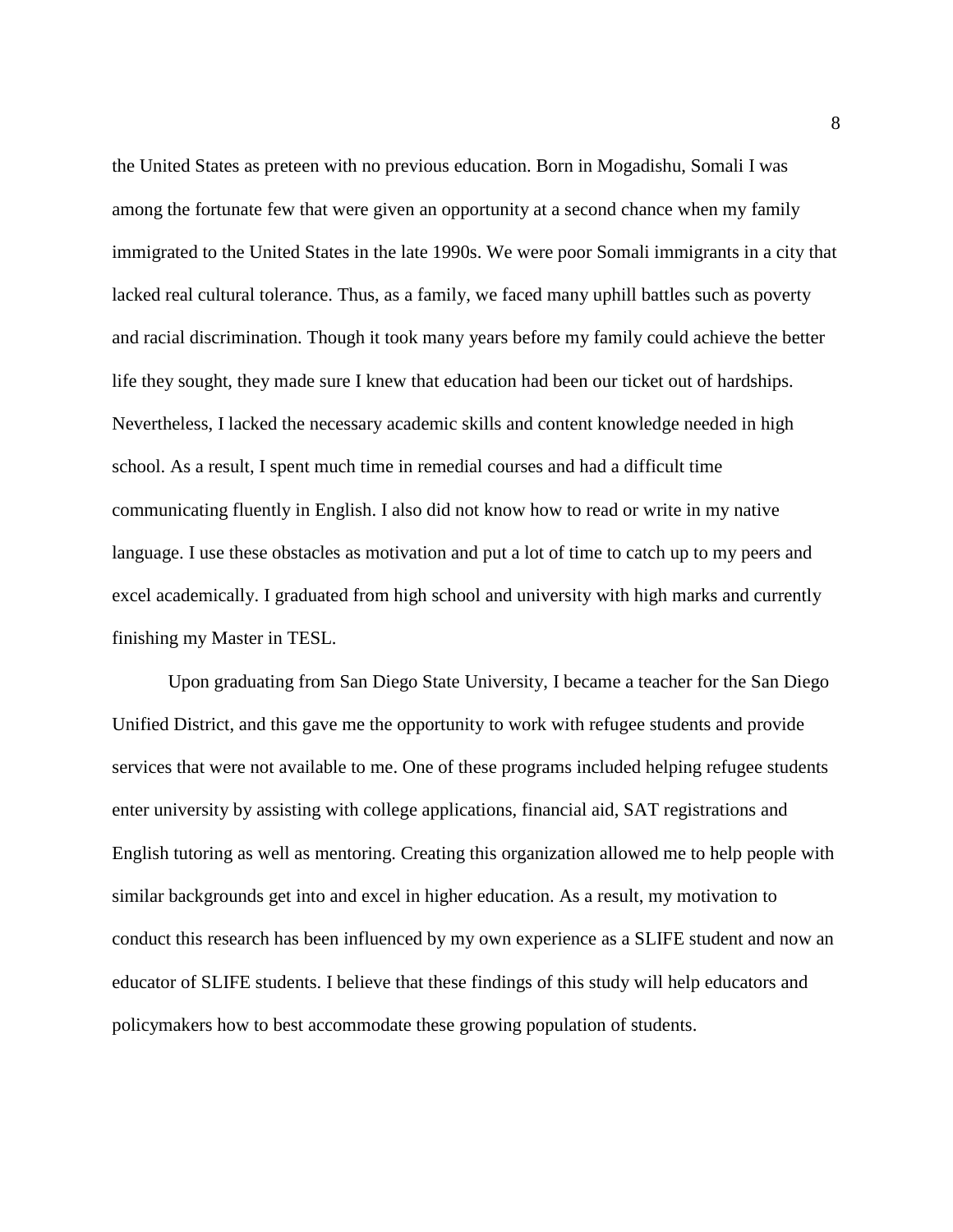the United States as preteen with no previous education. Born in Mogadishu, Somali I was among the fortunate few that were given an opportunity at a second chance when my family immigrated to the United States in the late 1990s. We were poor Somali immigrants in a city that lacked real cultural tolerance. Thus, as a family, we faced many uphill battles such as poverty and racial discrimination. Though it took many years before my family could achieve the better life they sought, they made sure I knew that education had been our ticket out of hardships. Nevertheless, I lacked the necessary academic skills and content knowledge needed in high school. As a result, I spent much time in remedial courses and had a difficult time communicating fluently in English. I also did not know how to read or write in my native language. I use these obstacles as motivation and put a lot of time to catch up to my peers and excel academically. I graduated from high school and university with high marks and currently finishing my Master in TESL.

 Upon graduating from San Diego State University, I became a teacher for the San Diego Unified District, and this gave me the opportunity to work with refugee students and provide services that were not available to me. One of these programs included helping refugee students enter university by assisting with college applications, financial aid, SAT registrations and English tutoring as well as mentoring. Creating this organization allowed me to help people with similar backgrounds get into and excel in higher education. As a result, my motivation to conduct this research has been influenced by my own experience as a SLIFE student and now an educator of SLIFE students. I believe that these findings of this study will help educators and policymakers how to best accommodate these growing population of students.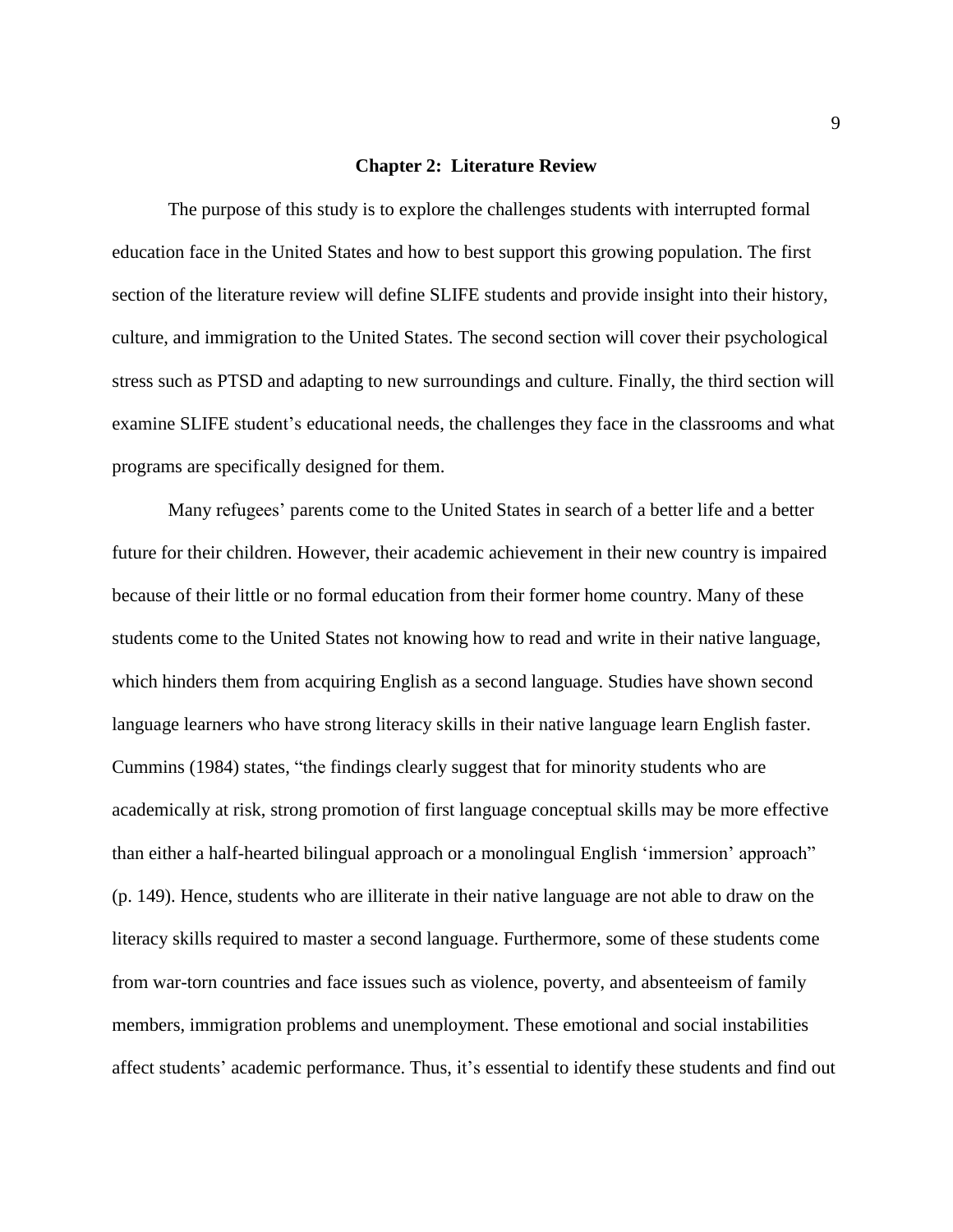#### **Chapter 2: Literature Review**

The purpose of this study is to explore the challenges students with interrupted formal education face in the United States and how to best support this growing population. The first section of the literature review will define SLIFE students and provide insight into their history, culture, and immigration to the United States. The second section will cover their psychological stress such as PTSD and adapting to new surroundings and culture. Finally, the third section will examine SLIFE student's educational needs, the challenges they face in the classrooms and what programs are specifically designed for them.

Many refugees' parents come to the United States in search of a better life and a better future for their children. However, their academic achievement in their new country is impaired because of their little or no formal education from their former home country. Many of these students come to the United States not knowing how to read and write in their native language, which hinders them from acquiring English as a second language. Studies have shown second language learners who have strong literacy skills in their native language learn English faster. Cummins (1984) states, "the findings clearly suggest that for minority students who are academically at risk, strong promotion of first language conceptual skills may be more effective than either a half-hearted bilingual approach or a monolingual English 'immersion' approach" (p. 149). Hence, students who are illiterate in their native language are not able to draw on the literacy skills required to master a second language. Furthermore, some of these students come from war-torn countries and face issues such as violence, poverty, and absenteeism of family members, immigration problems and unemployment. These emotional and social instabilities affect students' academic performance. Thus, it's essential to identify these students and find out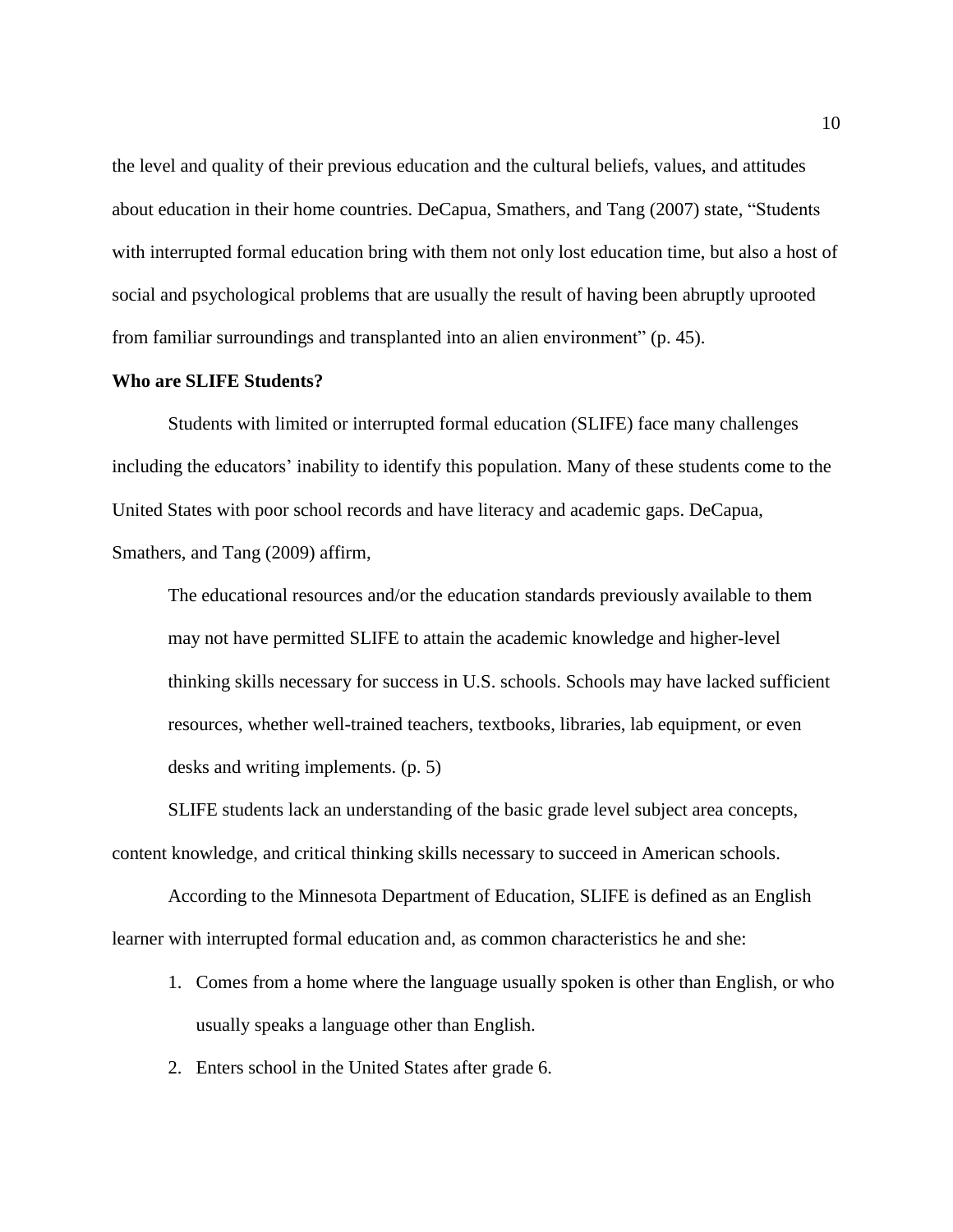the level and quality of their previous education and the cultural beliefs, values, and attitudes about education in their home countries. DeCapua, Smathers, and Tang (2007) state, "Students with interrupted formal education bring with them not only lost education time, but also a host of social and psychological problems that are usually the result of having been abruptly uprooted from familiar surroundings and transplanted into an alien environment" (p. 45).

## **Who are SLIFE Students?**

Students with limited or interrupted formal education (SLIFE) face many challenges including the educators' inability to identify this population. Many of these students come to the United States with poor school records and have literacy and academic gaps. DeCapua, Smathers, and Tang (2009) affirm,

The educational resources and/or the education standards previously available to them may not have permitted SLIFE to attain the academic knowledge and higher-level thinking skills necessary for success in U.S. schools. Schools may have lacked sufficient resources, whether well-trained teachers, textbooks, libraries, lab equipment, or even desks and writing implements. (p. 5)

SLIFE students lack an understanding of the basic grade level subject area concepts, content knowledge, and critical thinking skills necessary to succeed in American schools.

 According to the Minnesota Department of Education, SLIFE is defined as an English learner with interrupted formal education and, as common characteristics he and she:

- 1. Comes from a home where the language usually spoken is other than English, or who usually speaks a language other than English.
- 2. Enters school in the United States after grade 6.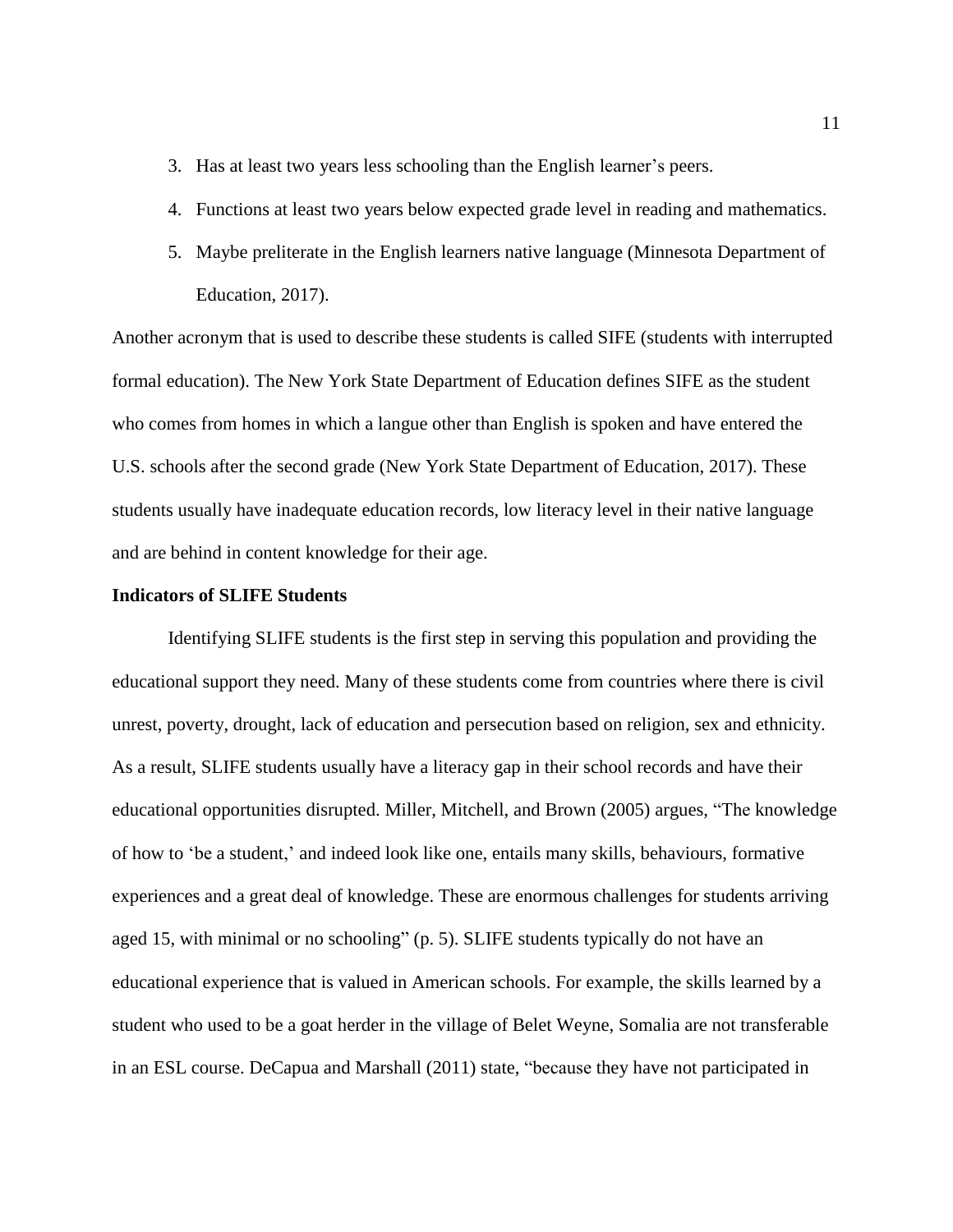- 3. Has at least two years less schooling than the English learner's peers.
- 4. Functions at least two years below expected grade level in reading and mathematics.
- 5. Maybe preliterate in the English learners native language (Minnesota Department of Education, 2017).

Another acronym that is used to describe these students is called SIFE (students with interrupted formal education). The New York State Department of Education defines SIFE as the student who comes from homes in which a langue other than English is spoken and have entered the U.S. schools after the second grade (New York State Department of Education, 2017). These students usually have inadequate education records, low literacy level in their native language and are behind in content knowledge for their age.

# **Indicators of SLIFE Students**

Identifying SLIFE students is the first step in serving this population and providing the educational support they need. Many of these students come from countries where there is civil unrest, poverty, drought, lack of education and persecution based on religion, sex and ethnicity. As a result, SLIFE students usually have a literacy gap in their school records and have their educational opportunities disrupted. Miller, Mitchell, and Brown (2005) argues, "The knowledge of how to 'be a student,' and indeed look like one, entails many skills, behaviours, formative experiences and a great deal of knowledge. These are enormous challenges for students arriving aged 15, with minimal or no schooling" (p. 5). SLIFE students typically do not have an educational experience that is valued in American schools. For example, the skills learned by a student who used to be a goat herder in the village of Belet Weyne, Somalia are not transferable in an ESL course. DeCapua and Marshall (2011) state, "because they have not participated in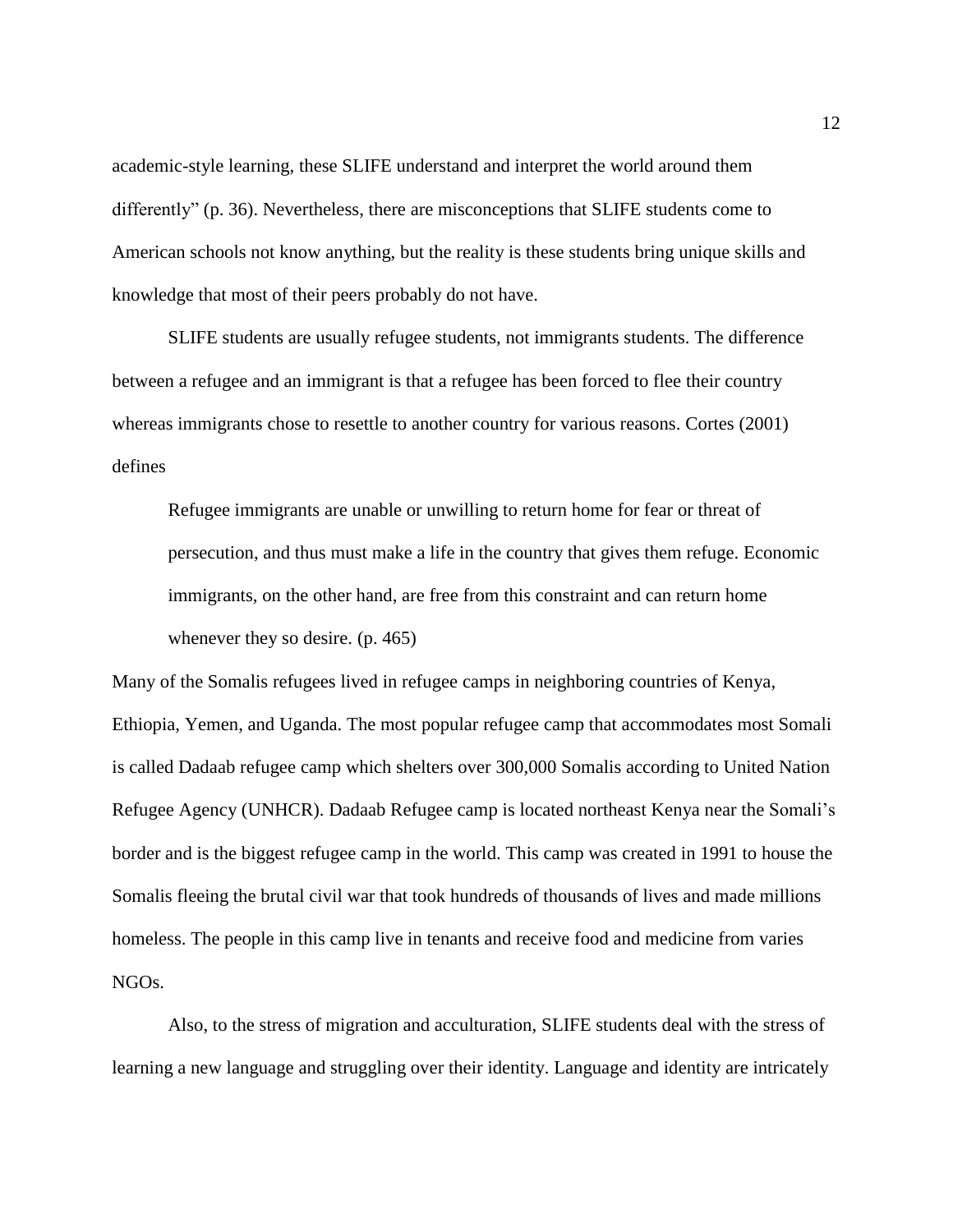academic-style learning, these SLIFE understand and interpret the world around them differently" (p. 36). Nevertheless, there are misconceptions that SLIFE students come to American schools not know anything, but the reality is these students bring unique skills and knowledge that most of their peers probably do not have.

 SLIFE students are usually refugee students, not immigrants students. The difference between a refugee and an immigrant is that a refugee has been forced to flee their country whereas immigrants chose to resettle to another country for various reasons. Cortes (2001) defines

Refugee immigrants are unable or unwilling to return home for fear or threat of persecution, and thus must make a life in the country that gives them refuge. Economic immigrants, on the other hand, are free from this constraint and can return home whenever they so desire. (p. 465)

Many of the Somalis refugees lived in refugee camps in neighboring countries of Kenya, Ethiopia, Yemen, and Uganda. The most popular refugee camp that accommodates most Somali is called Dadaab refugee camp which shelters over 300,000 Somalis according to United Nation Refugee Agency (UNHCR). Dadaab Refugee camp is located northeast Kenya near the Somali's border and is the biggest refugee camp in the world. This camp was created in 1991 to house the Somalis fleeing the brutal civil war that took hundreds of thousands of lives and made millions homeless. The people in this camp live in tenants and receive food and medicine from varies NGOs.

Also, to the stress of migration and acculturation, SLIFE students deal with the stress of learning a new language and struggling over their identity. Language and identity are intricately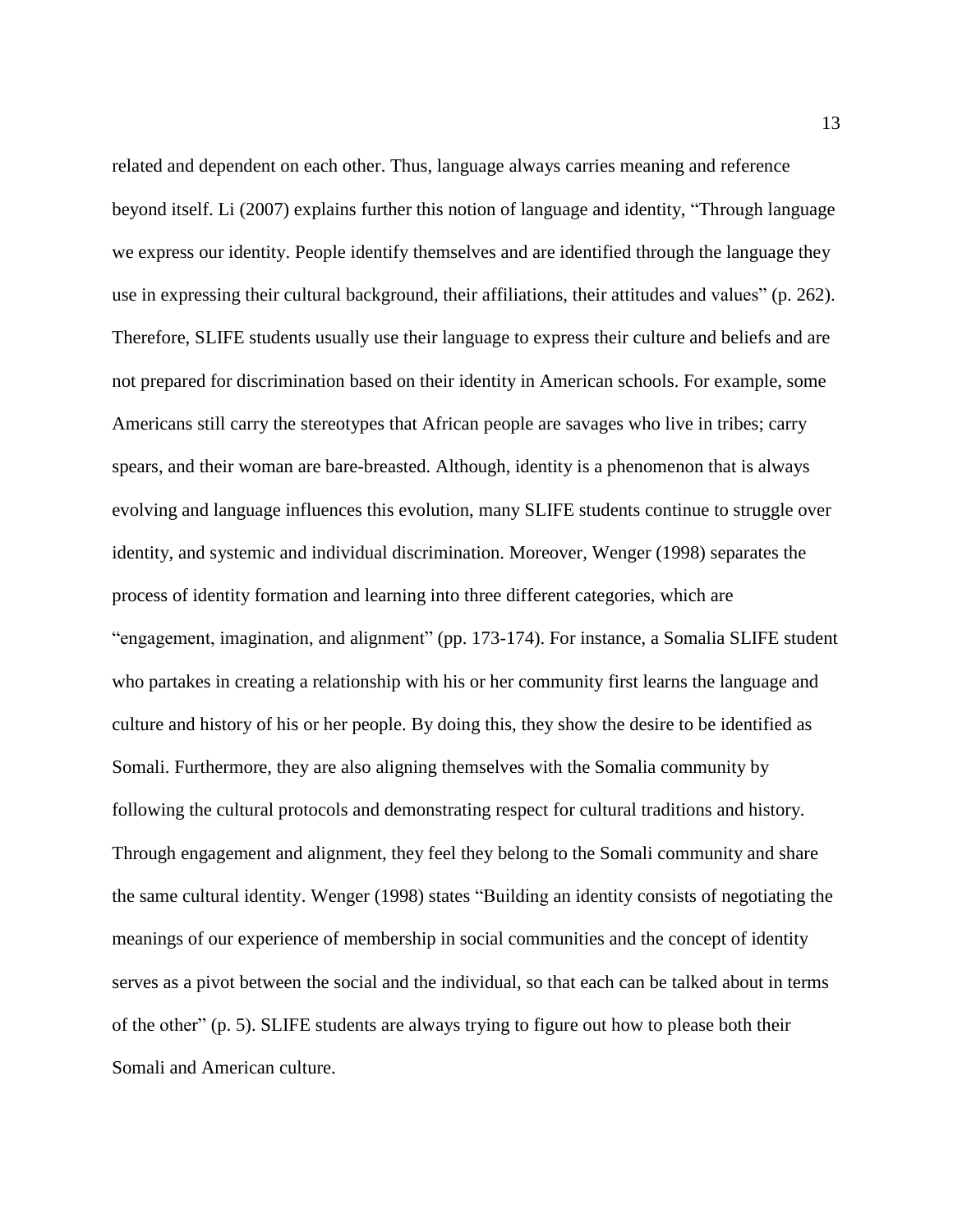related and dependent on each other. Thus, language always carries meaning and reference beyond itself. Li (2007) explains further this notion of language and identity, "Through language we express our identity. People identify themselves and are identified through the language they use in expressing their cultural background, their affiliations, their attitudes and values" (p. 262). Therefore, SLIFE students usually use their language to express their culture and beliefs and are not prepared for discrimination based on their identity in American schools. For example, some Americans still carry the stereotypes that African people are savages who live in tribes; carry spears, and their woman are bare-breasted. Although, identity is a phenomenon that is always evolving and language influences this evolution, many SLIFE students continue to struggle over identity, and systemic and individual discrimination. Moreover, Wenger (1998) separates the process of identity formation and learning into three different categories, which are "engagement, imagination, and alignment" (pp. 173-174). For instance, a Somalia SLIFE student who partakes in creating a relationship with his or her community first learns the language and culture and history of his or her people. By doing this, they show the desire to be identified as Somali. Furthermore, they are also aligning themselves with the Somalia community by following the cultural protocols and demonstrating respect for cultural traditions and history. Through engagement and alignment, they feel they belong to the Somali community and share the same cultural identity. Wenger (1998) states "Building an identity consists of negotiating the meanings of our experience of membership in social communities and the concept of identity serves as a pivot between the social and the individual, so that each can be talked about in terms of the other" (p. 5). SLIFE students are always trying to figure out how to please both their Somali and American culture.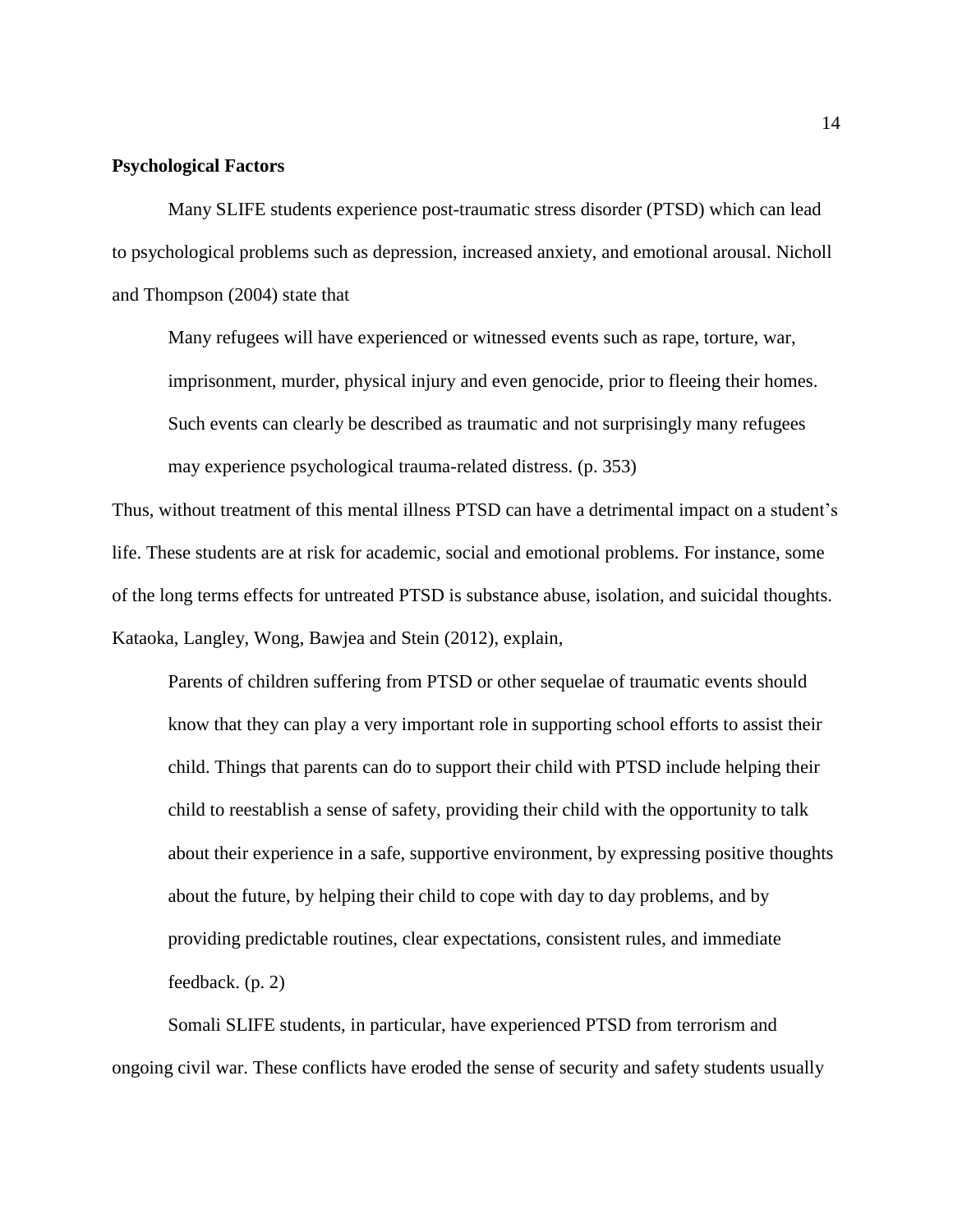# **Psychological Factors**

Many SLIFE students experience post-traumatic stress disorder (PTSD) which can lead to psychological problems such as depression, increased anxiety, and emotional arousal. Nicholl and Thompson (2004) state that

Many refugees will have experienced or witnessed events such as rape, torture, war, imprisonment, murder, physical injury and even genocide, prior to fleeing their homes. Such events can clearly be described as traumatic and not surprisingly many refugees may experience psychological trauma-related distress. (p. 353)

Thus, without treatment of this mental illness PTSD can have a detrimental impact on a student's life. These students are at risk for academic, social and emotional problems. For instance, some of the long terms effects for untreated PTSD is substance abuse, isolation, and suicidal thoughts. Kataoka, Langley, Wong, Bawjea and Stein (2012), explain,

Parents of children suffering from PTSD or other sequelae of traumatic events should know that they can play a very important role in supporting school efforts to assist their child. Things that parents can do to support their child with PTSD include helping their child to reestablish a sense of safety, providing their child with the opportunity to talk about their experience in a safe, supportive environment, by expressing positive thoughts about the future, by helping their child to cope with day to day problems, and by providing predictable routines, clear expectations, consistent rules, and immediate feedback. (p. 2)

Somali SLIFE students, in particular, have experienced PTSD from terrorism and ongoing civil war. These conflicts have eroded the sense of security and safety students usually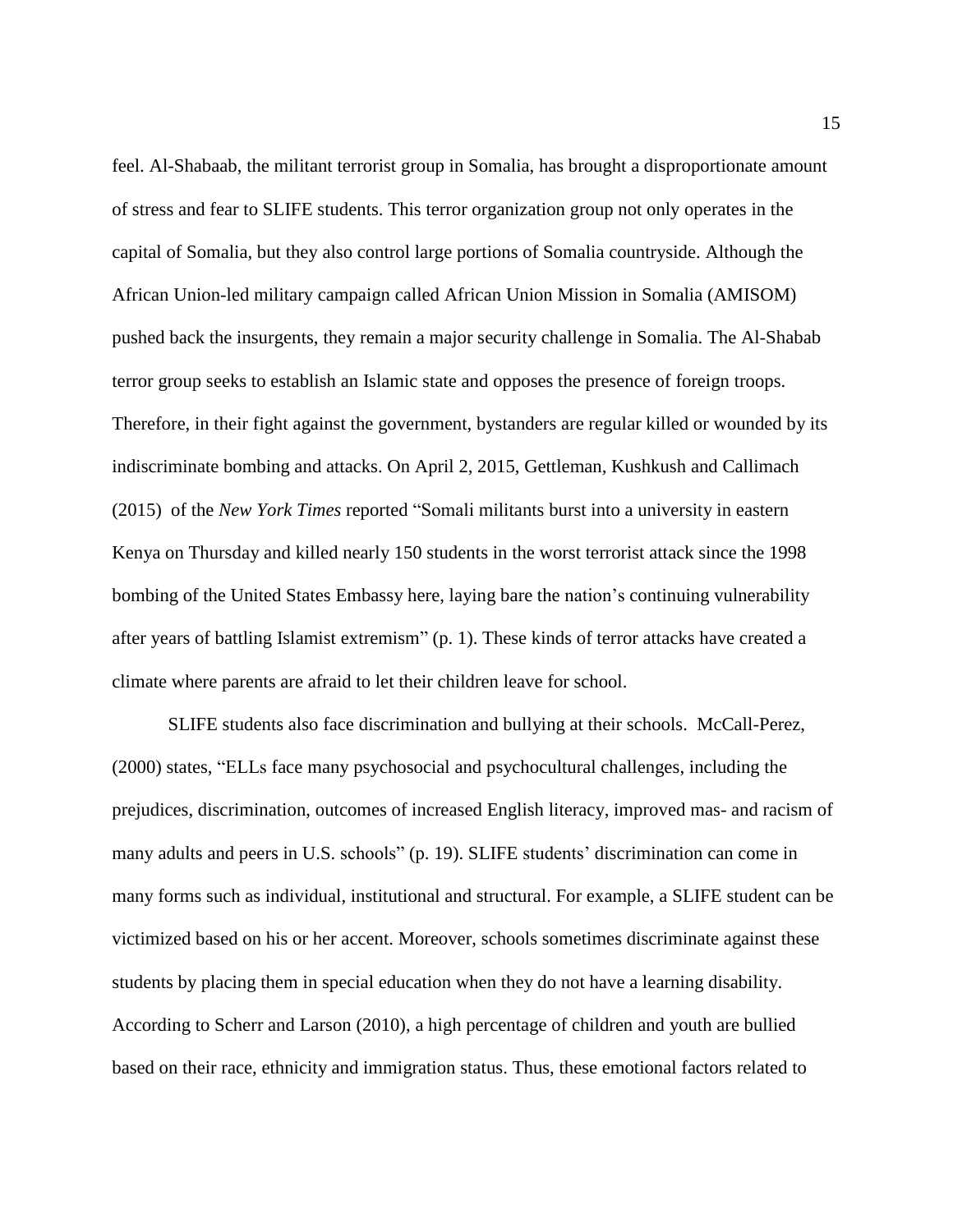feel. Al-Shabaab, the militant terrorist group in Somalia, has brought a disproportionate amount of stress and fear to SLIFE students. This terror organization group not only operates in the capital of Somalia, but they also control large portions of Somalia countryside. Although the African Union-led military campaign called African Union Mission in Somalia (AMISOM) pushed back the insurgents, they remain a major security challenge in Somalia. The Al-Shabab terror group seeks to establish an Islamic state and opposes the presence of foreign troops. Therefore, in their fight against the government, bystanders are regular killed or wounded by its indiscriminate bombing and attacks. On April 2, 2015, Gettleman, Kushkush and Callimach (2015) of the *New York Times* reported "Somali militants burst into a university in eastern Kenya on Thursday and killed nearly 150 students in the worst terrorist attack since the 1998 bombing of the United States Embassy here, laying bare the nation's continuing vulnerability after years of battling Islamist extremism" (p. 1). These kinds of terror attacks have created a climate where parents are afraid to let their children leave for school.

SLIFE students also face discrimination and bullying at their schools. McCall-Perez, (2000) states, "ELLs face many psychosocial and psychocultural challenges, including the prejudices, discrimination, outcomes of increased English literacy, improved mas- and racism of many adults and peers in U.S. schools" (p. 19). SLIFE students' discrimination can come in many forms such as individual, institutional and structural. For example, a SLIFE student can be victimized based on his or her accent. Moreover, schools sometimes discriminate against these students by placing them in special education when they do not have a learning disability. According to Scherr and Larson (2010), a high percentage of children and youth are bullied based on their race, ethnicity and immigration status. Thus, these emotional factors related to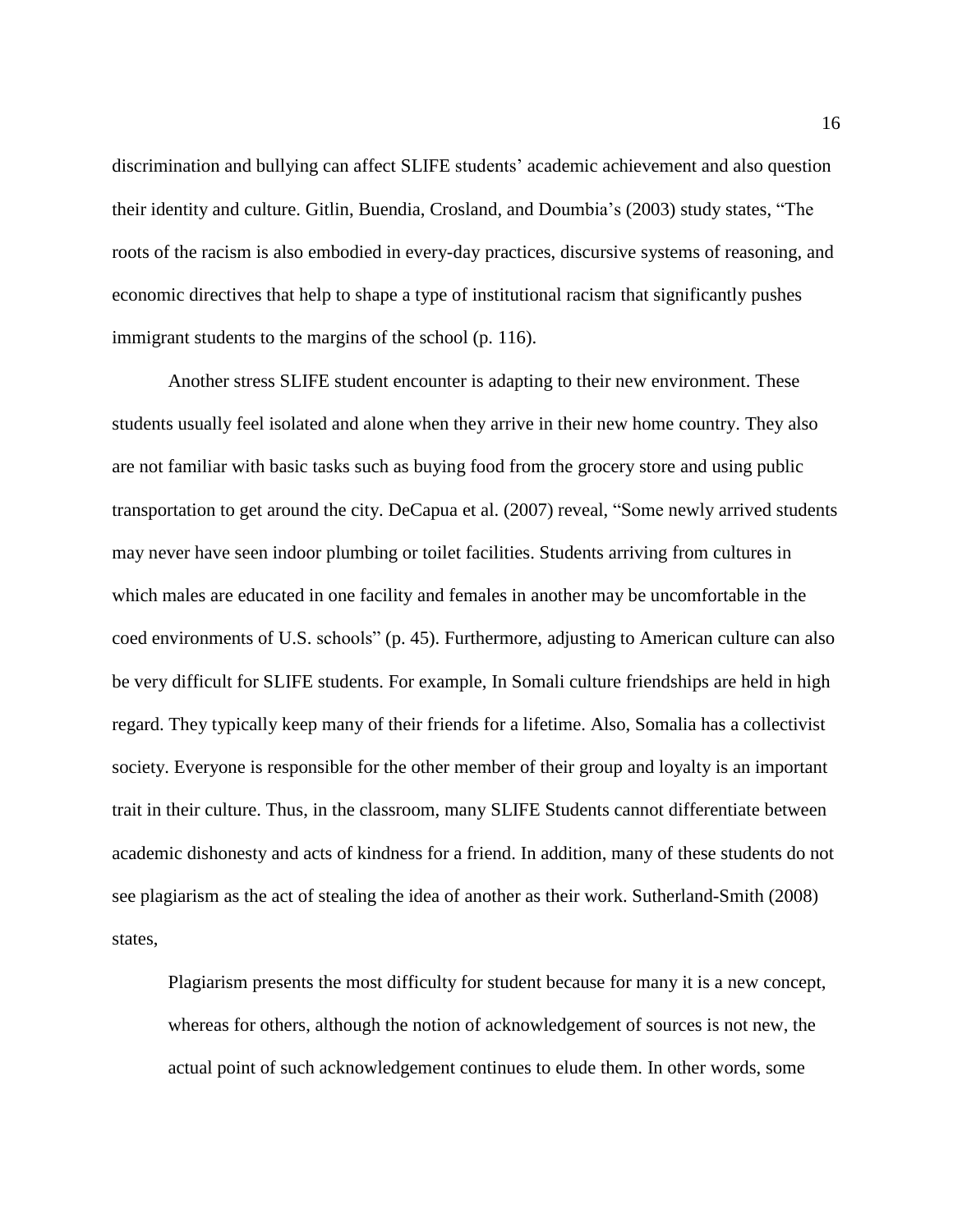discrimination and bullying can affect SLIFE students' academic achievement and also question their identity and culture. Gitlin, Buendia, Crosland, and Doumbia's (2003) study states, "The roots of the racism is also embodied in every-day practices, discursive systems of reasoning, and economic directives that help to shape a type of institutional racism that significantly pushes immigrant students to the margins of the school (p. 116).

Another stress SLIFE student encounter is adapting to their new environment. These students usually feel isolated and alone when they arrive in their new home country. They also are not familiar with basic tasks such as buying food from the grocery store and using public transportation to get around the city. DeCapua et al. (2007) reveal, "Some newly arrived students may never have seen indoor plumbing or toilet facilities. Students arriving from cultures in which males are educated in one facility and females in another may be uncomfortable in the coed environments of U.S. schools" (p. 45). Furthermore, adjusting to American culture can also be very difficult for SLIFE students. For example, In Somali culture friendships are held in high regard. They typically keep many of their friends for a lifetime. Also, Somalia has a collectivist society. Everyone is responsible for the other member of their group and loyalty is an important trait in their culture. Thus, in the classroom, many SLIFE Students cannot differentiate between academic dishonesty and acts of kindness for a friend. In addition, many of these students do not see plagiarism as the act of stealing the idea of another as their work. Sutherland-Smith (2008) states,

Plagiarism presents the most difficulty for student because for many it is a new concept, whereas for others, although the notion of acknowledgement of sources is not new, the actual point of such acknowledgement continues to elude them. In other words, some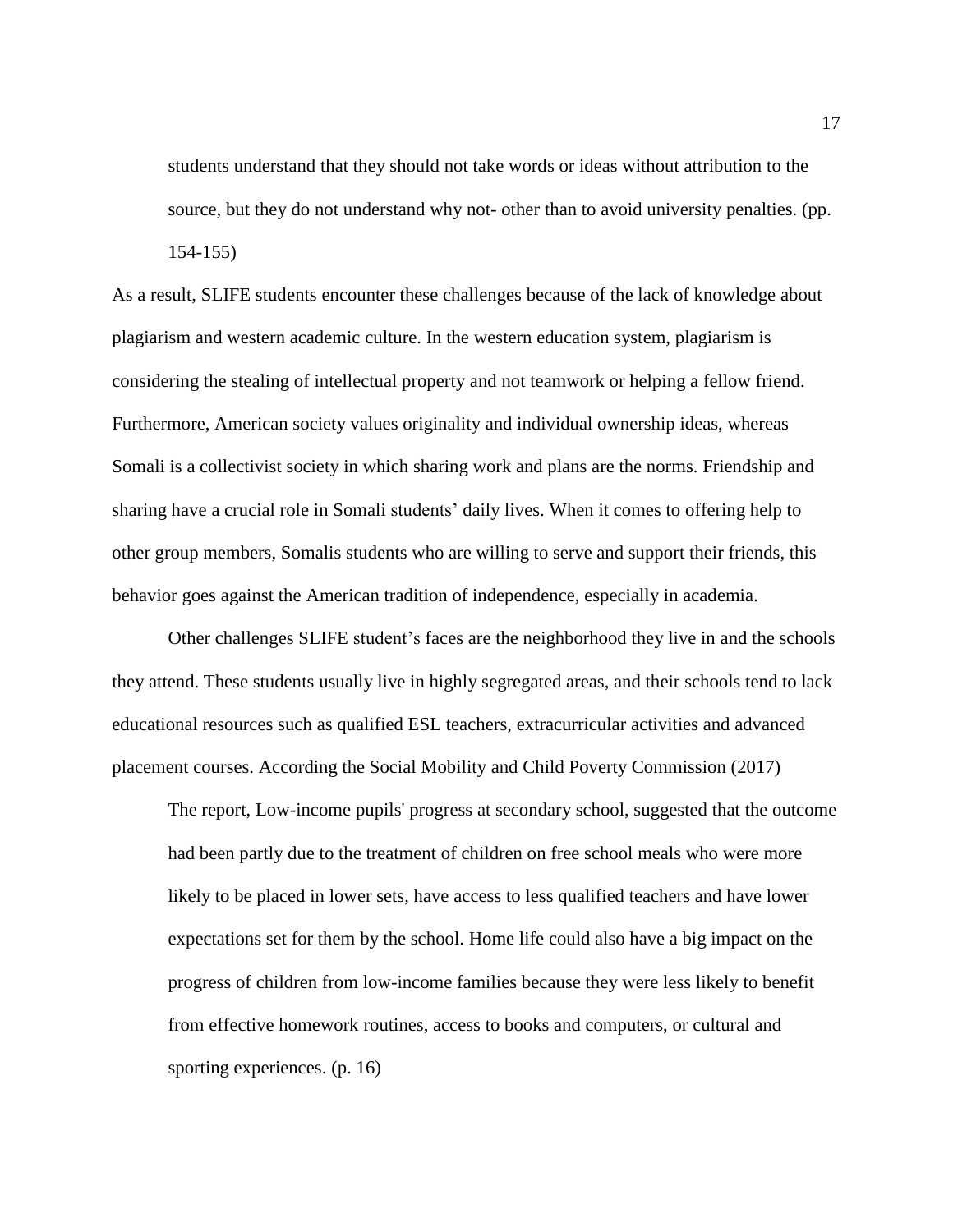students understand that they should not take words or ideas without attribution to the source, but they do not understand why not- other than to avoid university penalties. (pp. 154-155)

As a result, SLIFE students encounter these challenges because of the lack of knowledge about plagiarism and western academic culture. In the western education system, plagiarism is considering the stealing of intellectual property and not teamwork or helping a fellow friend. Furthermore, American society values originality and individual ownership ideas, whereas Somali is a collectivist society in which sharing work and plans are the norms. Friendship and sharing have a crucial role in Somali students' daily lives. When it comes to offering help to other group members, Somalis students who are willing to serve and support their friends, this behavior goes against the American tradition of independence, especially in academia.

Other challenges SLIFE student's faces are the neighborhood they live in and the schools they attend. These students usually live in highly segregated areas, and their schools tend to lack educational resources such as qualified ESL teachers, extracurricular activities and advanced placement courses. According the Social Mobility and Child Poverty Commission (2017)

The report, Low-income pupils' progress at secondary school, suggested that the outcome had been partly due to the treatment of children on free school meals who were more likely to be placed in lower sets, have access to less qualified teachers and have lower expectations set for them by the school. Home life could also have a big impact on the progress of children from low-income families because they were less likely to benefit from effective homework routines, access to books and computers, or cultural and sporting experiences. (p. 16)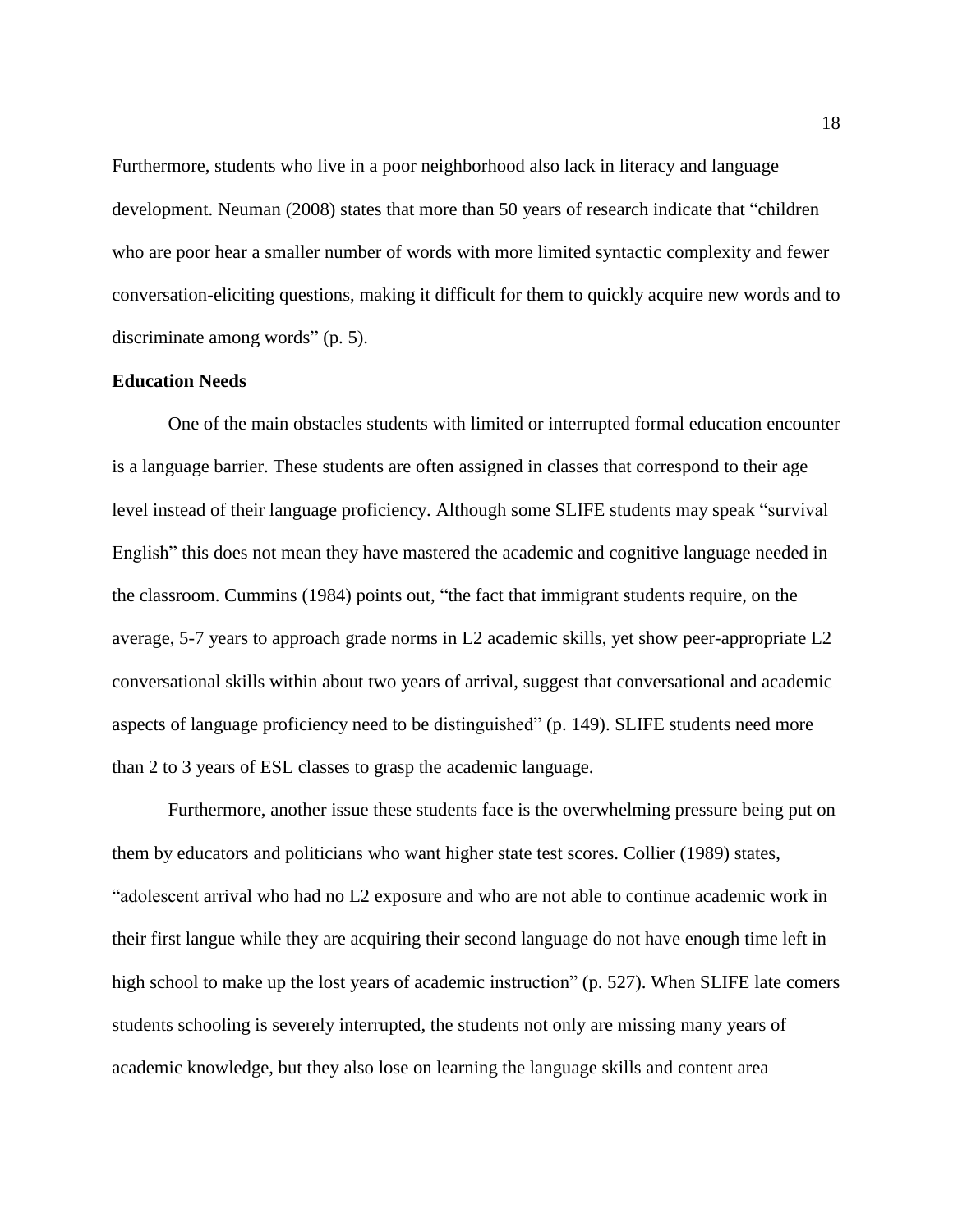Furthermore, students who live in a poor neighborhood also lack in literacy and language development. Neuman (2008) states that more than 50 years of research indicate that "children who are poor hear a smaller number of words with more limited syntactic complexity and fewer conversation-eliciting questions, making it difficult for them to quickly acquire new words and to discriminate among words" (p. 5).

## **Education Needs**

One of the main obstacles students with limited or interrupted formal education encounter is a language barrier. These students are often assigned in classes that correspond to their age level instead of their language proficiency. Although some SLIFE students may speak "survival English" this does not mean they have mastered the academic and cognitive language needed in the classroom. Cummins (1984) points out, "the fact that immigrant students require, on the average, 5-7 years to approach grade norms in L2 academic skills, yet show peer-appropriate L2 conversational skills within about two years of arrival, suggest that conversational and academic aspects of language proficiency need to be distinguished" (p. 149). SLIFE students need more than 2 to 3 years of ESL classes to grasp the academic language.

Furthermore, another issue these students face is the overwhelming pressure being put on them by educators and politicians who want higher state test scores. Collier (1989) states, "adolescent arrival who had no L2 exposure and who are not able to continue academic work in their first langue while they are acquiring their second language do not have enough time left in high school to make up the lost years of academic instruction" (p. 527). When SLIFE late comers students schooling is severely interrupted, the students not only are missing many years of academic knowledge, but they also lose on learning the language skills and content area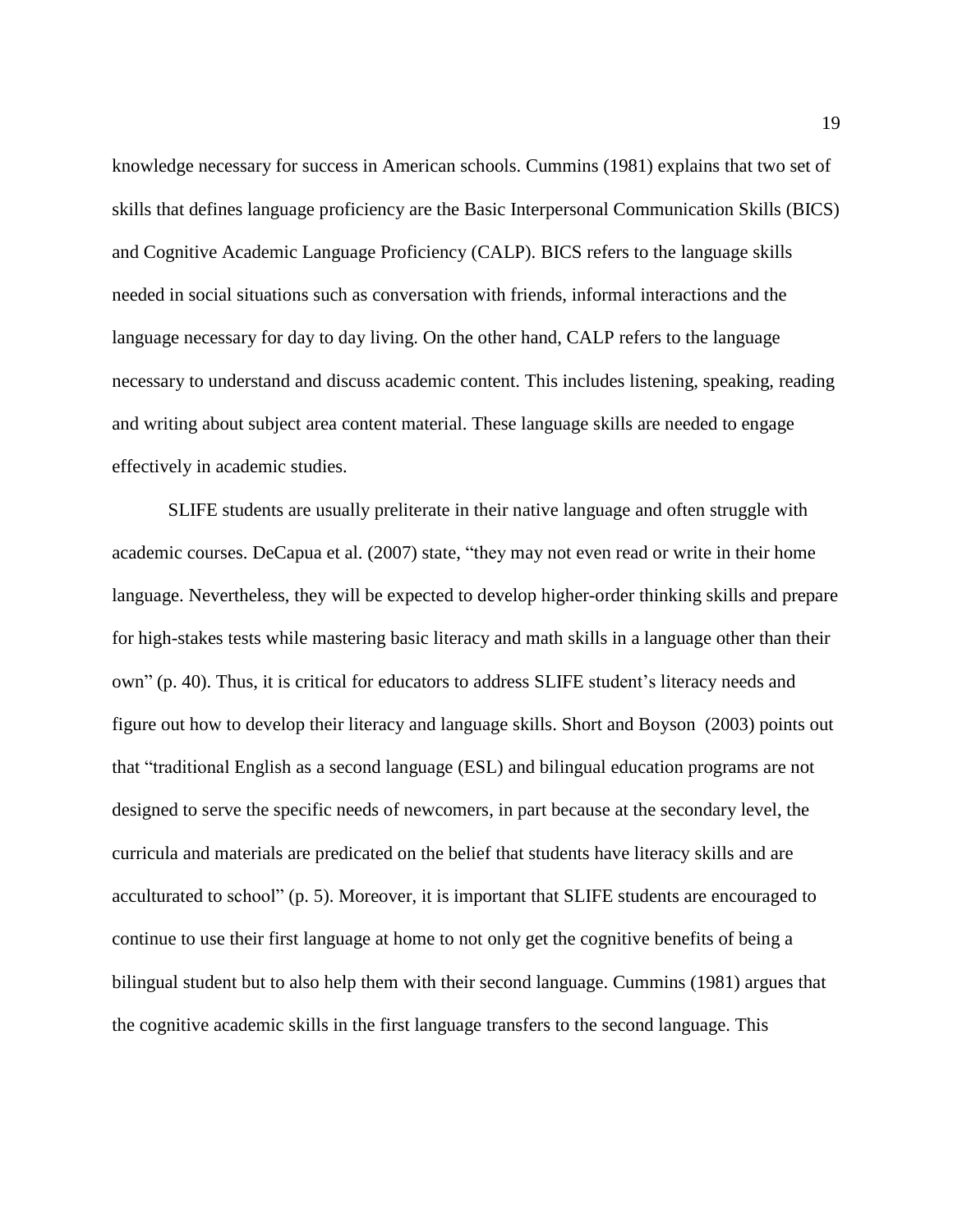knowledge necessary for success in American schools. Cummins (1981) explains that two set of skills that defines language proficiency are the Basic Interpersonal Communication Skills (BICS) and Cognitive Academic Language Proficiency (CALP). BICS refers to the language skills needed in social situations such as conversation with friends, informal interactions and the language necessary for day to day living. On the other hand, CALP refers to the language necessary to understand and discuss academic content. This includes listening, speaking, reading and writing about subject area content material. These language skills are needed to engage effectively in academic studies.

SLIFE students are usually preliterate in their native language and often struggle with academic courses. DeCapua et al. (2007) state, "they may not even read or write in their home language. Nevertheless, they will be expected to develop higher-order thinking skills and prepare for high-stakes tests while mastering basic literacy and math skills in a language other than their own" (p. 40). Thus, it is critical for educators to address SLIFE student's literacy needs and figure out how to develop their literacy and language skills. Short and Boyson (2003) points out that "traditional English as a second language (ESL) and bilingual education programs are not designed to serve the specific needs of newcomers, in part because at the secondary level, the curricula and materials are predicated on the belief that students have literacy skills and are acculturated to school" (p. 5). Moreover, it is important that SLIFE students are encouraged to continue to use their first language at home to not only get the cognitive benefits of being a bilingual student but to also help them with their second language. Cummins (1981) argues that the cognitive academic skills in the first language transfers to the second language. This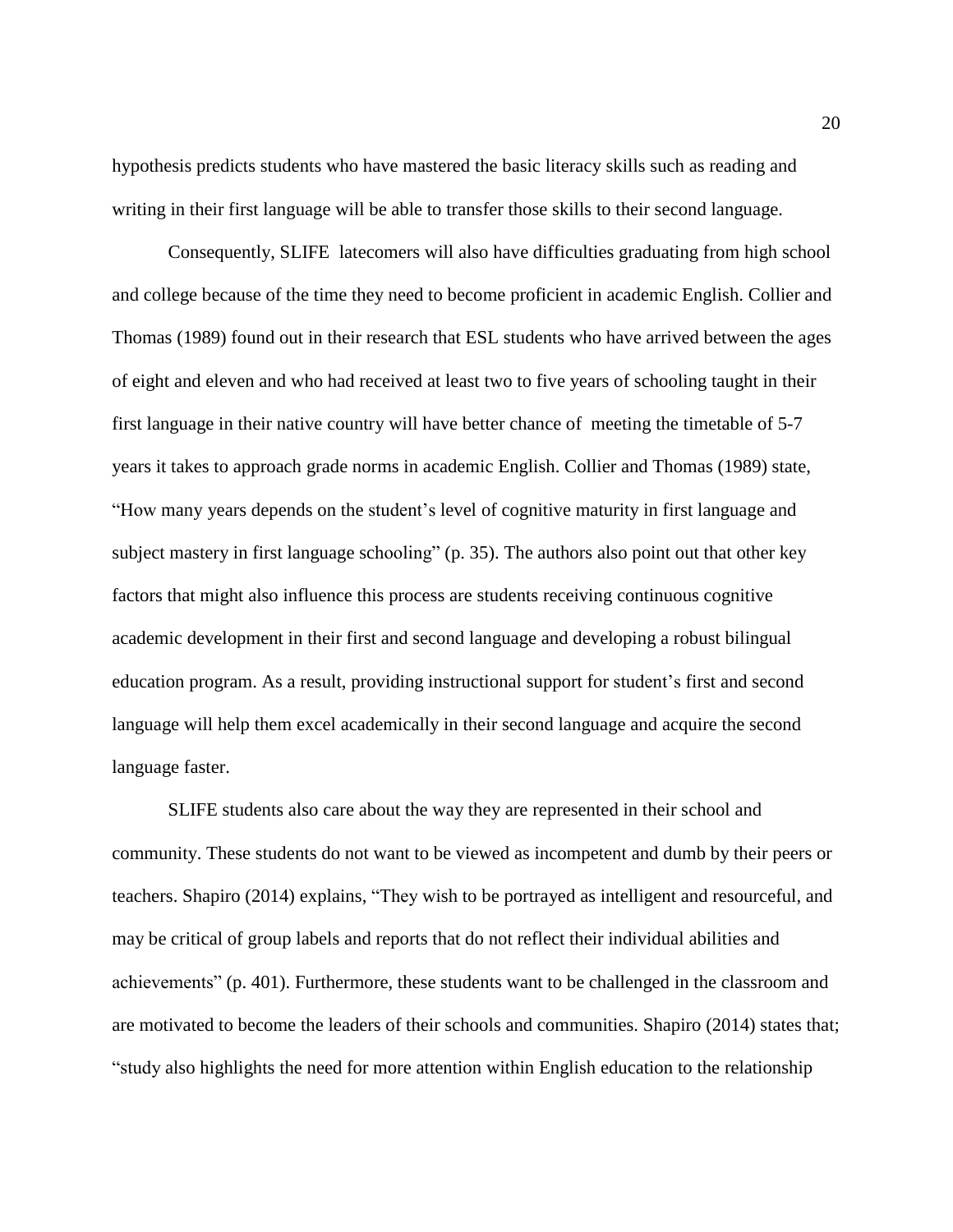hypothesis predicts students who have mastered the basic literacy skills such as reading and writing in their first language will be able to transfer those skills to their second language.

Consequently, SLIFE latecomers will also have difficulties graduating from high school and college because of the time they need to become proficient in academic English. Collier and Thomas (1989) found out in their research that ESL students who have arrived between the ages of eight and eleven and who had received at least two to five years of schooling taught in their first language in their native country will have better chance of meeting the timetable of 5-7 years it takes to approach grade norms in academic English. Collier and Thomas (1989) state, "How many years depends on the student's level of cognitive maturity in first language and subject mastery in first language schooling" (p. 35). The authors also point out that other key factors that might also influence this process are students receiving continuous cognitive academic development in their first and second language and developing a robust bilingual education program. As a result, providing instructional support for student's first and second language will help them excel academically in their second language and acquire the second language faster.

SLIFE students also care about the way they are represented in their school and community. These students do not want to be viewed as incompetent and dumb by their peers or teachers. Shapiro (2014) explains, "They wish to be portrayed as intelligent and resourceful, and may be critical of group labels and reports that do not reflect their individual abilities and achievements" (p. 401). Furthermore, these students want to be challenged in the classroom and are motivated to become the leaders of their schools and communities. Shapiro (2014) states that; "study also highlights the need for more attention within English education to the relationship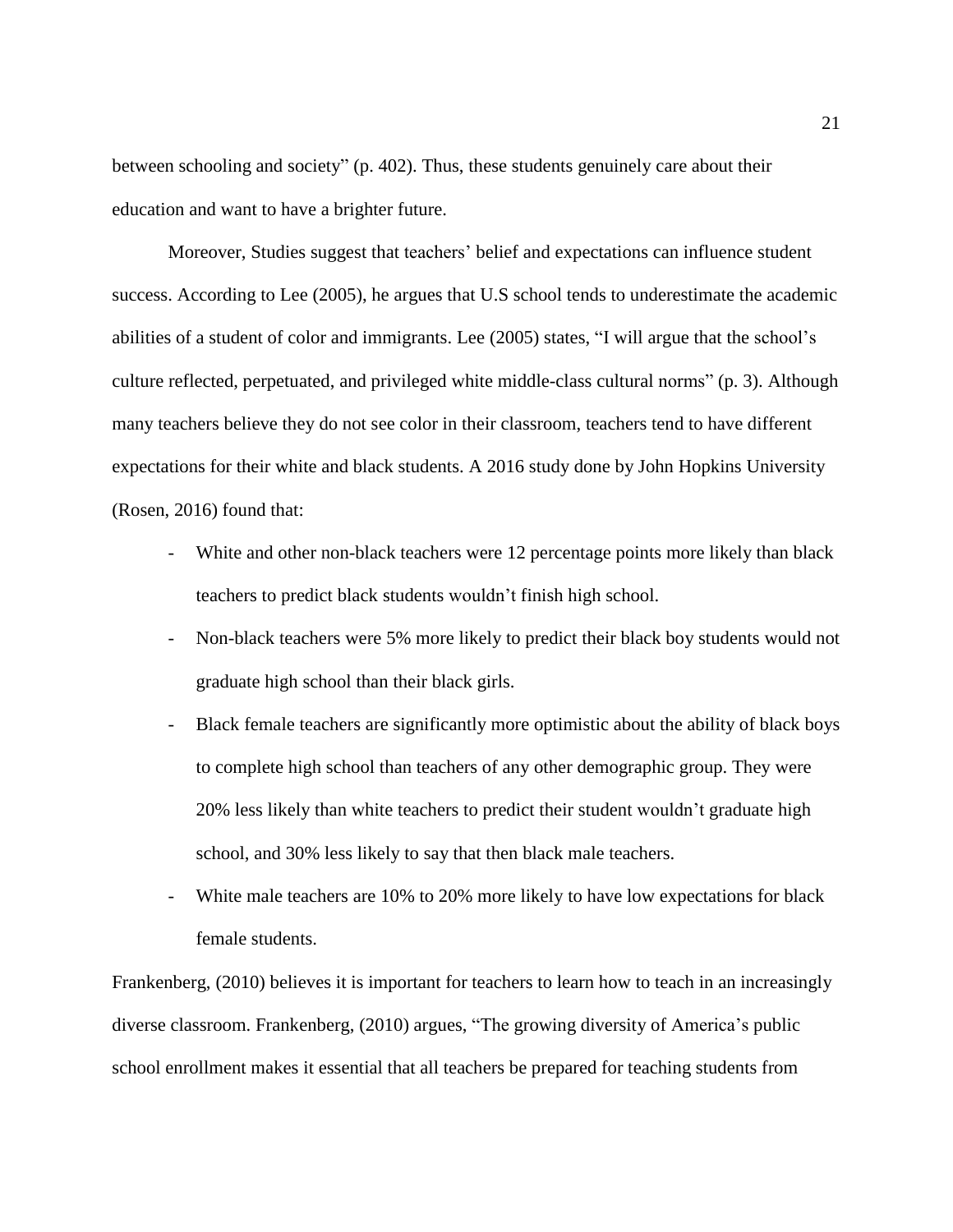between schooling and society" (p. 402). Thus, these students genuinely care about their education and want to have a brighter future.

Moreover, Studies suggest that teachers' belief and expectations can influence student success. According to Lee (2005), he argues that U.S school tends to underestimate the academic abilities of a student of color and immigrants. Lee (2005) states, "I will argue that the school's culture reflected, perpetuated, and privileged white middle-class cultural norms" (p. 3). Although many teachers believe they do not see color in their classroom, teachers tend to have different expectations for their white and black students. A 2016 study done by John Hopkins University (Rosen, 2016) found that:

- White and other non-black teachers were 12 percentage points more likely than black teachers to predict black students wouldn't finish high school.
- Non-black teachers were 5% more likely to predict their black boy students would not graduate high school than their black girls.
- Black female teachers are significantly more optimistic about the ability of black boys to complete high school than teachers of any other demographic group. They were 20% less likely than white teachers to predict their student wouldn't graduate high school, and 30% less likely to say that then black male teachers.
- White male teachers are 10% to 20% more likely to have low expectations for black female students.

Frankenberg, (2010) believes it is important for teachers to learn how to teach in an increasingly diverse classroom. Frankenberg, (2010) argues, "The growing diversity of America's public school enrollment makes it essential that all teachers be prepared for teaching students from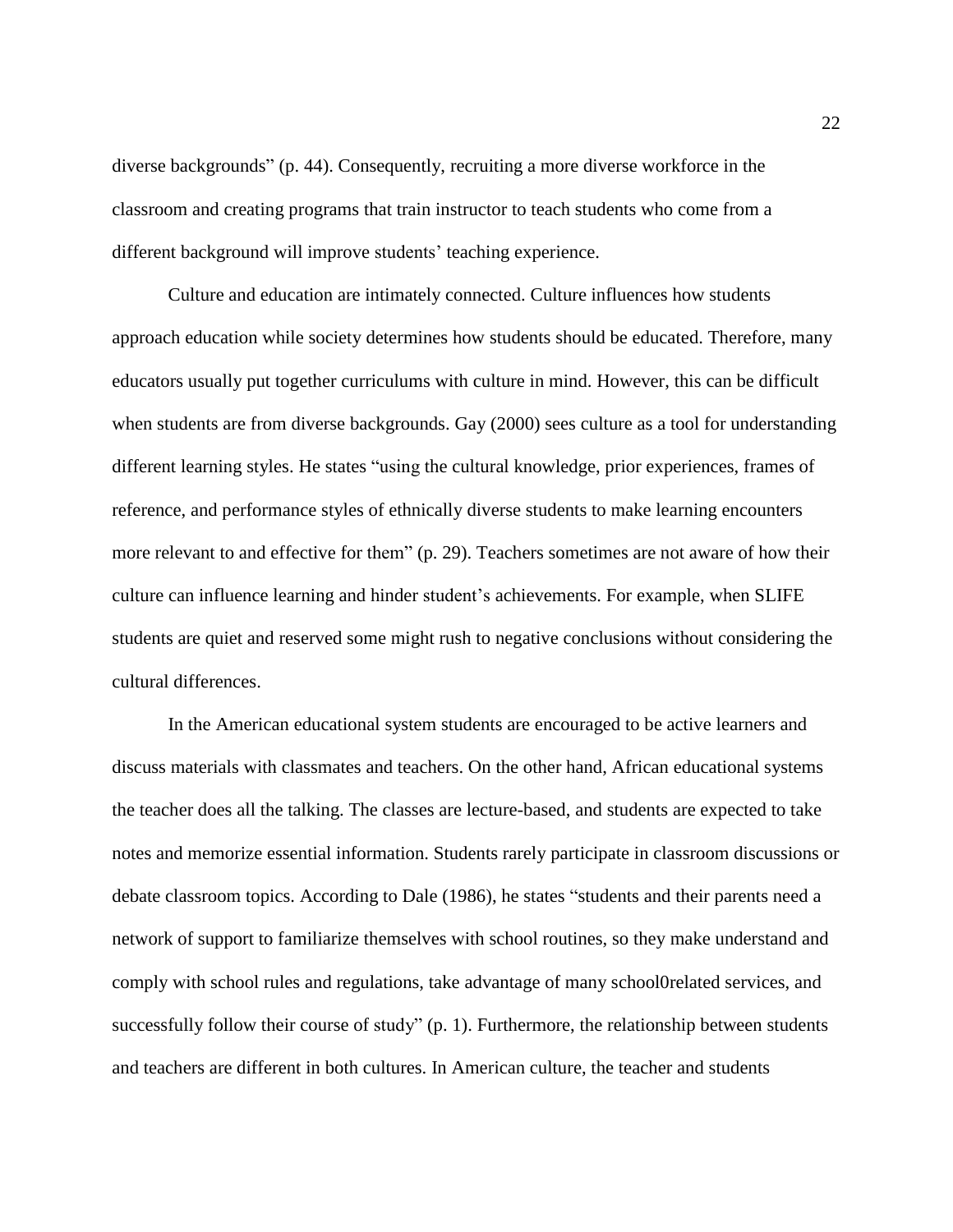diverse backgrounds" (p. 44). Consequently, recruiting a more diverse workforce in the classroom and creating programs that train instructor to teach students who come from a different background will improve students' teaching experience.

Culture and education are intimately connected. Culture influences how students approach education while society determines how students should be educated. Therefore, many educators usually put together curriculums with culture in mind. However, this can be difficult when students are from diverse backgrounds. Gay (2000) sees culture as a tool for understanding different learning styles. He states "using the cultural knowledge, prior experiences, frames of reference, and performance styles of ethnically diverse students to make learning encounters more relevant to and effective for them" (p. 29). Teachers sometimes are not aware of how their culture can influence learning and hinder student's achievements. For example, when SLIFE students are quiet and reserved some might rush to negative conclusions without considering the cultural differences.

In the American educational system students are encouraged to be active learners and discuss materials with classmates and teachers. On the other hand, African educational systems the teacher does all the talking. The classes are lecture-based, and students are expected to take notes and memorize essential information. Students rarely participate in classroom discussions or debate classroom topics. According to Dale (1986), he states "students and their parents need a network of support to familiarize themselves with school routines, so they make understand and comply with school rules and regulations, take advantage of many school0related services, and successfully follow their course of study" (p. 1). Furthermore, the relationship between students and teachers are different in both cultures. In American culture, the teacher and students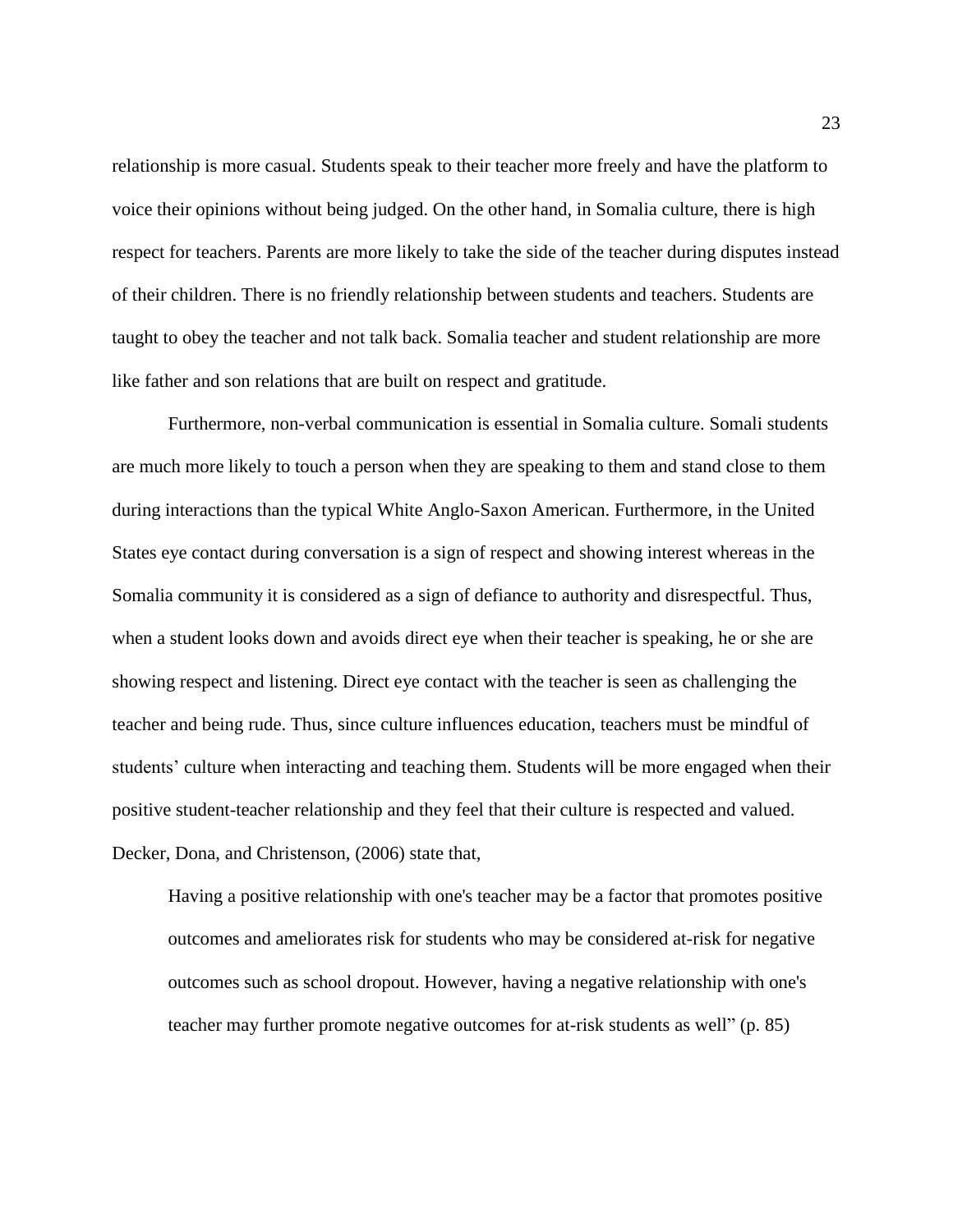relationship is more casual. Students speak to their teacher more freely and have the platform to voice their opinions without being judged. On the other hand, in Somalia culture, there is high respect for teachers. Parents are more likely to take the side of the teacher during disputes instead of their children. There is no friendly relationship between students and teachers. Students are taught to obey the teacher and not talk back. Somalia teacher and student relationship are more like father and son relations that are built on respect and gratitude.

Furthermore, non-verbal communication is essential in Somalia culture. Somali students are much more likely to touch a person when they are speaking to them and stand close to them during interactions than the typical White Anglo-Saxon American. Furthermore, in the United States eye contact during conversation is a sign of respect and showing interest whereas in the Somalia community it is considered as a sign of defiance to authority and disrespectful. Thus, when a student looks down and avoids direct eye when their teacher is speaking, he or she are showing respect and listening. Direct eye contact with the teacher is seen as challenging the teacher and being rude. Thus, since culture influences education, teachers must be mindful of students' culture when interacting and teaching them. Students will be more engaged when their positive student-teacher relationship and they feel that their culture is respected and valued. Decker, Dona, and Christenson, (2006) state that,

Having a positive relationship with one's teacher may be a factor that promotes positive outcomes and ameliorates risk for students who may be considered at-risk for negative outcomes such as school dropout. However, having a negative relationship with one's teacher may further promote negative outcomes for at-risk students as well" (p. 85)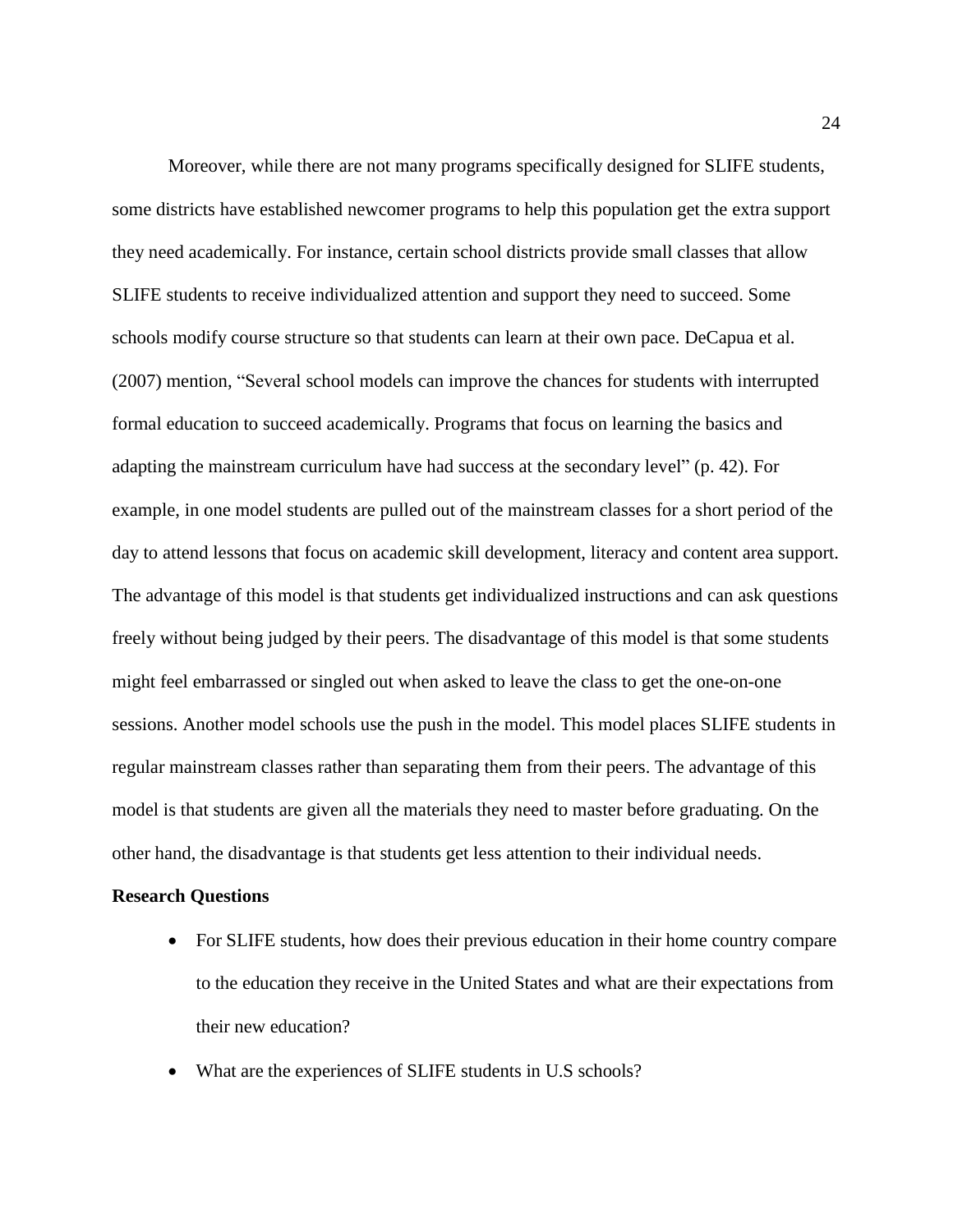Moreover, while there are not many programs specifically designed for SLIFE students, some districts have established newcomer programs to help this population get the extra support they need academically. For instance, certain school districts provide small classes that allow SLIFE students to receive individualized attention and support they need to succeed. Some schools modify course structure so that students can learn at their own pace. DeCapua et al. (2007) mention, "Several school models can improve the chances for students with interrupted formal education to succeed academically. Programs that focus on learning the basics and adapting the mainstream curriculum have had success at the secondary level" (p. 42). For example, in one model students are pulled out of the mainstream classes for a short period of the day to attend lessons that focus on academic skill development, literacy and content area support. The advantage of this model is that students get individualized instructions and can ask questions freely without being judged by their peers. The disadvantage of this model is that some students might feel embarrassed or singled out when asked to leave the class to get the one-on-one sessions. Another model schools use the push in the model. This model places SLIFE students in regular mainstream classes rather than separating them from their peers. The advantage of this model is that students are given all the materials they need to master before graduating. On the other hand, the disadvantage is that students get less attention to their individual needs.

#### **Research Questions**

- For SLIFE students, how does their previous education in their home country compare to the education they receive in the United States and what are their expectations from their new education?
- What are the experiences of SLIFE students in U.S schools?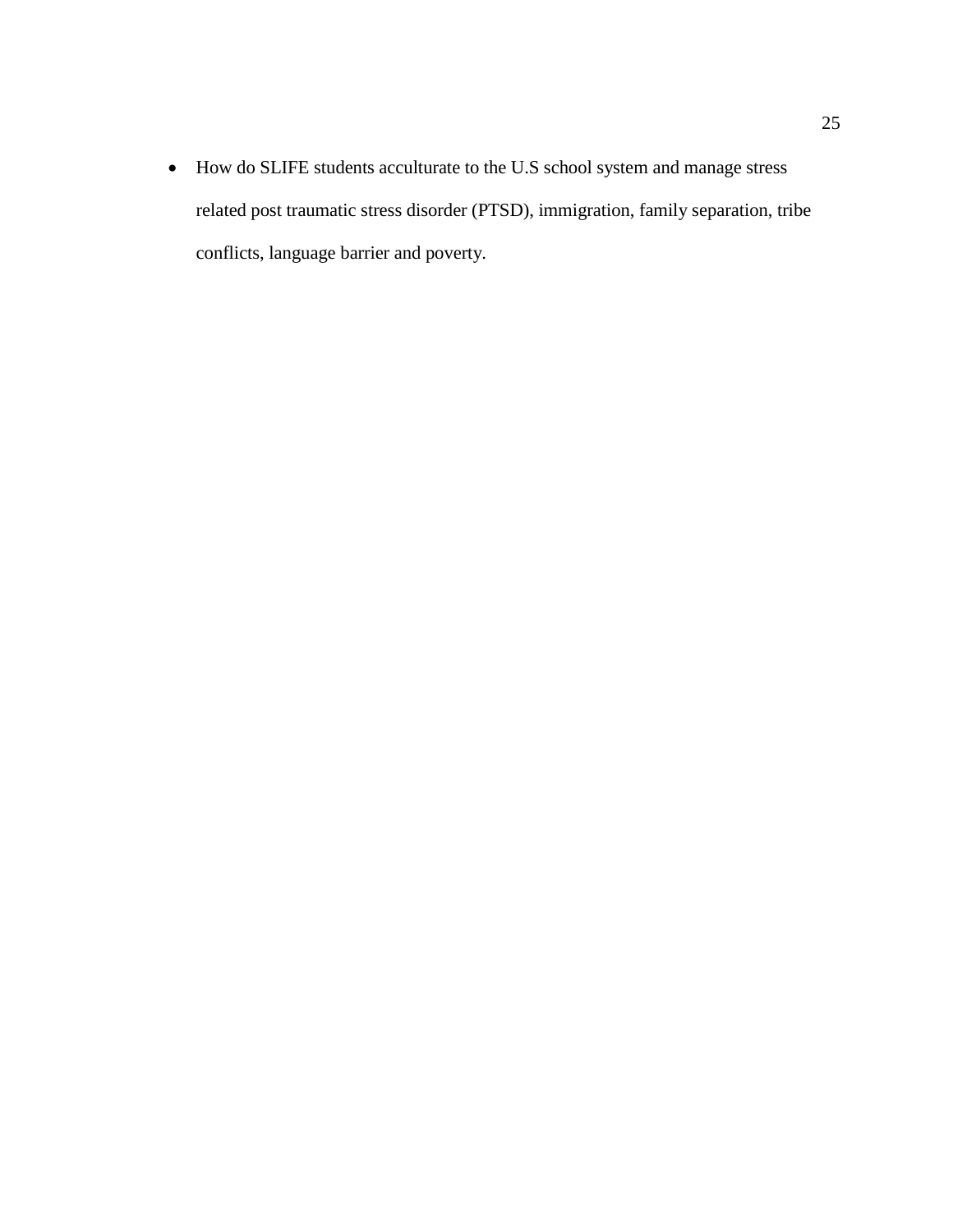• How do SLIFE students acculturate to the U.S school system and manage stress related post traumatic stress disorder (PTSD), immigration, family separation, tribe conflicts, language barrier and poverty.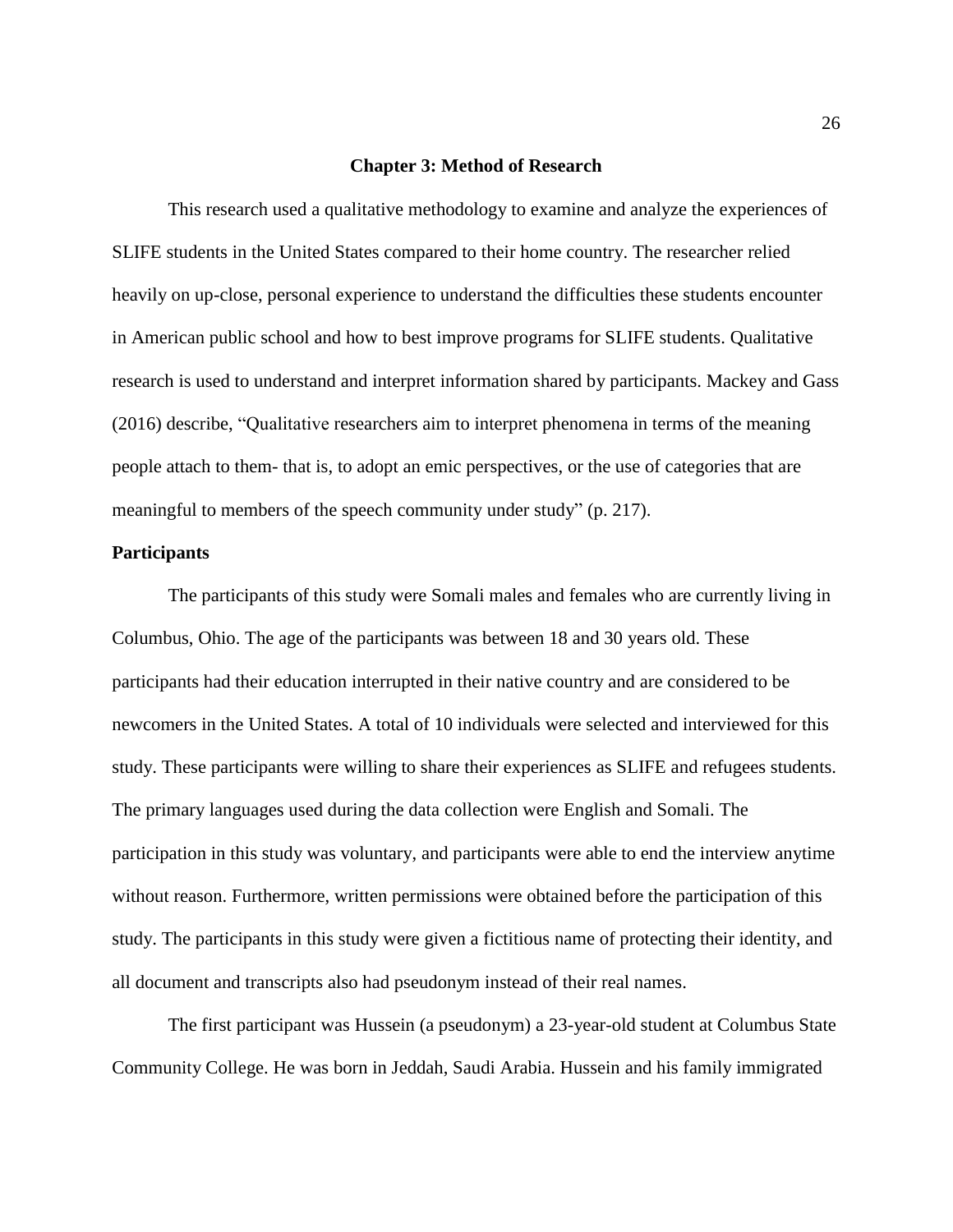#### **Chapter 3: Method of Research**

This research used a qualitative methodology to examine and analyze the experiences of SLIFE students in the United States compared to their home country. The researcher relied heavily on up-close, personal experience to understand the difficulties these students encounter in American public school and how to best improve programs for SLIFE students. Qualitative research is used to understand and interpret information shared by participants. Mackey and Gass (2016) describe, "Qualitative researchers aim to interpret phenomena in terms of the meaning people attach to them- that is, to adopt an emic perspectives, or the use of categories that are meaningful to members of the speech community under study" (p. 217).

# **Participants**

The participants of this study were Somali males and females who are currently living in Columbus, Ohio. The age of the participants was between 18 and 30 years old. These participants had their education interrupted in their native country and are considered to be newcomers in the United States. A total of 10 individuals were selected and interviewed for this study. These participants were willing to share their experiences as SLIFE and refugees students. The primary languages used during the data collection were English and Somali. The participation in this study was voluntary, and participants were able to end the interview anytime without reason. Furthermore, written permissions were obtained before the participation of this study. The participants in this study were given a fictitious name of protecting their identity, and all document and transcripts also had pseudonym instead of their real names.

The first participant was Hussein (a pseudonym) a 23-year-old student at Columbus State Community College. He was born in Jeddah, Saudi Arabia. Hussein and his family immigrated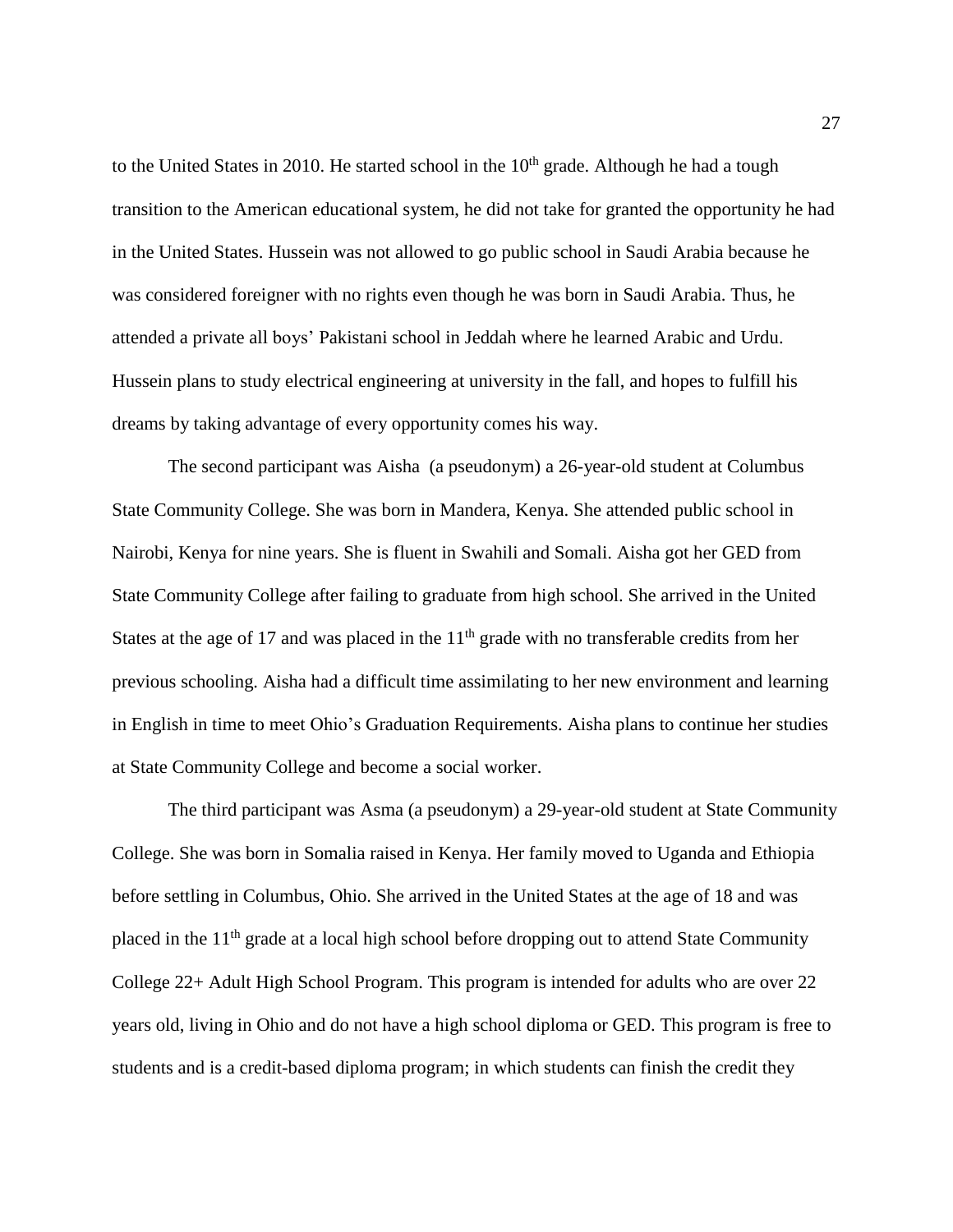to the United States in 2010. He started school in the  $10<sup>th</sup>$  grade. Although he had a tough transition to the American educational system, he did not take for granted the opportunity he had in the United States. Hussein was not allowed to go public school in Saudi Arabia because he was considered foreigner with no rights even though he was born in Saudi Arabia. Thus, he attended a private all boys' Pakistani school in Jeddah where he learned Arabic and Urdu. Hussein plans to study electrical engineering at university in the fall, and hopes to fulfill his dreams by taking advantage of every opportunity comes his way.

The second participant was Aisha (a pseudonym) a 26-year-old student at Columbus State Community College. She was born in Mandera, Kenya. She attended public school in Nairobi, Kenya for nine years. She is fluent in Swahili and Somali. Aisha got her GED from State Community College after failing to graduate from high school. She arrived in the United States at the age of 17 and was placed in the  $11<sup>th</sup>$  grade with no transferable credits from her previous schooling. Aisha had a difficult time assimilating to her new environment and learning in English in time to meet Ohio's Graduation Requirements. Aisha plans to continue her studies at State Community College and become a social worker.

The third participant was Asma (a pseudonym) a 29-year-old student at State Community College. She was born in Somalia raised in Kenya. Her family moved to Uganda and Ethiopia before settling in Columbus, Ohio. She arrived in the United States at the age of 18 and was placed in the 11<sup>th</sup> grade at a local high school before dropping out to attend State Community College 22+ Adult High School Program. This program is intended for adults who are over 22 years old, living in Ohio and do not have a high school diploma or GED. This program is free to students and is a credit-based diploma program; in which students can finish the credit they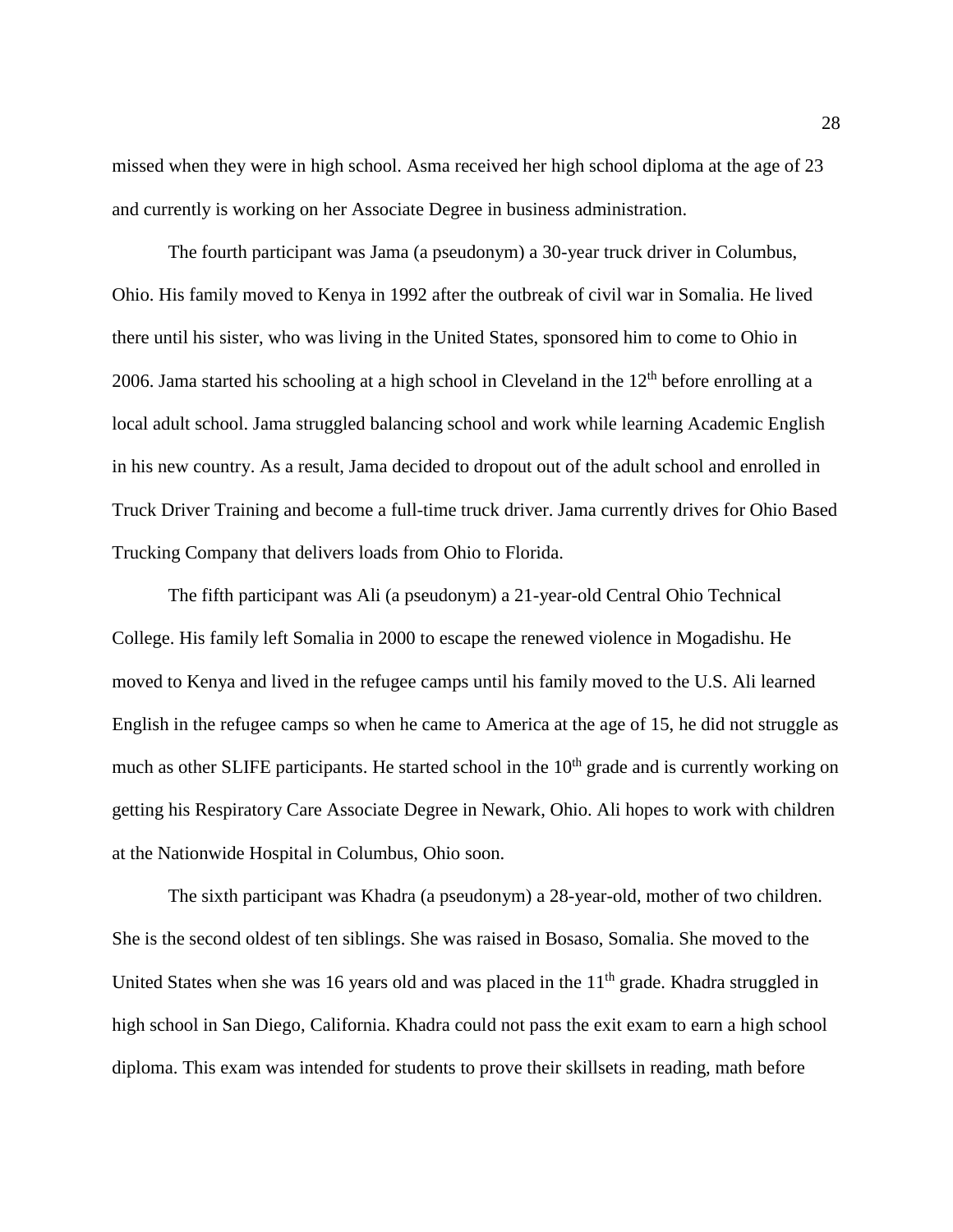missed when they were in high school. Asma received her high school diploma at the age of 23 and currently is working on her Associate Degree in business administration.

The fourth participant was Jama (a pseudonym) a 30-year truck driver in Columbus, Ohio. His family moved to Kenya in 1992 after the outbreak of civil war in Somalia. He lived there until his sister, who was living in the United States, sponsored him to come to Ohio in 2006. Jama started his schooling at a high school in Cleveland in the  $12<sup>th</sup>$  before enrolling at a local adult school. Jama struggled balancing school and work while learning Academic English in his new country. As a result, Jama decided to dropout out of the adult school and enrolled in Truck Driver Training and become a full-time truck driver. Jama currently drives for Ohio Based Trucking Company that delivers loads from Ohio to Florida.

The fifth participant was Ali (a pseudonym) a 21-year-old Central Ohio Technical College. His family left Somalia in 2000 to escape the renewed violence in Mogadishu. He moved to Kenya and lived in the refugee camps until his family moved to the U.S. Ali learned English in the refugee camps so when he came to America at the age of 15, he did not struggle as much as other SLIFE participants. He started school in the 10<sup>th</sup> grade and is currently working on getting his Respiratory Care Associate Degree in Newark, Ohio. Ali hopes to work with children at the Nationwide Hospital in Columbus, Ohio soon.

The sixth participant was Khadra (a pseudonym) a 28-year-old, mother of two children. She is the second oldest of ten siblings. She was raised in Bosaso, Somalia. She moved to the United States when she was 16 years old and was placed in the  $11<sup>th</sup>$  grade. Khadra struggled in high school in San Diego, California. Khadra could not pass the exit exam to earn a high school diploma. This exam was intended for students to prove their skillsets in reading, math before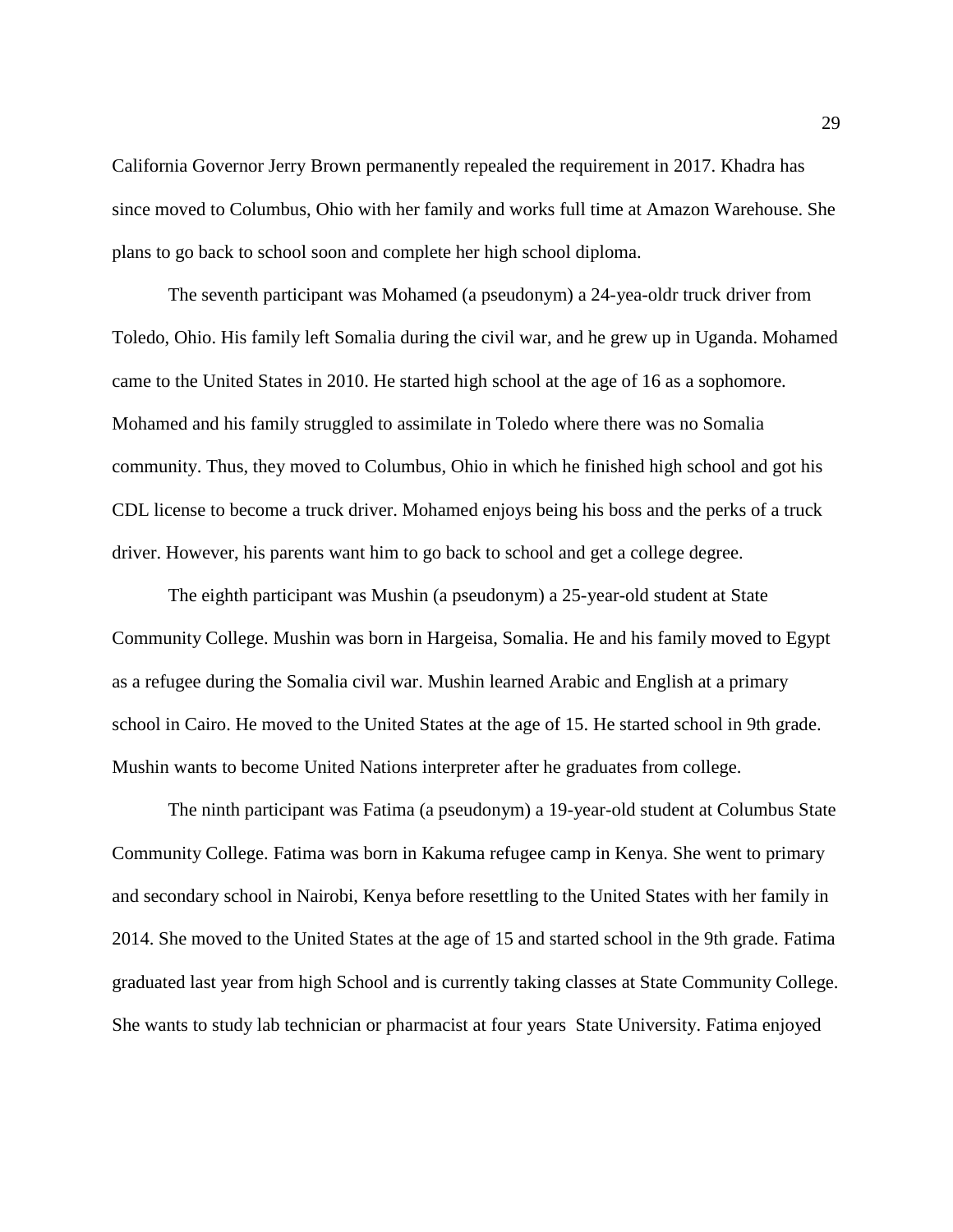California Governor Jerry Brown permanently repealed the requirement in 2017. Khadra has since moved to Columbus, Ohio with her family and works full time at Amazon Warehouse. She plans to go back to school soon and complete her high school diploma.

The seventh participant was Mohamed (a pseudonym) a 24-yea-oldr truck driver from Toledo, Ohio. His family left Somalia during the civil war, and he grew up in Uganda. Mohamed came to the United States in 2010. He started high school at the age of 16 as a sophomore. Mohamed and his family struggled to assimilate in Toledo where there was no Somalia community. Thus, they moved to Columbus, Ohio in which he finished high school and got his CDL license to become a truck driver. Mohamed enjoys being his boss and the perks of a truck driver. However, his parents want him to go back to school and get a college degree.

The eighth participant was Mushin (a pseudonym) a 25-year-old student at State Community College. Mushin was born in Hargeisa, Somalia. He and his family moved to Egypt as a refugee during the Somalia civil war. Mushin learned Arabic and English at a primary school in Cairo. He moved to the United States at the age of 15. He started school in 9th grade. Mushin wants to become United Nations interpreter after he graduates from college.

The ninth participant was Fatima (a pseudonym) a 19-year-old student at Columbus State Community College. Fatima was born in Kakuma refugee camp in Kenya. She went to primary and secondary school in Nairobi, Kenya before resettling to the United States with her family in 2014. She moved to the United States at the age of 15 and started school in the 9th grade. Fatima graduated last year from high School and is currently taking classes at State Community College. She wants to study lab technician or pharmacist at four years State University. Fatima enjoyed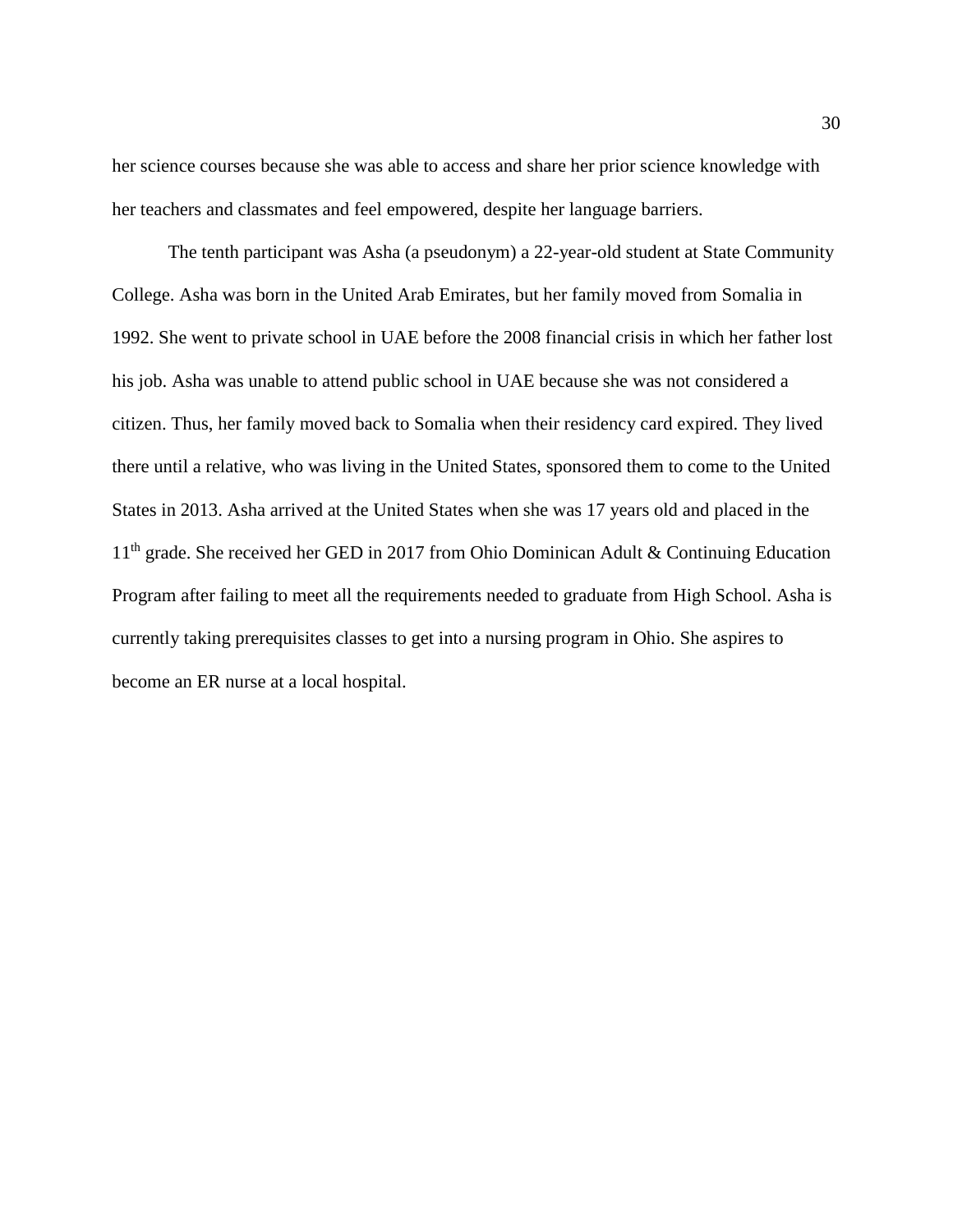her science courses because she was able to access and share her prior science knowledge with her teachers and classmates and feel empowered, despite her language barriers.

The tenth participant was Asha (a pseudonym) a 22-year-old student at State Community College. Asha was born in the United Arab Emirates, but her family moved from Somalia in 1992. She went to private school in UAE before the 2008 financial crisis in which her father lost his job. Asha was unable to attend public school in UAE because she was not considered a citizen. Thus, her family moved back to Somalia when their residency card expired. They lived there until a relative, who was living in the United States, sponsored them to come to the United States in 2013. Asha arrived at the United States when she was 17 years old and placed in the 11<sup>th</sup> grade. She received her GED in 2017 from Ohio Dominican Adult & Continuing Education Program after failing to meet all the requirements needed to graduate from High School. Asha is currently taking prerequisites classes to get into a nursing program in Ohio. She aspires to become an ER nurse at a local hospital.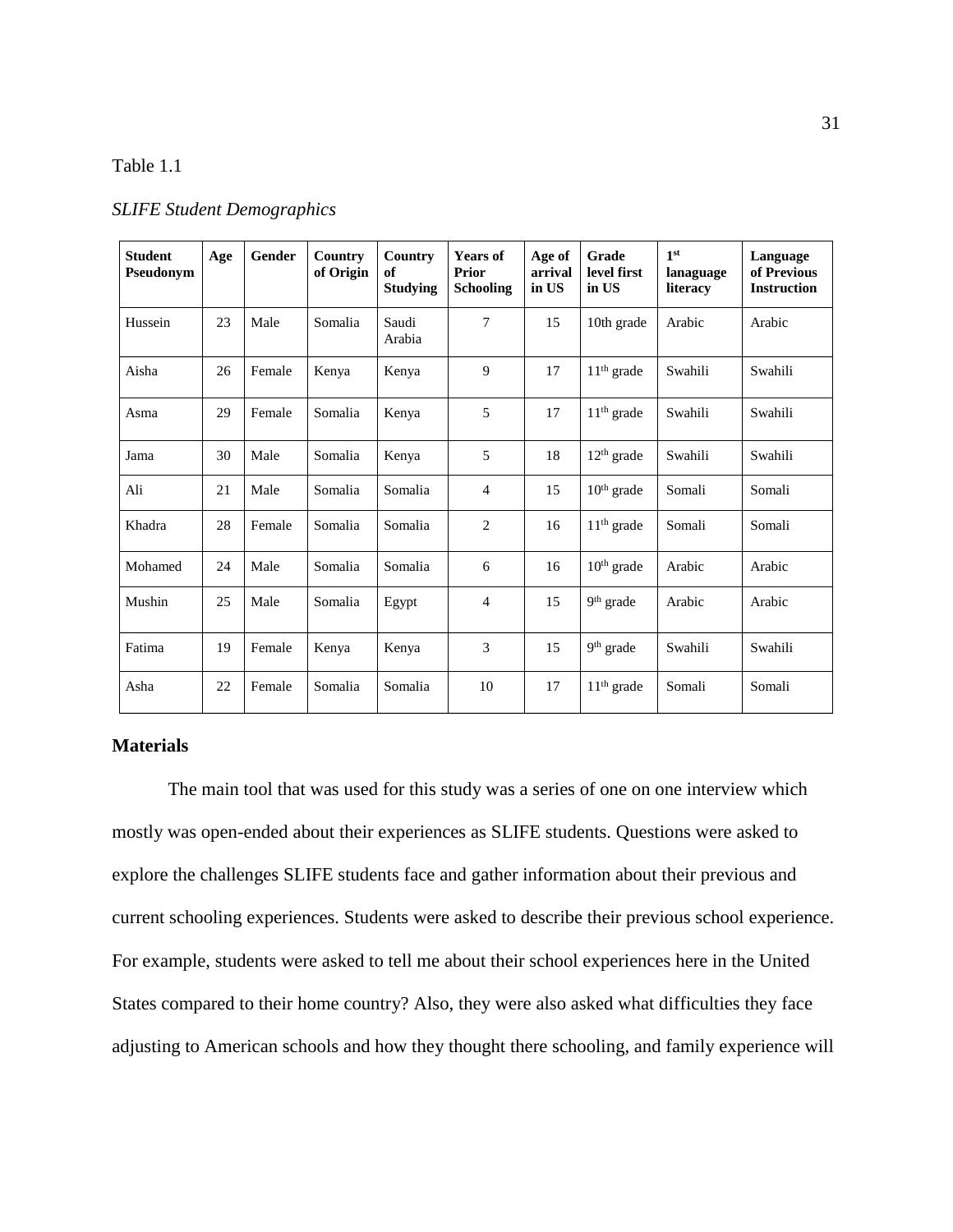# Table 1.1

|  | <b>SLIFE Student Demographics</b> |  |  |
|--|-----------------------------------|--|--|
|--|-----------------------------------|--|--|

| <b>Student</b><br>Pseudonym | Age | Gender | Country<br>of Origin | Country<br>of<br><b>Studying</b> | <b>Years of</b><br>Prior<br><b>Schooling</b> | Age of<br>arrival<br>in US | Grade<br>level first<br>in US | 1 <sup>st</sup><br>lanaguage<br>literacy | Language<br>of Previous<br><b>Instruction</b> |
|-----------------------------|-----|--------|----------------------|----------------------------------|----------------------------------------------|----------------------------|-------------------------------|------------------------------------------|-----------------------------------------------|
| Hussein                     | 23  | Male   | Somalia              | Saudi<br>Arabia                  | 7                                            | 15                         | 10th grade                    | Arabic                                   | Arabic                                        |
| Aisha                       | 26  | Female | Kenya                | Kenya                            | 9                                            | 17                         | $11th$ grade                  | Swahili                                  | Swahili                                       |
| Asma                        | 29  | Female | Somalia              | Kenya                            | 5                                            | 17                         | $11th$ grade                  | Swahili                                  | Swahili                                       |
| Jama                        | 30  | Male   | Somalia              | Kenya                            | 5                                            | 18                         | $12th$ grade                  | Swahili                                  | Swahili                                       |
| Ali                         | 21  | Male   | Somalia              | Somalia                          | $\overline{4}$                               | 15                         | $10th$ grade                  | Somali                                   | Somali                                        |
| Khadra                      | 28  | Female | Somalia              | Somalia                          | 2                                            | 16                         | $11th$ grade                  | Somali                                   | Somali                                        |
| Mohamed                     | 24  | Male   | Somalia              | Somalia                          | 6                                            | 16                         | $10th$ grade                  | Arabic                                   | Arabic                                        |
| Mushin                      | 25  | Male   | Somalia              | Egypt                            | $\overline{4}$                               | 15                         | 9 <sup>th</sup> grade         | Arabic                                   | Arabic                                        |
| Fatima                      | 19  | Female | Kenya                | Kenya                            | 3                                            | 15                         | 9 <sup>th</sup> grade         | Swahili                                  | Swahili                                       |
| Asha                        | 22  | Female | Somalia              | Somalia                          | 10                                           | 17                         | $11th$ grade                  | Somali                                   | Somali                                        |

# **Materials**

The main tool that was used for this study was a series of one on one interview which mostly was open-ended about their experiences as SLIFE students. Questions were asked to explore the challenges SLIFE students face and gather information about their previous and current schooling experiences. Students were asked to describe their previous school experience. For example, students were asked to tell me about their school experiences here in the United States compared to their home country? Also, they were also asked what difficulties they face adjusting to American schools and how they thought there schooling, and family experience will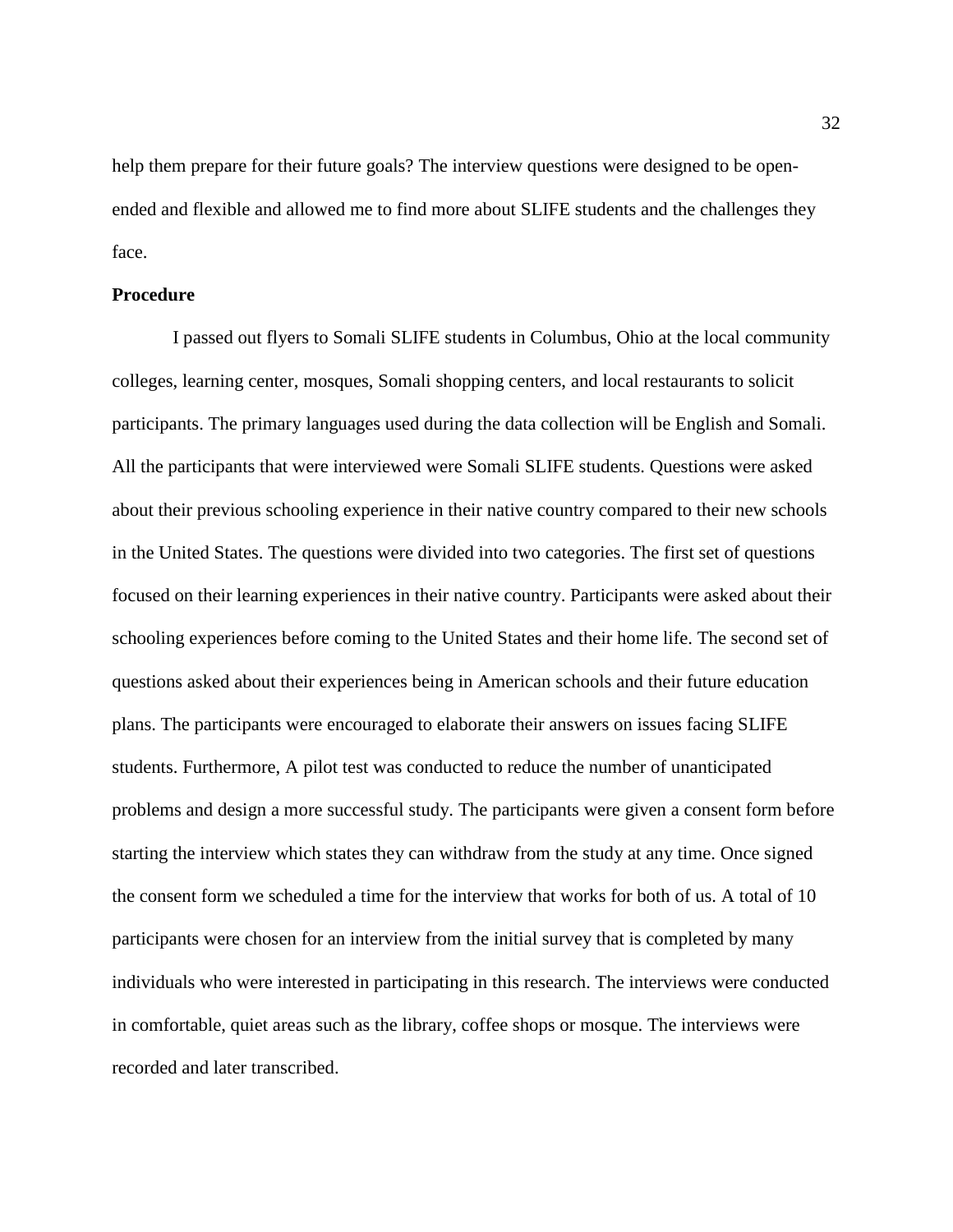help them prepare for their future goals? The interview questions were designed to be openended and flexible and allowed me to find more about SLIFE students and the challenges they face.

# **Procedure**

I passed out flyers to Somali SLIFE students in Columbus, Ohio at the local community colleges, learning center, mosques, Somali shopping centers, and local restaurants to solicit participants. The primary languages used during the data collection will be English and Somali. All the participants that were interviewed were Somali SLIFE students. Questions were asked about their previous schooling experience in their native country compared to their new schools in the United States. The questions were divided into two categories. The first set of questions focused on their learning experiences in their native country. Participants were asked about their schooling experiences before coming to the United States and their home life. The second set of questions asked about their experiences being in American schools and their future education plans. The participants were encouraged to elaborate their answers on issues facing SLIFE students. Furthermore, A pilot test was conducted to reduce the number of unanticipated problems and design a more successful study. The participants were given a consent form before starting the interview which states they can withdraw from the study at any time. Once signed the consent form we scheduled a time for the interview that works for both of us. A total of 10 participants were chosen for an interview from the initial survey that is completed by many individuals who were interested in participating in this research. The interviews were conducted in comfortable, quiet areas such as the library, coffee shops or mosque. The interviews were recorded and later transcribed.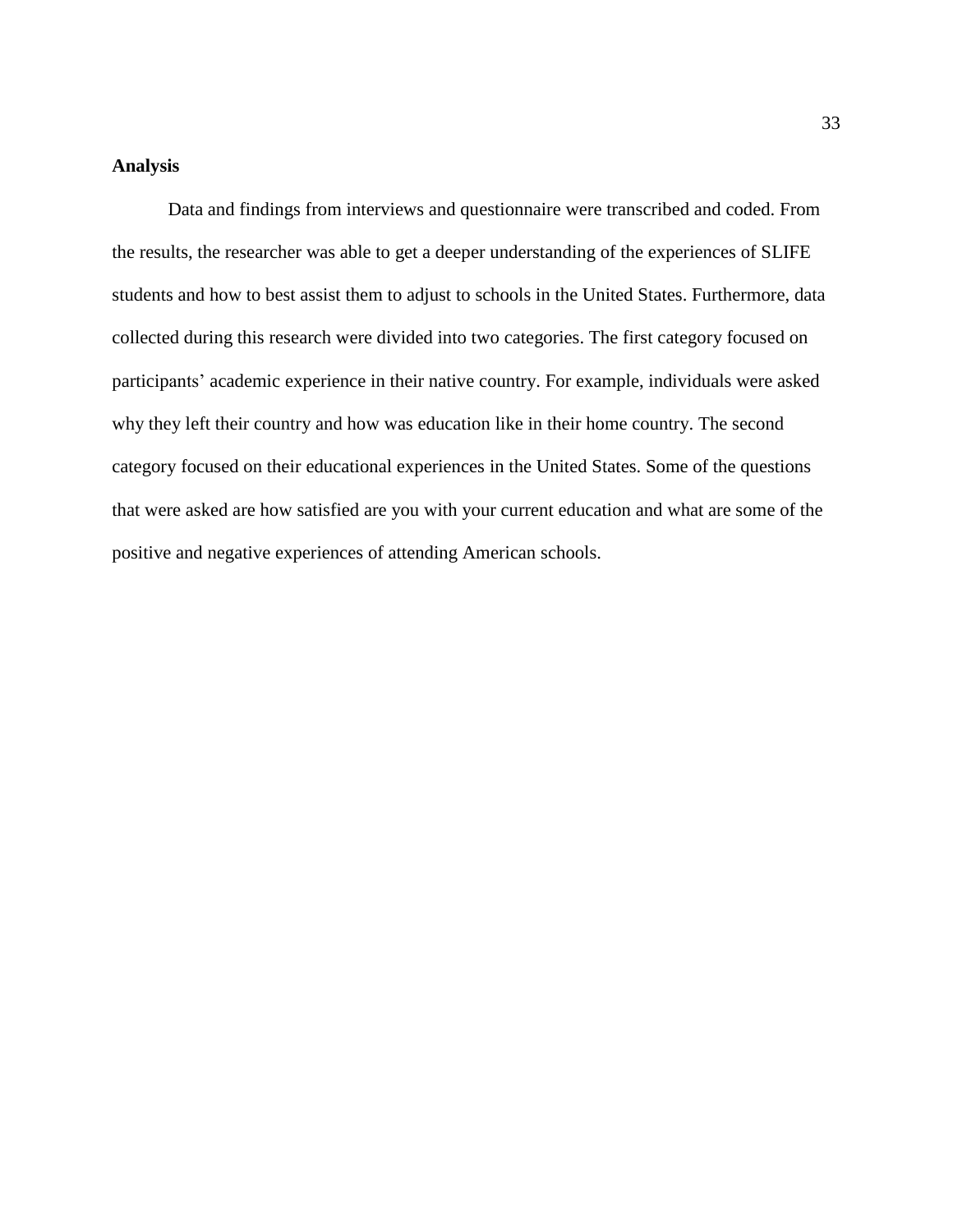# **Analysis**

Data and findings from interviews and questionnaire were transcribed and coded. From the results, the researcher was able to get a deeper understanding of the experiences of SLIFE students and how to best assist them to adjust to schools in the United States. Furthermore, data collected during this research were divided into two categories. The first category focused on participants' academic experience in their native country. For example, individuals were asked why they left their country and how was education like in their home country. The second category focused on their educational experiences in the United States. Some of the questions that were asked are how satisfied are you with your current education and what are some of the positive and negative experiences of attending American schools.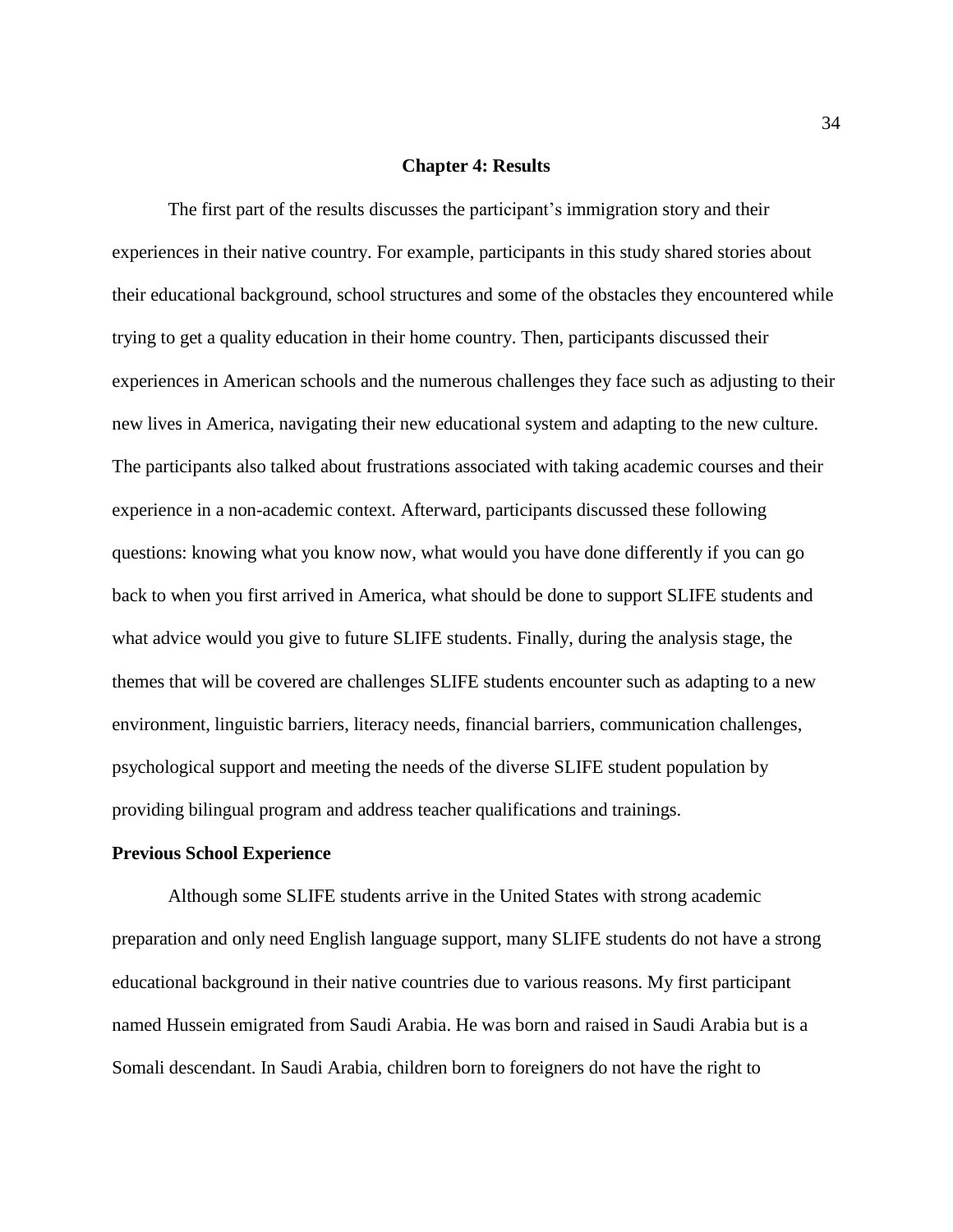## **Chapter 4: Results**

The first part of the results discusses the participant's immigration story and their experiences in their native country. For example, participants in this study shared stories about their educational background, school structures and some of the obstacles they encountered while trying to get a quality education in their home country. Then, participants discussed their experiences in American schools and the numerous challenges they face such as adjusting to their new lives in America, navigating their new educational system and adapting to the new culture. The participants also talked about frustrations associated with taking academic courses and their experience in a non-academic context. Afterward, participants discussed these following questions: knowing what you know now, what would you have done differently if you can go back to when you first arrived in America, what should be done to support SLIFE students and what advice would you give to future SLIFE students. Finally, during the analysis stage, the themes that will be covered are challenges SLIFE students encounter such as adapting to a new environment, linguistic barriers, literacy needs, financial barriers, communication challenges, psychological support and meeting the needs of the diverse SLIFE student population by providing bilingual program and address teacher qualifications and trainings.

#### **Previous School Experience**

Although some SLIFE students arrive in the United States with strong academic preparation and only need English language support, many SLIFE students do not have a strong educational background in their native countries due to various reasons. My first participant named Hussein emigrated from Saudi Arabia. He was born and raised in Saudi Arabia but is a Somali descendant. In Saudi Arabia, children born to foreigners do not have the right to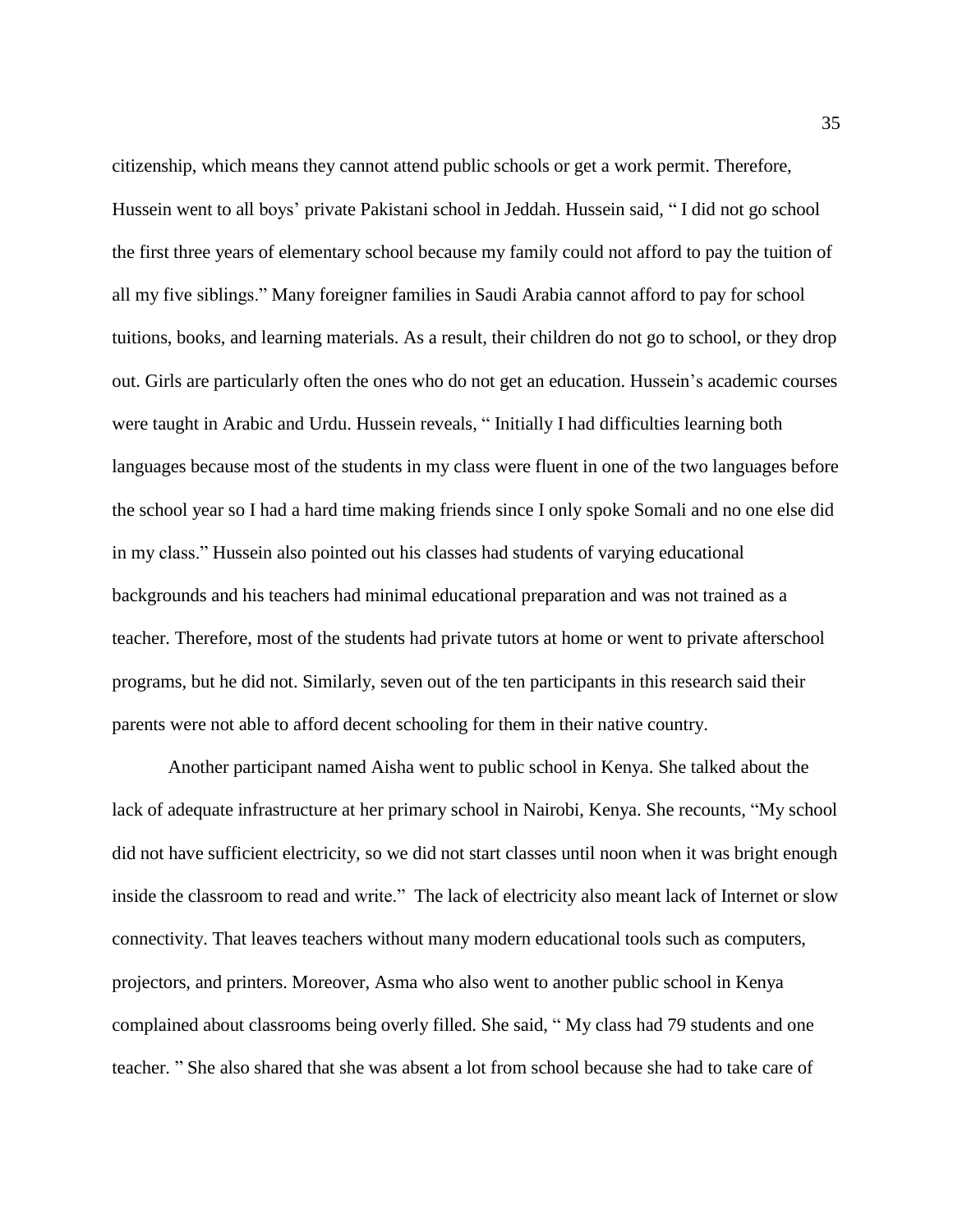citizenship, which means they cannot attend public schools or get a work permit. Therefore, Hussein went to all boys' private Pakistani school in Jeddah. Hussein said, " I did not go school the first three years of elementary school because my family could not afford to pay the tuition of all my five siblings." Many foreigner families in Saudi Arabia cannot afford to pay for school tuitions, books, and learning materials. As a result, their children do not go to school, or they drop out. Girls are particularly often the ones who do not get an education. Hussein's academic courses were taught in Arabic and Urdu. Hussein reveals, " Initially I had difficulties learning both languages because most of the students in my class were fluent in one of the two languages before the school year so I had a hard time making friends since I only spoke Somali and no one else did in my class." Hussein also pointed out his classes had students of varying educational backgrounds and his teachers had minimal educational preparation and was not trained as a teacher. Therefore, most of the students had private tutors at home or went to private afterschool programs, but he did not. Similarly, seven out of the ten participants in this research said their parents were not able to afford decent schooling for them in their native country.

Another participant named Aisha went to public school in Kenya. She talked about the lack of adequate infrastructure at her primary school in Nairobi, Kenya. She recounts, "My school did not have sufficient electricity, so we did not start classes until noon when it was bright enough inside the classroom to read and write." The lack of electricity also meant lack of Internet or slow connectivity. That leaves teachers without many modern educational tools such as computers, projectors, and printers. Moreover, Asma who also went to another public school in Kenya complained about classrooms being overly filled. She said, " My class had 79 students and one teacher. " She also shared that she was absent a lot from school because she had to take care of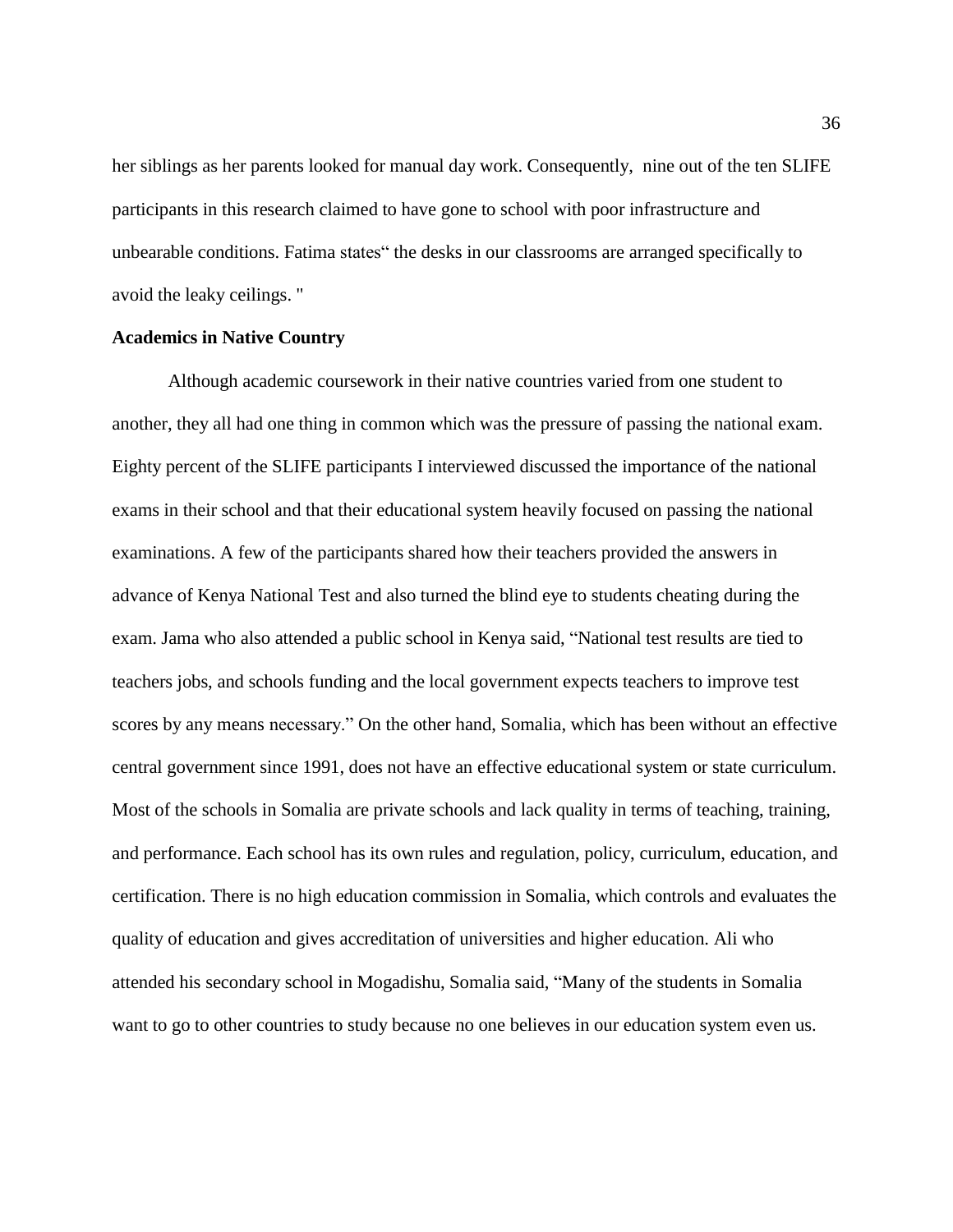her siblings as her parents looked for manual day work. Consequently, nine out of the ten SLIFE participants in this research claimed to have gone to school with poor infrastructure and unbearable conditions. Fatima states" the desks in our classrooms are arranged specifically to avoid the leaky ceilings. "

# **Academics in Native Country**

Although academic coursework in their native countries varied from one student to another, they all had one thing in common which was the pressure of passing the national exam. Eighty percent of the SLIFE participants I interviewed discussed the importance of the national exams in their school and that their educational system heavily focused on passing the national examinations. A few of the participants shared how their teachers provided the answers in advance of Kenya National Test and also turned the blind eye to students cheating during the exam. Jama who also attended a public school in Kenya said, "National test results are tied to teachers jobs, and schools funding and the local government expects teachers to improve test scores by any means necessary." On the other hand, Somalia, which has been without an effective central government since 1991, does not have an effective educational system or state curriculum. Most of the schools in Somalia are private schools and lack quality in terms of teaching, training, and performance. Each school has its own rules and regulation, policy, curriculum, education, and certification. There is no high education commission in Somalia, which controls and evaluates the quality of education and gives accreditation of universities and higher education. Ali who attended his secondary school in Mogadishu, Somalia said, "Many of the students in Somalia want to go to other countries to study because no one believes in our education system even us.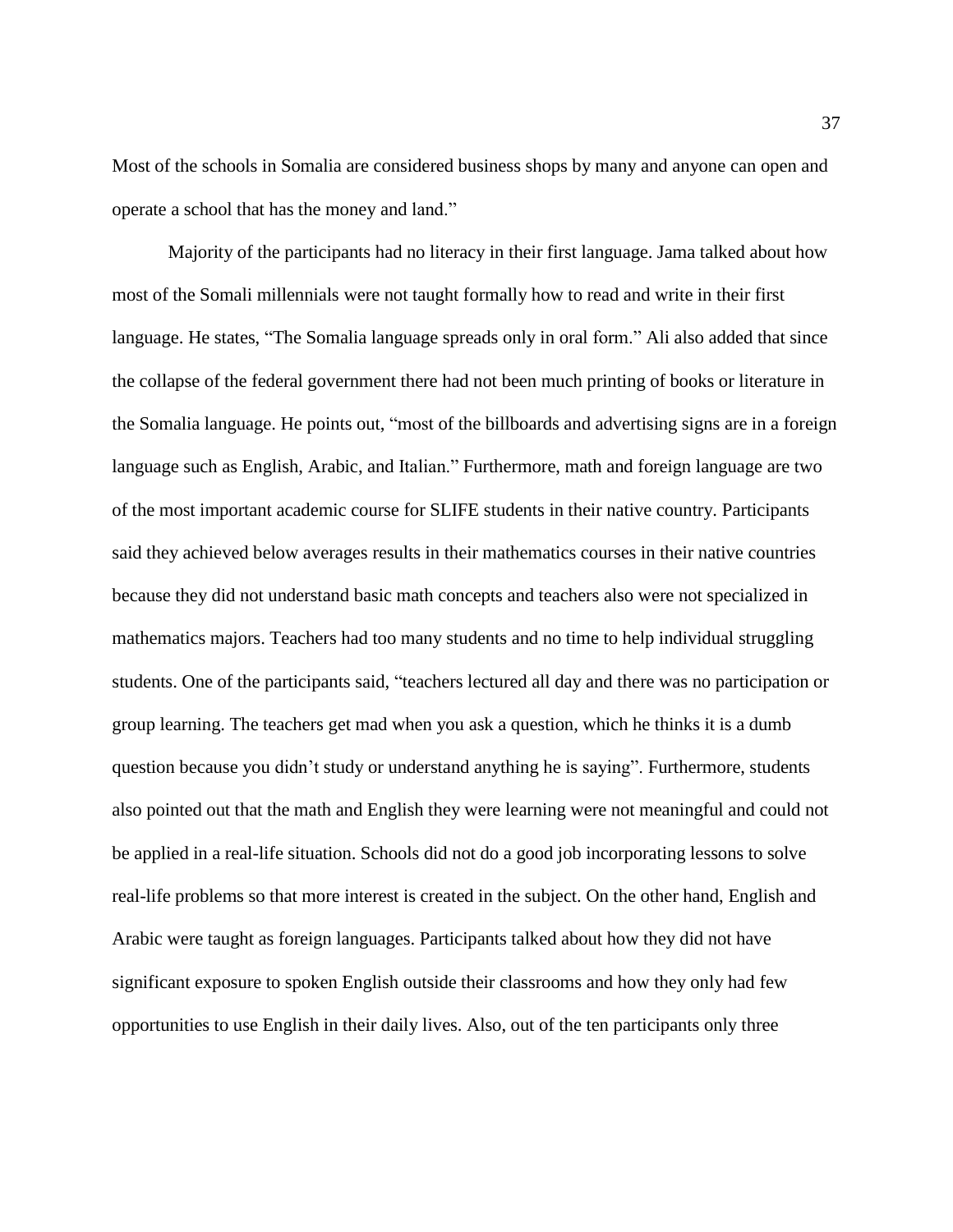Most of the schools in Somalia are considered business shops by many and anyone can open and operate a school that has the money and land."

Majority of the participants had no literacy in their first language. Jama talked about how most of the Somali millennials were not taught formally how to read and write in their first language. He states, "The Somalia language spreads only in oral form." Ali also added that since the collapse of the federal government there had not been much printing of books or literature in the Somalia language. He points out, "most of the billboards and advertising signs are in a foreign language such as English, Arabic, and Italian." Furthermore, math and foreign language are two of the most important academic course for SLIFE students in their native country. Participants said they achieved below averages results in their mathematics courses in their native countries because they did not understand basic math concepts and teachers also were not specialized in mathematics majors. Teachers had too many students and no time to help individual struggling students. One of the participants said, "teachers lectured all day and there was no participation or group learning. The teachers get mad when you ask a question, which he thinks it is a dumb question because you didn't study or understand anything he is saying". Furthermore, students also pointed out that the math and English they were learning were not meaningful and could not be applied in a real-life situation. Schools did not do a good job incorporating lessons to solve real-life problems so that more interest is created in the subject. On the other hand, English and Arabic were taught as foreign languages. Participants talked about how they did not have significant exposure to spoken English outside their classrooms and how they only had few opportunities to use English in their daily lives. Also, out of the ten participants only three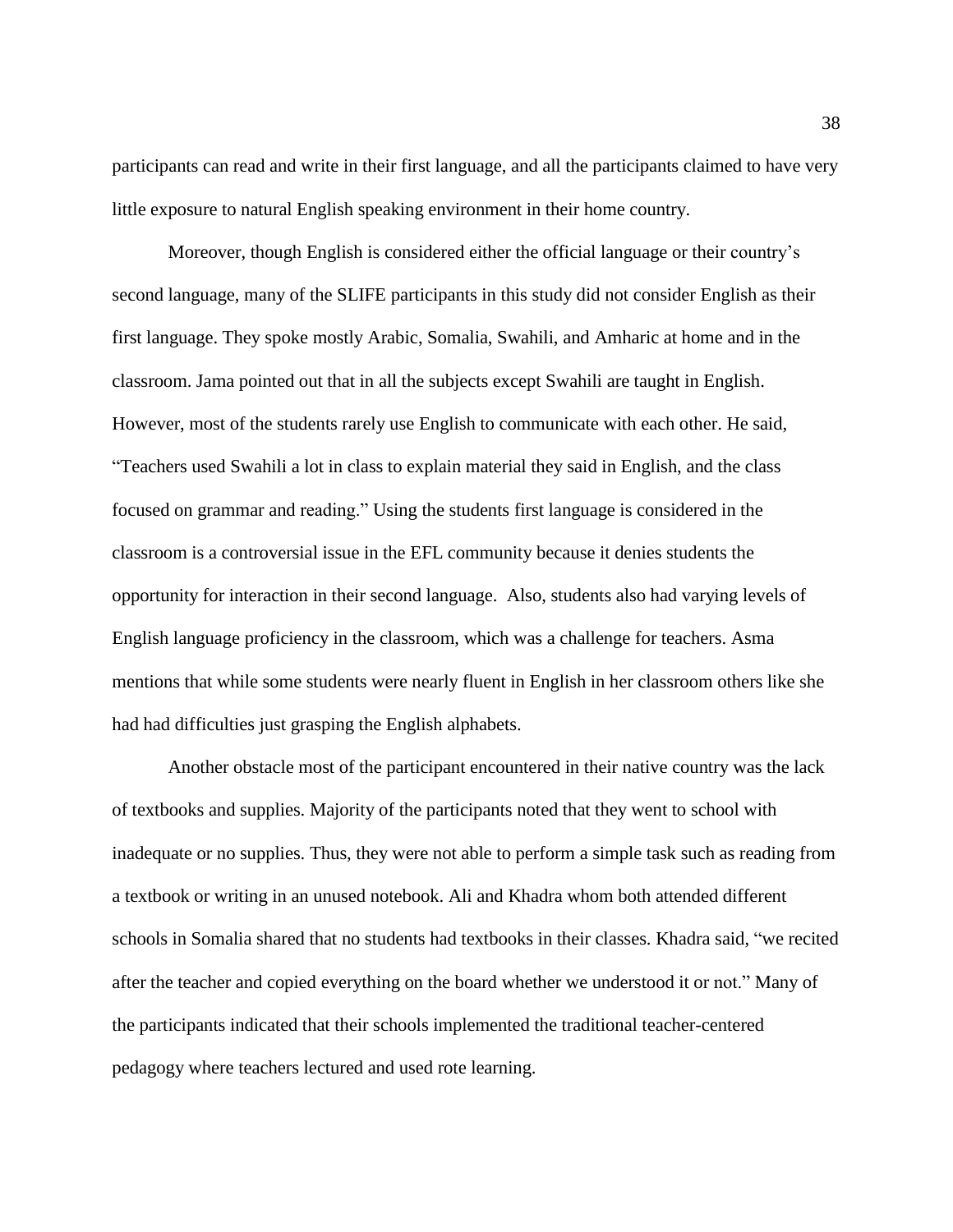participants can read and write in their first language, and all the participants claimed to have very little exposure to natural English speaking environment in their home country.

Moreover, though English is considered either the official language or their country's second language, many of the SLIFE participants in this study did not consider English as their first language. They spoke mostly Arabic, Somalia, Swahili, and Amharic at home and in the classroom. Jama pointed out that in all the subjects except Swahili are taught in English. However, most of the students rarely use English to communicate with each other. He said, "Teachers used Swahili a lot in class to explain material they said in English, and the class focused on grammar and reading." Using the students first language is considered in the classroom is a controversial issue in the EFL community because it denies students the opportunity for interaction in their second language. Also, students also had varying levels of English language proficiency in the classroom, which was a challenge for teachers. Asma mentions that while some students were nearly fluent in English in her classroom others like she had had difficulties just grasping the English alphabets.

Another obstacle most of the participant encountered in their native country was the lack of textbooks and supplies. Majority of the participants noted that they went to school with inadequate or no supplies. Thus, they were not able to perform a simple task such as reading from a textbook or writing in an unused notebook. Ali and Khadra whom both attended different schools in Somalia shared that no students had textbooks in their classes. Khadra said, "we recited after the teacher and copied everything on the board whether we understood it or not." Many of the participants indicated that their schools implemented the traditional teacher-centered pedagogy where teachers lectured and used rote learning.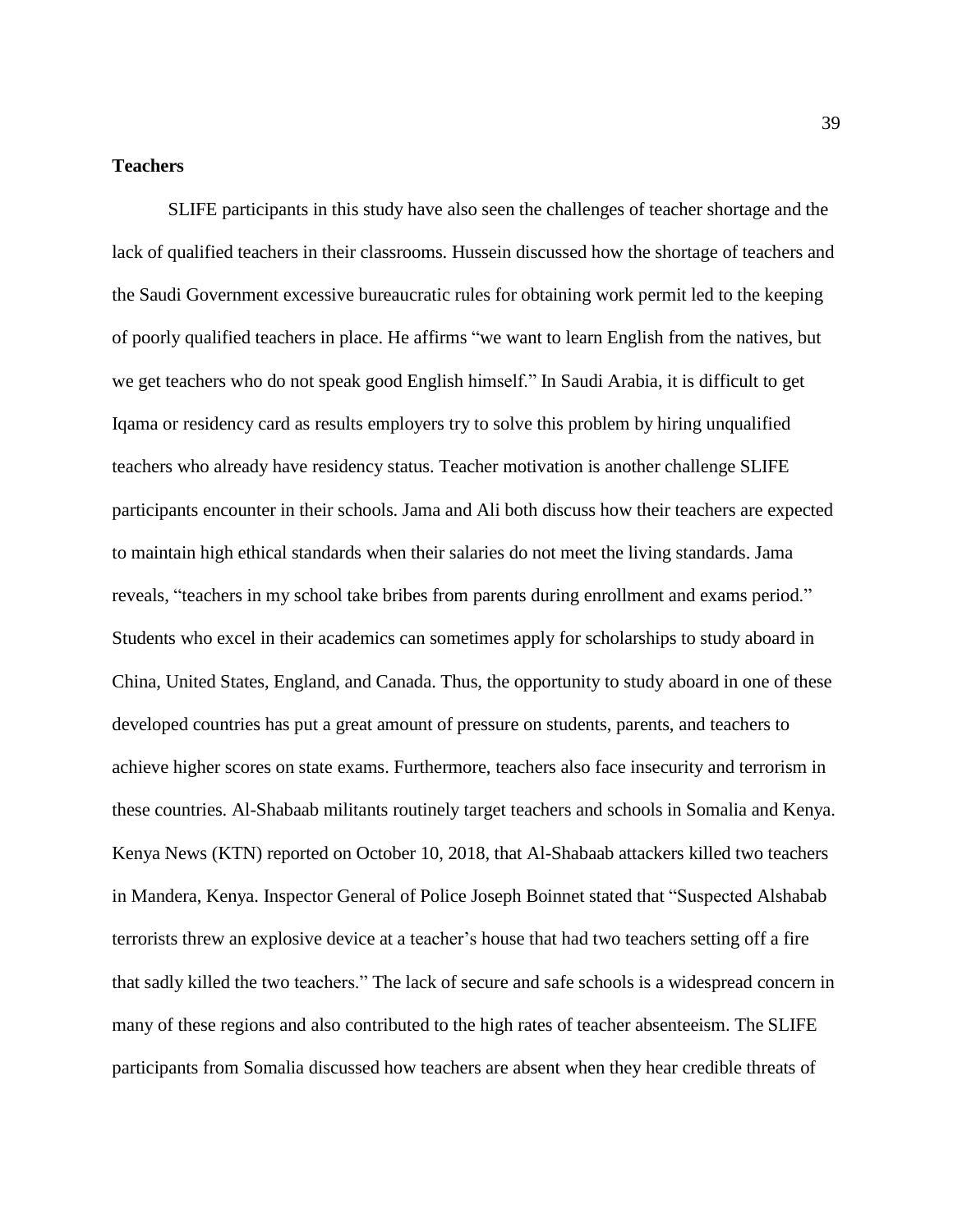# **Teachers**

SLIFE participants in this study have also seen the challenges of teacher shortage and the lack of qualified teachers in their classrooms. Hussein discussed how the shortage of teachers and the Saudi Government excessive bureaucratic rules for obtaining work permit led to the keeping of poorly qualified teachers in place. He affirms "we want to learn English from the natives, but we get teachers who do not speak good English himself." In Saudi Arabia, it is difficult to get Iqama or residency card as results employers try to solve this problem by hiring unqualified teachers who already have residency status. Teacher motivation is another challenge SLIFE participants encounter in their schools. Jama and Ali both discuss how their teachers are expected to maintain high ethical standards when their salaries do not meet the living standards. Jama reveals, "teachers in my school take bribes from parents during enrollment and exams period." Students who excel in their academics can sometimes apply for scholarships to study aboard in China, United States, England, and Canada. Thus, the opportunity to study aboard in one of these developed countries has put a great amount of pressure on students, parents, and teachers to achieve higher scores on state exams. Furthermore, teachers also face insecurity and terrorism in these countries. Al-Shabaab militants routinely target teachers and schools in Somalia and Kenya. Kenya News (KTN) reported on October 10, 2018, that Al-Shabaab attackers killed two teachers in Mandera, Kenya. Inspector General of Police Joseph Boinnet stated that "Suspected Alshabab terrorists threw an explosive device at a teacher's house that had two teachers setting off a fire that sadly killed the two teachers." The lack of secure and safe schools is a widespread concern in many of these regions and also contributed to the high rates of teacher absenteeism. The SLIFE participants from Somalia discussed how teachers are absent when they hear credible threats of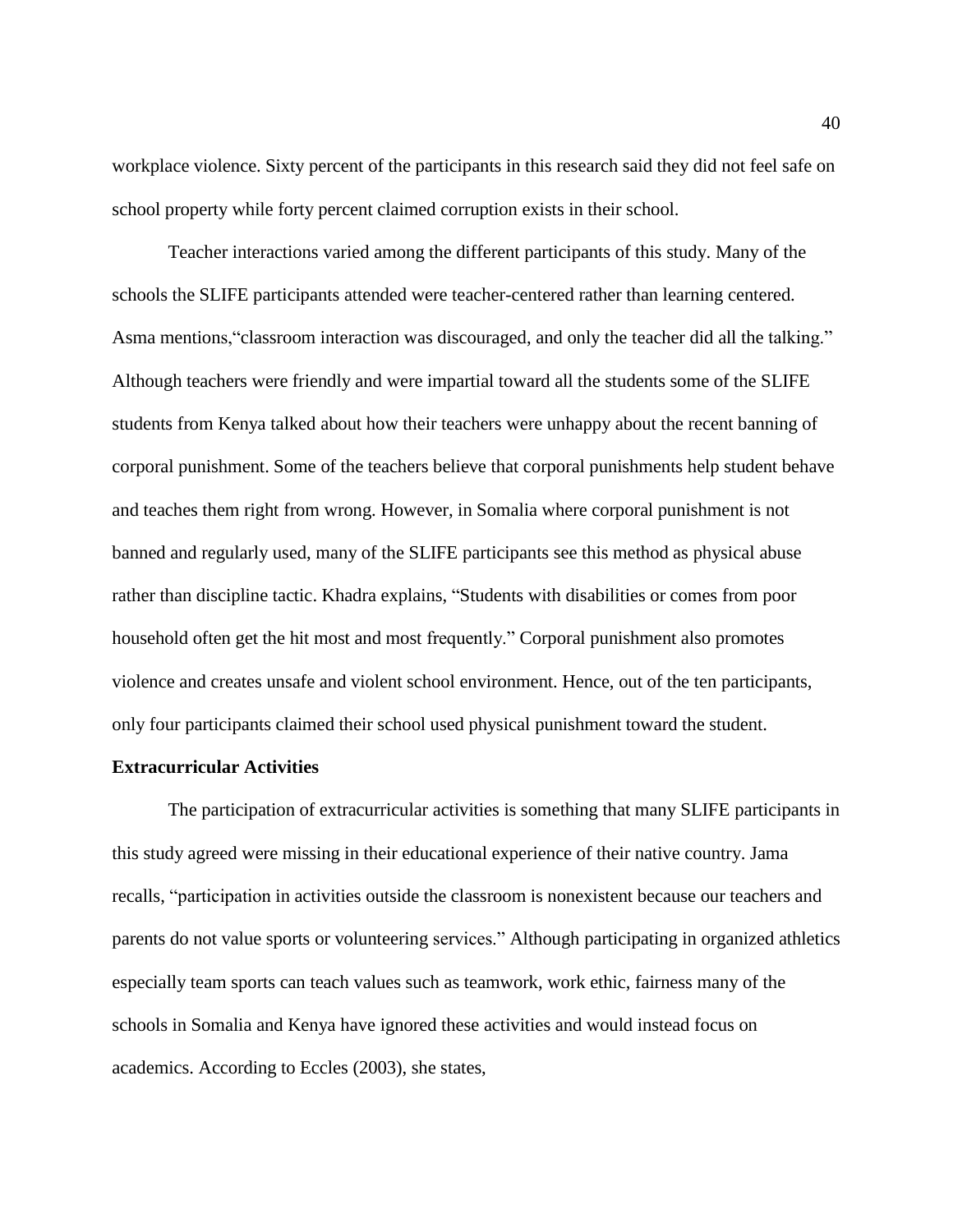workplace violence. Sixty percent of the participants in this research said they did not feel safe on school property while forty percent claimed corruption exists in their school.

Teacher interactions varied among the different participants of this study. Many of the schools the SLIFE participants attended were teacher-centered rather than learning centered. Asma mentions, "classroom interaction was discouraged, and only the teacher did all the talking." Although teachers were friendly and were impartial toward all the students some of the SLIFE students from Kenya talked about how their teachers were unhappy about the recent banning of corporal punishment. Some of the teachers believe that corporal punishments help student behave and teaches them right from wrong. However, in Somalia where corporal punishment is not banned and regularly used, many of the SLIFE participants see this method as physical abuse rather than discipline tactic. Khadra explains, "Students with disabilities or comes from poor household often get the hit most and most frequently." Corporal punishment also promotes violence and creates unsafe and violent school environment. Hence, out of the ten participants, only four participants claimed their school used physical punishment toward the student.

# **Extracurricular Activities**

The participation of extracurricular activities is something that many SLIFE participants in this study agreed were missing in their educational experience of their native country. Jama recalls, "participation in activities outside the classroom is nonexistent because our teachers and parents do not value sports or volunteering services." Although participating in organized athletics especially team sports can teach values such as teamwork, work ethic, fairness many of the schools in Somalia and Kenya have ignored these activities and would instead focus on academics. According to Eccles (2003), she states,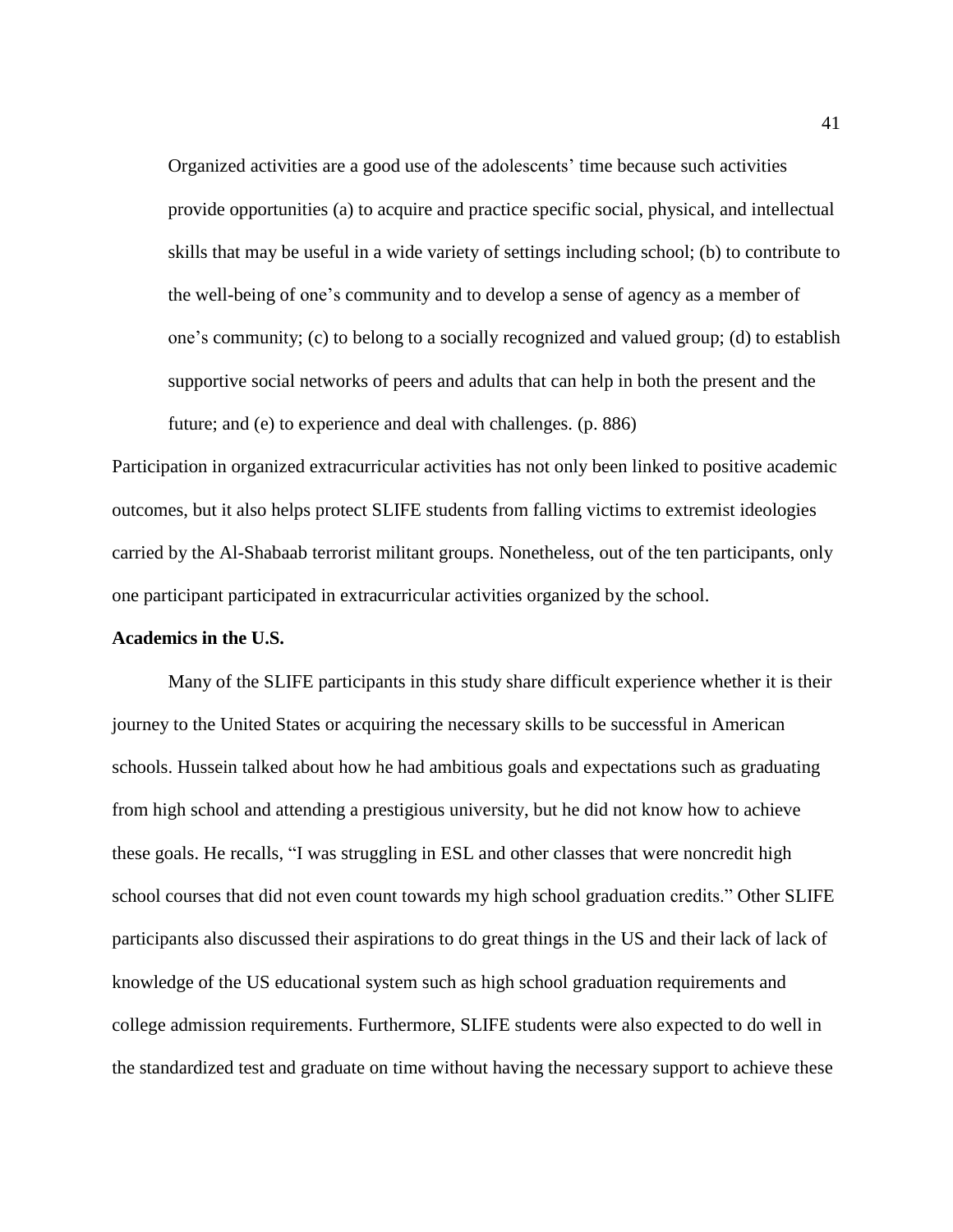Organized activities are a good use of the adolescents' time because such activities provide opportunities (a) to acquire and practice specific social, physical, and intellectual skills that may be useful in a wide variety of settings including school; (b) to contribute to the well-being of one's community and to develop a sense of agency as a member of one's community; (c) to belong to a socially recognized and valued group; (d) to establish supportive social networks of peers and adults that can help in both the present and the future; and (e) to experience and deal with challenges. (p. 886)

Participation in organized extracurricular activities has not only been linked to positive academic outcomes, but it also helps protect SLIFE students from falling victims to extremist ideologies carried by the Al-Shabaab terrorist militant groups. Nonetheless, out of the ten participants, only one participant participated in extracurricular activities organized by the school.

#### **Academics in the U.S.**

Many of the SLIFE participants in this study share difficult experience whether it is their journey to the United States or acquiring the necessary skills to be successful in American schools. Hussein talked about how he had ambitious goals and expectations such as graduating from high school and attending a prestigious university, but he did not know how to achieve these goals. He recalls, "I was struggling in ESL and other classes that were noncredit high school courses that did not even count towards my high school graduation credits." Other SLIFE participants also discussed their aspirations to do great things in the US and their lack of lack of knowledge of the US educational system such as high school graduation requirements and college admission requirements. Furthermore, SLIFE students were also expected to do well in the standardized test and graduate on time without having the necessary support to achieve these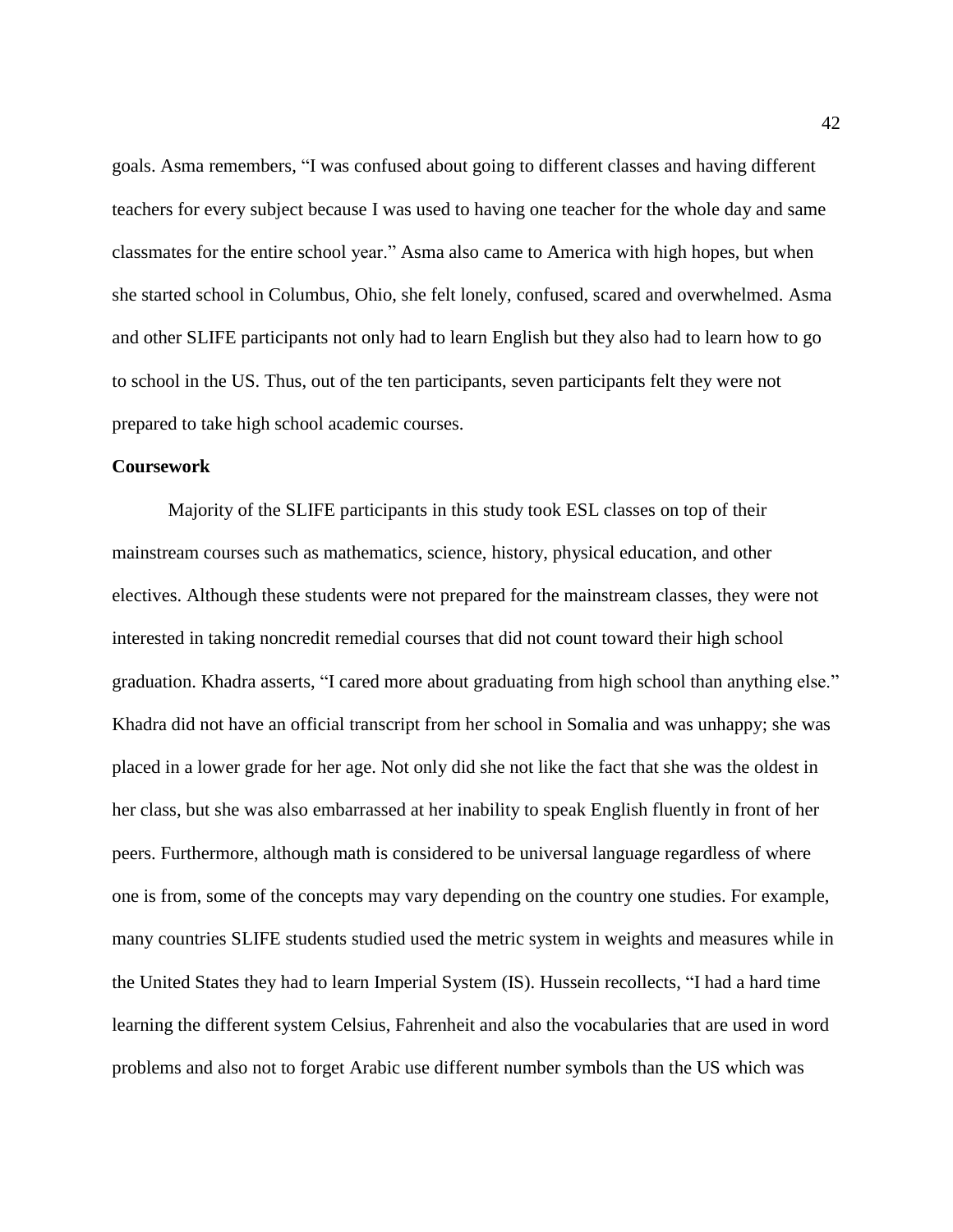goals. Asma remembers, "I was confused about going to different classes and having different teachers for every subject because I was used to having one teacher for the whole day and same classmates for the entire school year." Asma also came to America with high hopes, but when she started school in Columbus, Ohio, she felt lonely, confused, scared and overwhelmed. Asma and other SLIFE participants not only had to learn English but they also had to learn how to go to school in the US. Thus, out of the ten participants, seven participants felt they were not prepared to take high school academic courses.

# **Coursework**

Majority of the SLIFE participants in this study took ESL classes on top of their mainstream courses such as mathematics, science, history, physical education, and other electives. Although these students were not prepared for the mainstream classes, they were not interested in taking noncredit remedial courses that did not count toward their high school graduation. Khadra asserts, "I cared more about graduating from high school than anything else." Khadra did not have an official transcript from her school in Somalia and was unhappy; she was placed in a lower grade for her age. Not only did she not like the fact that she was the oldest in her class, but she was also embarrassed at her inability to speak English fluently in front of her peers. Furthermore, although math is considered to be universal language regardless of where one is from, some of the concepts may vary depending on the country one studies. For example, many countries SLIFE students studied used the metric system in weights and measures while in the United States they had to learn Imperial System (IS). Hussein recollects, "I had a hard time learning the different system Celsius, Fahrenheit and also the vocabularies that are used in word problems and also not to forget Arabic use different number symbols than the US which was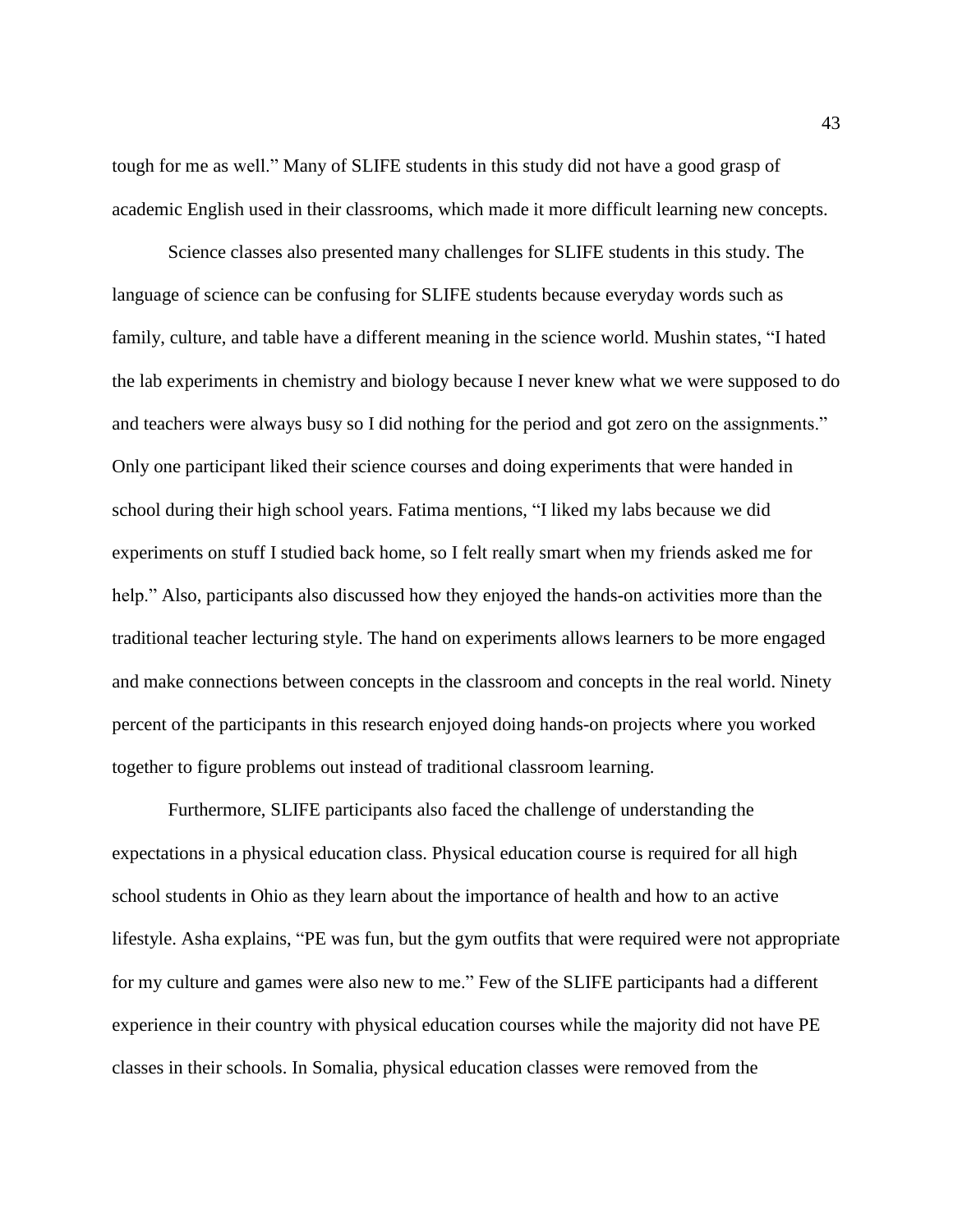tough for me as well." Many of SLIFE students in this study did not have a good grasp of academic English used in their classrooms, which made it more difficult learning new concepts.

Science classes also presented many challenges for SLIFE students in this study. The language of science can be confusing for SLIFE students because everyday words such as family, culture, and table have a different meaning in the science world. Mushin states, "I hated the lab experiments in chemistry and biology because I never knew what we were supposed to do and teachers were always busy so I did nothing for the period and got zero on the assignments." Only one participant liked their science courses and doing experiments that were handed in school during their high school years. Fatima mentions, "I liked my labs because we did experiments on stuff I studied back home, so I felt really smart when my friends asked me for help." Also, participants also discussed how they enjoyed the hands-on activities more than the traditional teacher lecturing style. The hand on experiments allows learners to be more engaged and make connections between concepts in the classroom and concepts in the real world. Ninety percent of the participants in this research enjoyed doing hands-on projects where you worked together to figure problems out instead of traditional classroom learning.

Furthermore, SLIFE participants also faced the challenge of understanding the expectations in a physical education class. Physical education course is required for all high school students in Ohio as they learn about the importance of health and how to an active lifestyle. Asha explains, "PE was fun, but the gym outfits that were required were not appropriate for my culture and games were also new to me." Few of the SLIFE participants had a different experience in their country with physical education courses while the majority did not have PE classes in their schools. In Somalia, physical education classes were removed from the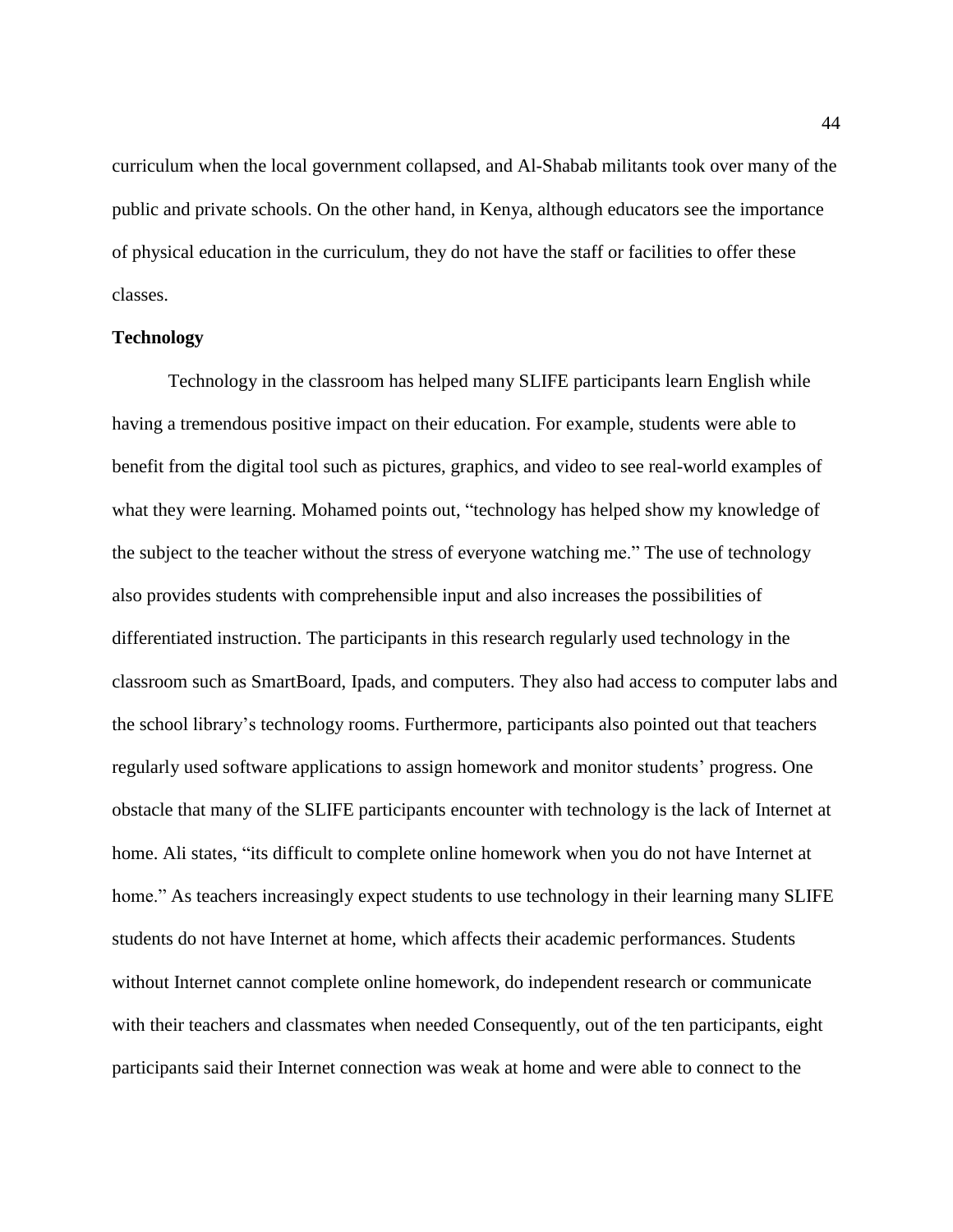curriculum when the local government collapsed, and Al-Shabab militants took over many of the public and private schools. On the other hand, in Kenya, although educators see the importance of physical education in the curriculum, they do not have the staff or facilities to offer these classes.

# **Technology**

Technology in the classroom has helped many SLIFE participants learn English while having a tremendous positive impact on their education. For example, students were able to benefit from the digital tool such as pictures, graphics, and video to see real-world examples of what they were learning. Mohamed points out, "technology has helped show my knowledge of the subject to the teacher without the stress of everyone watching me." The use of technology also provides students with comprehensible input and also increases the possibilities of differentiated instruction. The participants in this research regularly used technology in the classroom such as SmartBoard, Ipads, and computers. They also had access to computer labs and the school library's technology rooms. Furthermore, participants also pointed out that teachers regularly used software applications to assign homework and monitor students' progress. One obstacle that many of the SLIFE participants encounter with technology is the lack of Internet at home. Ali states, "its difficult to complete online homework when you do not have Internet at home." As teachers increasingly expect students to use technology in their learning many SLIFE students do not have Internet at home, which affects their academic performances. Students without Internet cannot complete online homework, do independent research or communicate with their teachers and classmates when needed Consequently, out of the ten participants, eight participants said their Internet connection was weak at home and were able to connect to the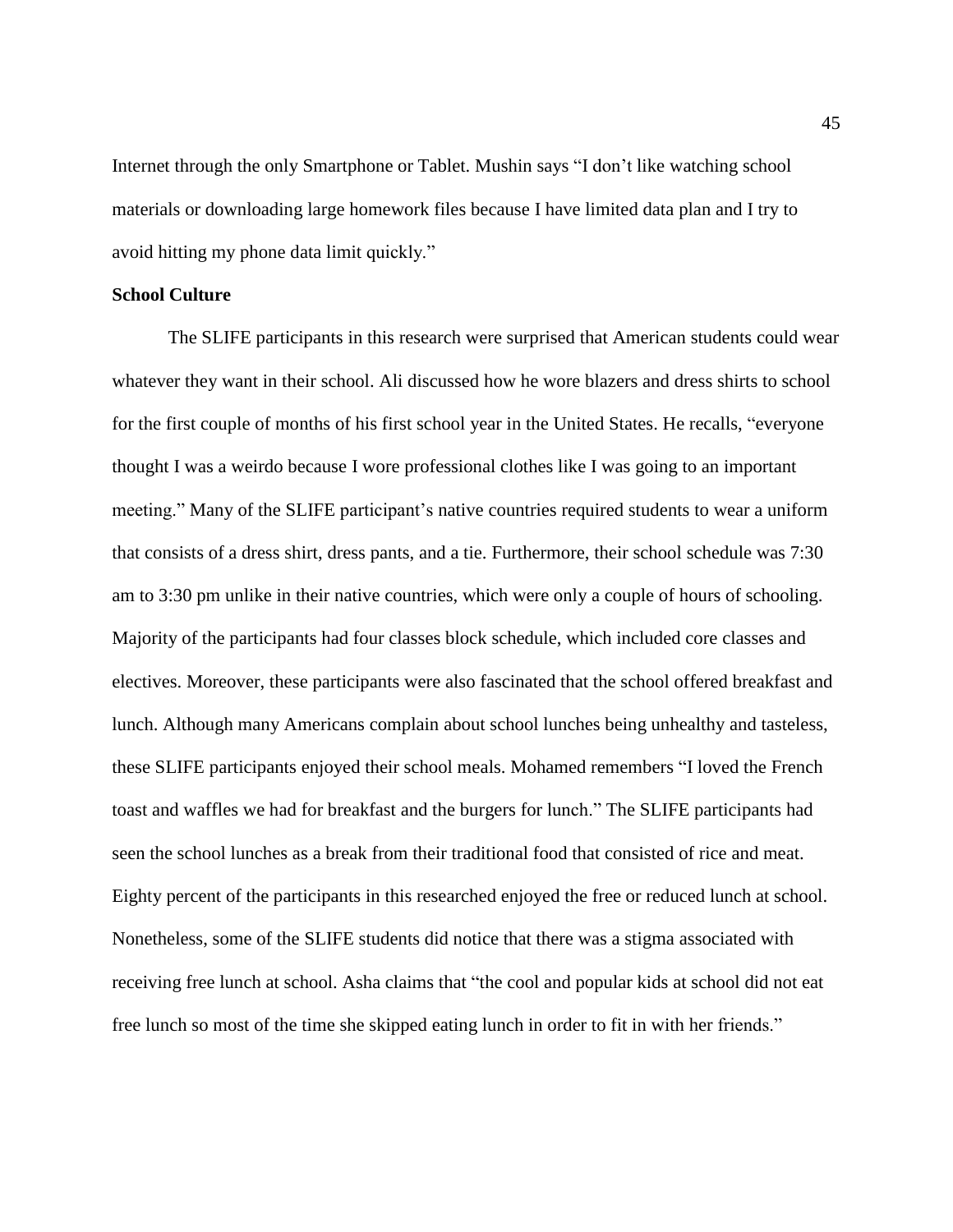Internet through the only Smartphone or Tablet. Mushin says "I don't like watching school materials or downloading large homework files because I have limited data plan and I try to avoid hitting my phone data limit quickly."

# **School Culture**

The SLIFE participants in this research were surprised that American students could wear whatever they want in their school. Ali discussed how he wore blazers and dress shirts to school for the first couple of months of his first school year in the United States. He recalls, "everyone thought I was a weirdo because I wore professional clothes like I was going to an important meeting." Many of the SLIFE participant's native countries required students to wear a uniform that consists of a dress shirt, dress pants, and a tie. Furthermore, their school schedule was 7:30 am to 3:30 pm unlike in their native countries, which were only a couple of hours of schooling. Majority of the participants had four classes block schedule, which included core classes and electives. Moreover, these participants were also fascinated that the school offered breakfast and lunch. Although many Americans complain about school lunches being unhealthy and tasteless, these SLIFE participants enjoyed their school meals. Mohamed remembers "I loved the French toast and waffles we had for breakfast and the burgers for lunch." The SLIFE participants had seen the school lunches as a break from their traditional food that consisted of rice and meat. Eighty percent of the participants in this researched enjoyed the free or reduced lunch at school. Nonetheless, some of the SLIFE students did notice that there was a stigma associated with receiving free lunch at school. Asha claims that "the cool and popular kids at school did not eat free lunch so most of the time she skipped eating lunch in order to fit in with her friends."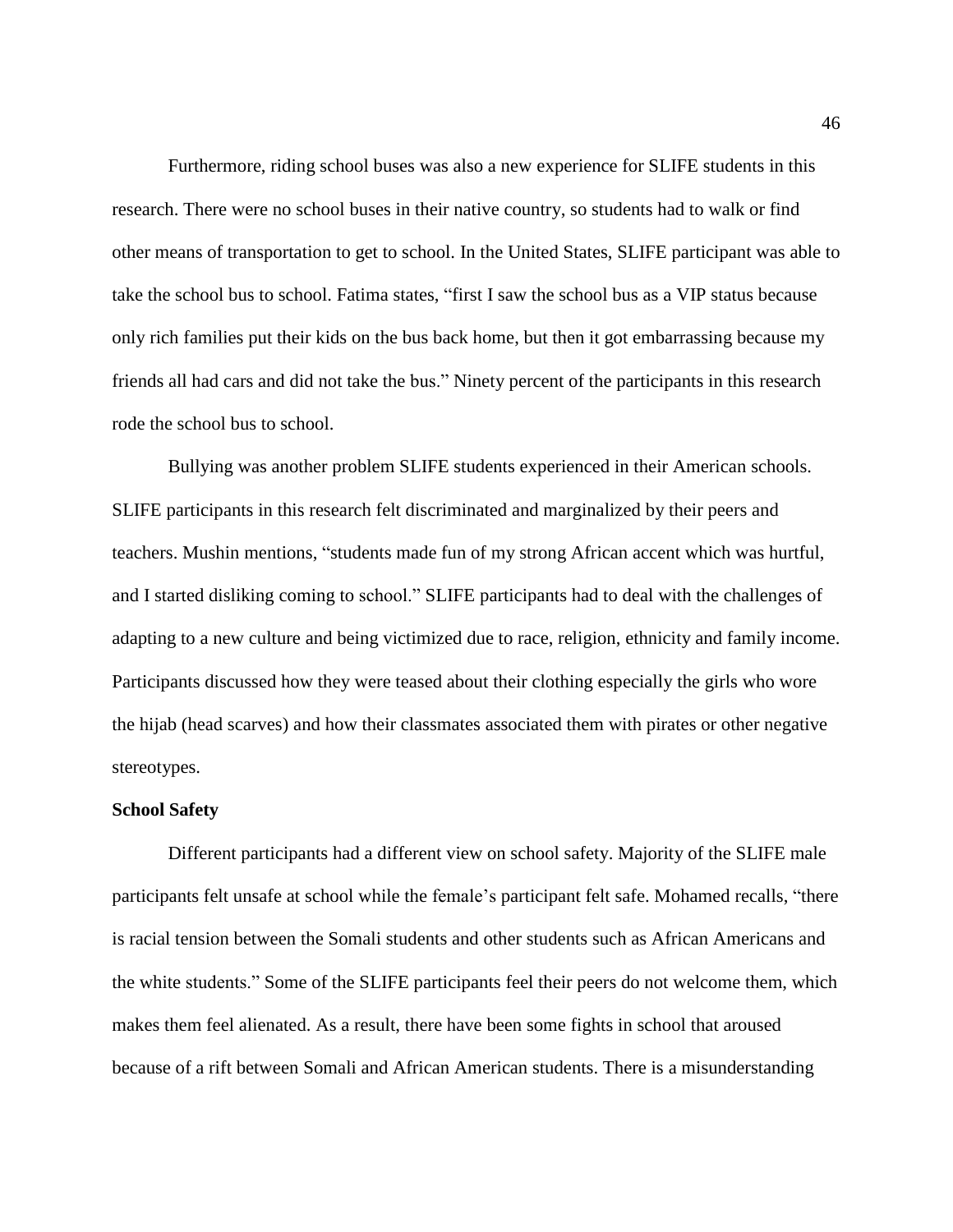Furthermore, riding school buses was also a new experience for SLIFE students in this research. There were no school buses in their native country, so students had to walk or find other means of transportation to get to school. In the United States, SLIFE participant was able to take the school bus to school. Fatima states, "first I saw the school bus as a VIP status because only rich families put their kids on the bus back home, but then it got embarrassing because my friends all had cars and did not take the bus." Ninety percent of the participants in this research rode the school bus to school.

Bullying was another problem SLIFE students experienced in their American schools. SLIFE participants in this research felt discriminated and marginalized by their peers and teachers. Mushin mentions, "students made fun of my strong African accent which was hurtful, and I started disliking coming to school." SLIFE participants had to deal with the challenges of adapting to a new culture and being victimized due to race, religion, ethnicity and family income. Participants discussed how they were teased about their clothing especially the girls who wore the hijab (head scarves) and how their classmates associated them with pirates or other negative stereotypes.

#### **School Safety**

Different participants had a different view on school safety. Majority of the SLIFE male participants felt unsafe at school while the female's participant felt safe. Mohamed recalls, "there is racial tension between the Somali students and other students such as African Americans and the white students." Some of the SLIFE participants feel their peers do not welcome them, which makes them feel alienated. As a result, there have been some fights in school that aroused because of a rift between Somali and African American students. There is a misunderstanding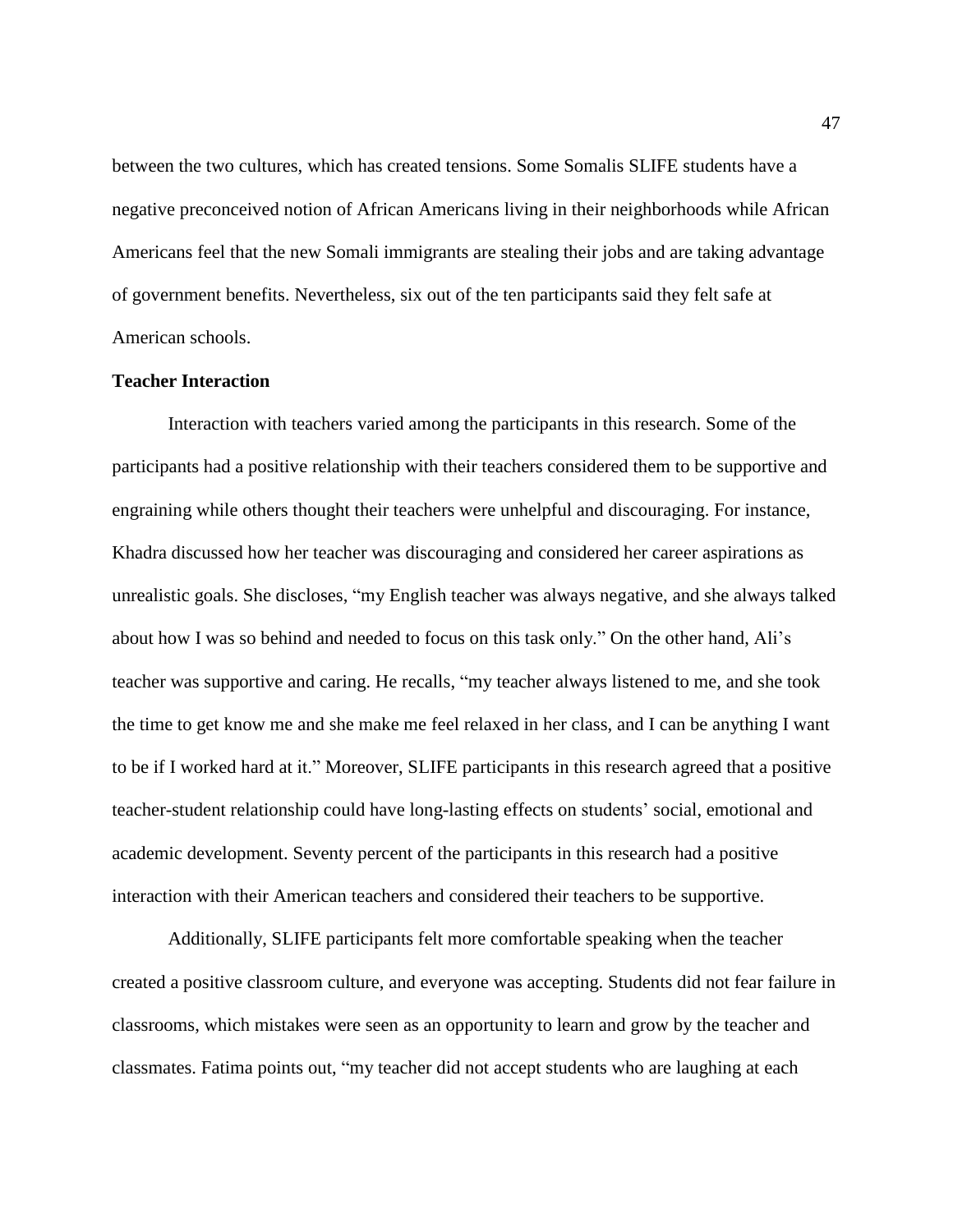between the two cultures, which has created tensions. Some Somalis SLIFE students have a negative preconceived notion of African Americans living in their neighborhoods while African Americans feel that the new Somali immigrants are stealing their jobs and are taking advantage of government benefits. Nevertheless, six out of the ten participants said they felt safe at American schools.

# **Teacher Interaction**

Interaction with teachers varied among the participants in this research. Some of the participants had a positive relationship with their teachers considered them to be supportive and engraining while others thought their teachers were unhelpful and discouraging. For instance, Khadra discussed how her teacher was discouraging and considered her career aspirations as unrealistic goals. She discloses, "my English teacher was always negative, and she always talked about how I was so behind and needed to focus on this task only." On the other hand, Ali's teacher was supportive and caring. He recalls, "my teacher always listened to me, and she took the time to get know me and she make me feel relaxed in her class, and I can be anything I want to be if I worked hard at it." Moreover, SLIFE participants in this research agreed that a positive teacher-student relationship could have long-lasting effects on students' social, emotional and academic development. Seventy percent of the participants in this research had a positive interaction with their American teachers and considered their teachers to be supportive.

Additionally, SLIFE participants felt more comfortable speaking when the teacher created a positive classroom culture, and everyone was accepting. Students did not fear failure in classrooms, which mistakes were seen as an opportunity to learn and grow by the teacher and classmates. Fatima points out, "my teacher did not accept students who are laughing at each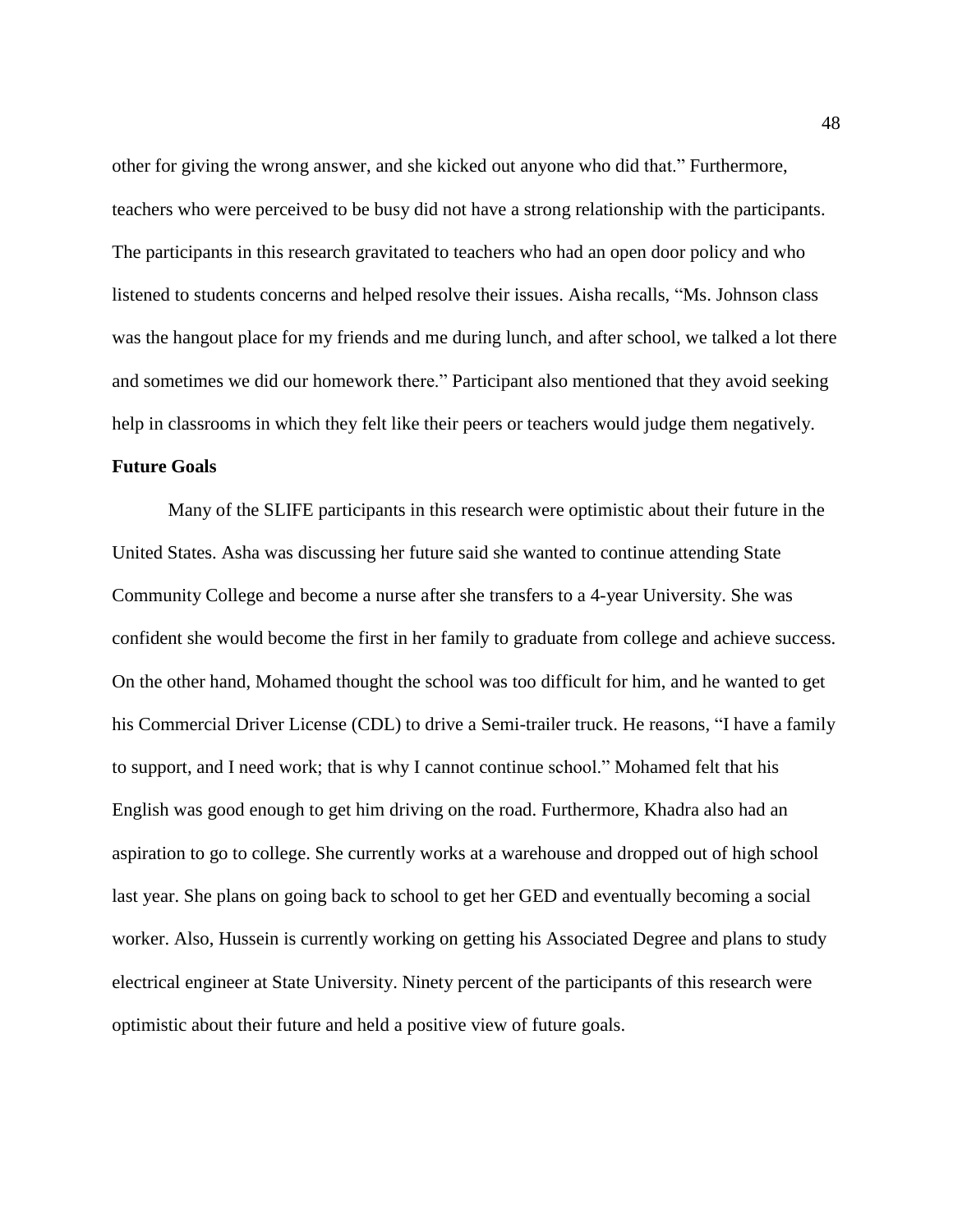other for giving the wrong answer, and she kicked out anyone who did that." Furthermore, teachers who were perceived to be busy did not have a strong relationship with the participants. The participants in this research gravitated to teachers who had an open door policy and who listened to students concerns and helped resolve their issues. Aisha recalls, "Ms. Johnson class was the hangout place for my friends and me during lunch, and after school, we talked a lot there and sometimes we did our homework there." Participant also mentioned that they avoid seeking help in classrooms in which they felt like their peers or teachers would judge them negatively.

# **Future Goals**

Many of the SLIFE participants in this research were optimistic about their future in the United States. Asha was discussing her future said she wanted to continue attending State Community College and become a nurse after she transfers to a 4-year University. She was confident she would become the first in her family to graduate from college and achieve success. On the other hand, Mohamed thought the school was too difficult for him, and he wanted to get his Commercial Driver License (CDL) to drive a Semi-trailer truck. He reasons, "I have a family to support, and I need work; that is why I cannot continue school." Mohamed felt that his English was good enough to get him driving on the road. Furthermore, Khadra also had an aspiration to go to college. She currently works at a warehouse and dropped out of high school last year. She plans on going back to school to get her GED and eventually becoming a social worker. Also, Hussein is currently working on getting his Associated Degree and plans to study electrical engineer at State University. Ninety percent of the participants of this research were optimistic about their future and held a positive view of future goals.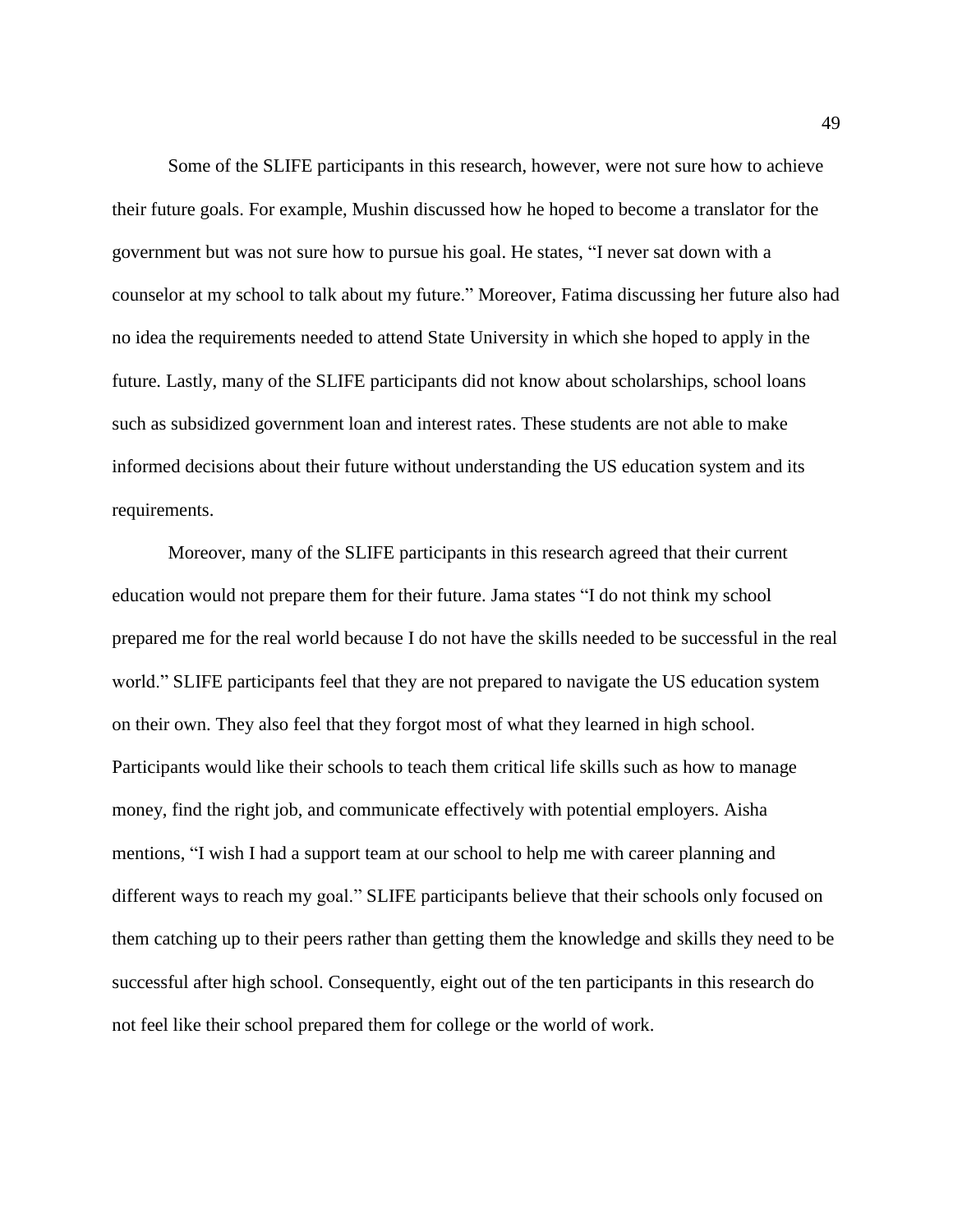Some of the SLIFE participants in this research, however, were not sure how to achieve their future goals. For example, Mushin discussed how he hoped to become a translator for the government but was not sure how to pursue his goal. He states, "I never sat down with a counselor at my school to talk about my future." Moreover, Fatima discussing her future also had no idea the requirements needed to attend State University in which she hoped to apply in the future. Lastly, many of the SLIFE participants did not know about scholarships, school loans such as subsidized government loan and interest rates. These students are not able to make informed decisions about their future without understanding the US education system and its requirements.

Moreover, many of the SLIFE participants in this research agreed that their current education would not prepare them for their future. Jama states "I do not think my school prepared me for the real world because I do not have the skills needed to be successful in the real world." SLIFE participants feel that they are not prepared to navigate the US education system on their own. They also feel that they forgot most of what they learned in high school. Participants would like their schools to teach them critical life skills such as how to manage money, find the right job, and communicate effectively with potential employers. Aisha mentions, "I wish I had a support team at our school to help me with career planning and different ways to reach my goal." SLIFE participants believe that their schools only focused on them catching up to their peers rather than getting them the knowledge and skills they need to be successful after high school. Consequently, eight out of the ten participants in this research do not feel like their school prepared them for college or the world of work.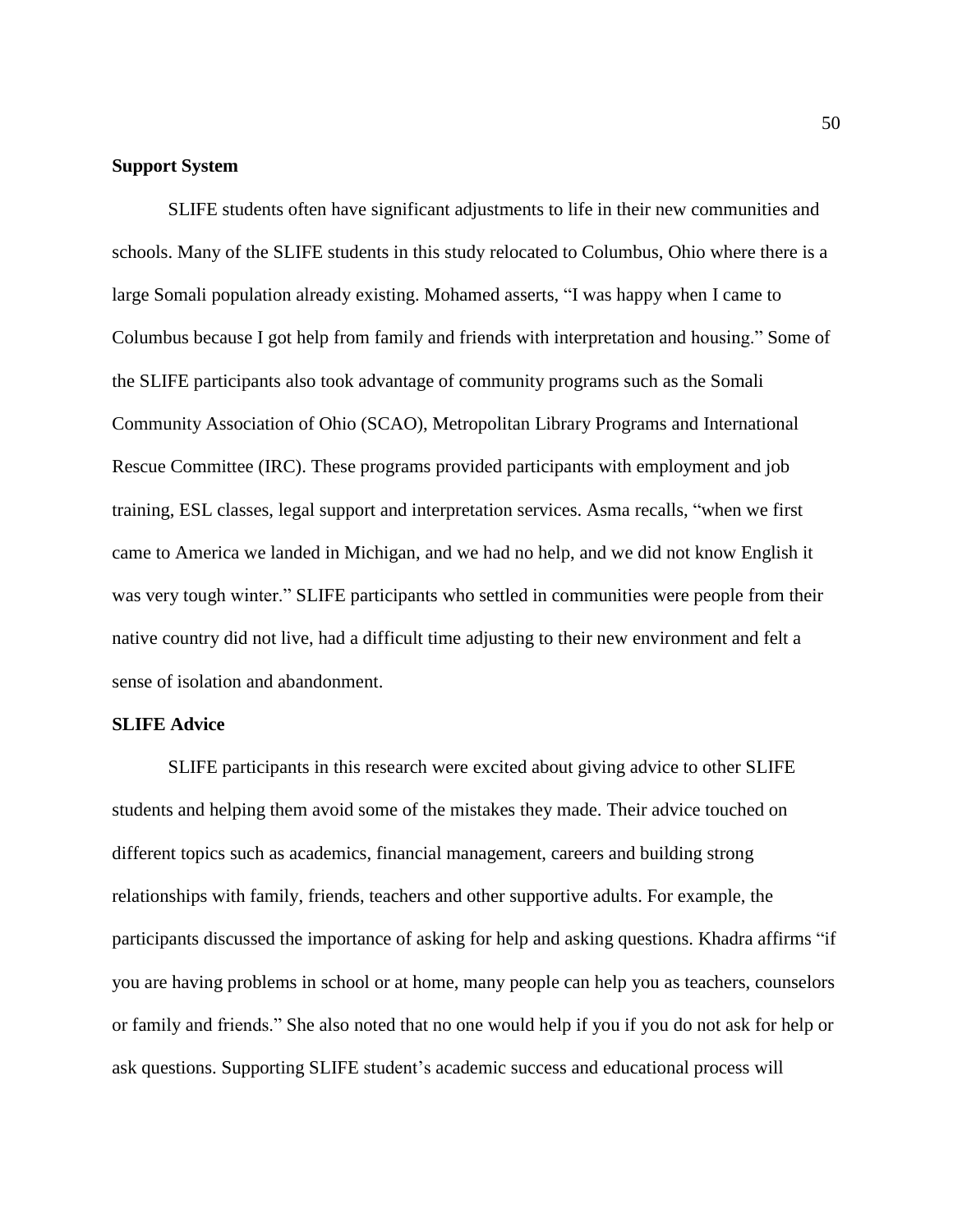# **Support System**

SLIFE students often have significant adjustments to life in their new communities and schools. Many of the SLIFE students in this study relocated to Columbus, Ohio where there is a large Somali population already existing. Mohamed asserts, "I was happy when I came to Columbus because I got help from family and friends with interpretation and housing." Some of the SLIFE participants also took advantage of community programs such as the Somali Community Association of Ohio (SCAO), Metropolitan Library Programs and International Rescue Committee (IRC). These programs provided participants with employment and job training, ESL classes, legal support and interpretation services. Asma recalls, "when we first came to America we landed in Michigan, and we had no help, and we did not know English it was very tough winter." SLIFE participants who settled in communities were people from their native country did not live, had a difficult time adjusting to their new environment and felt a sense of isolation and abandonment.

## **SLIFE Advice**

SLIFE participants in this research were excited about giving advice to other SLIFE students and helping them avoid some of the mistakes they made. Their advice touched on different topics such as academics, financial management, careers and building strong relationships with family, friends, teachers and other supportive adults. For example, the participants discussed the importance of asking for help and asking questions. Khadra affirms "if you are having problems in school or at home, many people can help you as teachers, counselors or family and friends." She also noted that no one would help if you if you do not ask for help or ask questions. Supporting SLIFE student's academic success and educational process will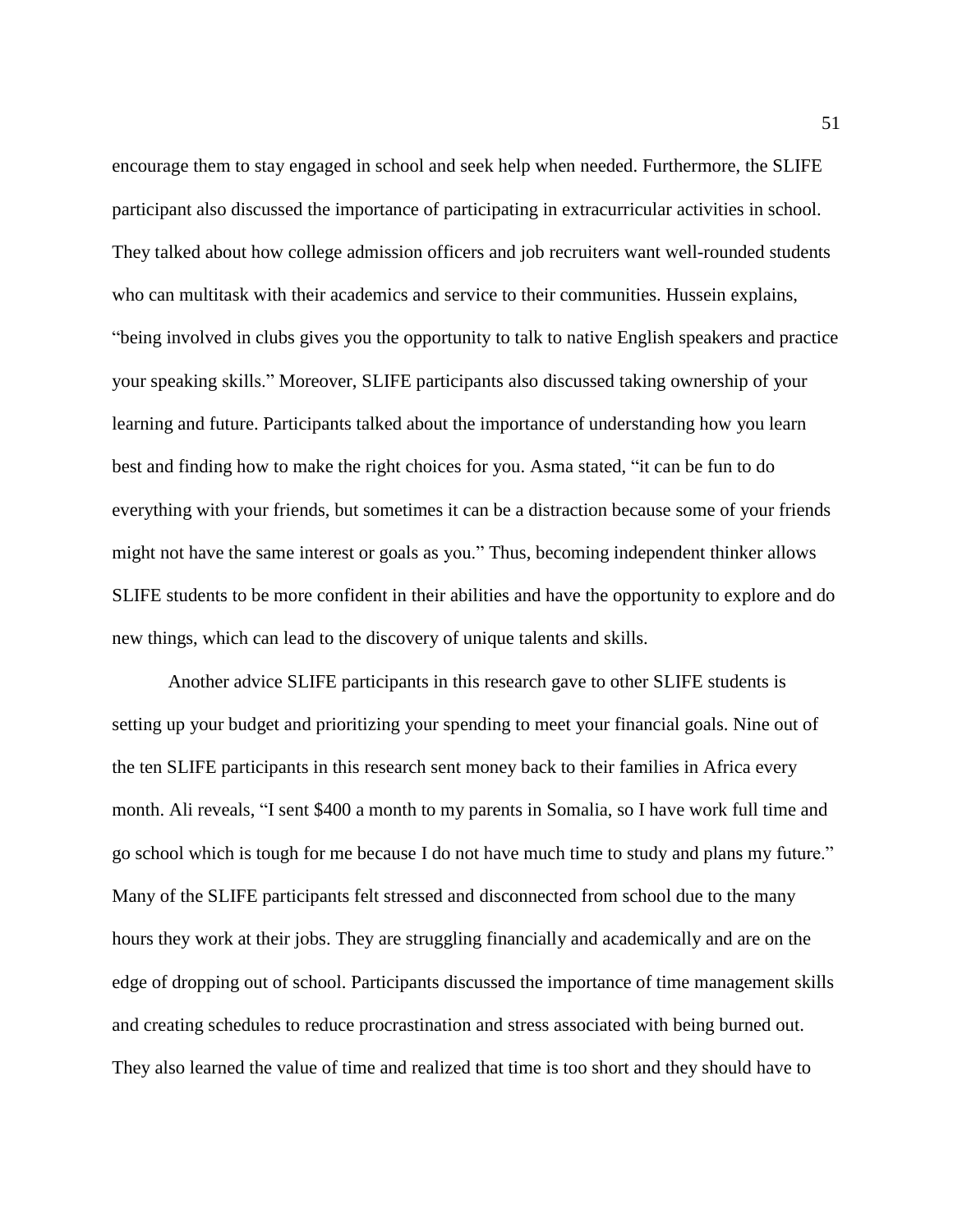encourage them to stay engaged in school and seek help when needed. Furthermore, the SLIFE participant also discussed the importance of participating in extracurricular activities in school. They talked about how college admission officers and job recruiters want well-rounded students who can multitask with their academics and service to their communities. Hussein explains, "being involved in clubs gives you the opportunity to talk to native English speakers and practice your speaking skills." Moreover, SLIFE participants also discussed taking ownership of your learning and future. Participants talked about the importance of understanding how you learn best and finding how to make the right choices for you. Asma stated, "it can be fun to do everything with your friends, but sometimes it can be a distraction because some of your friends might not have the same interest or goals as you." Thus, becoming independent thinker allows SLIFE students to be more confident in their abilities and have the opportunity to explore and do new things, which can lead to the discovery of unique talents and skills.

Another advice SLIFE participants in this research gave to other SLIFE students is setting up your budget and prioritizing your spending to meet your financial goals. Nine out of the ten SLIFE participants in this research sent money back to their families in Africa every month. Ali reveals, "I sent \$400 a month to my parents in Somalia, so I have work full time and go school which is tough for me because I do not have much time to study and plans my future." Many of the SLIFE participants felt stressed and disconnected from school due to the many hours they work at their jobs. They are struggling financially and academically and are on the edge of dropping out of school. Participants discussed the importance of time management skills and creating schedules to reduce procrastination and stress associated with being burned out. They also learned the value of time and realized that time is too short and they should have to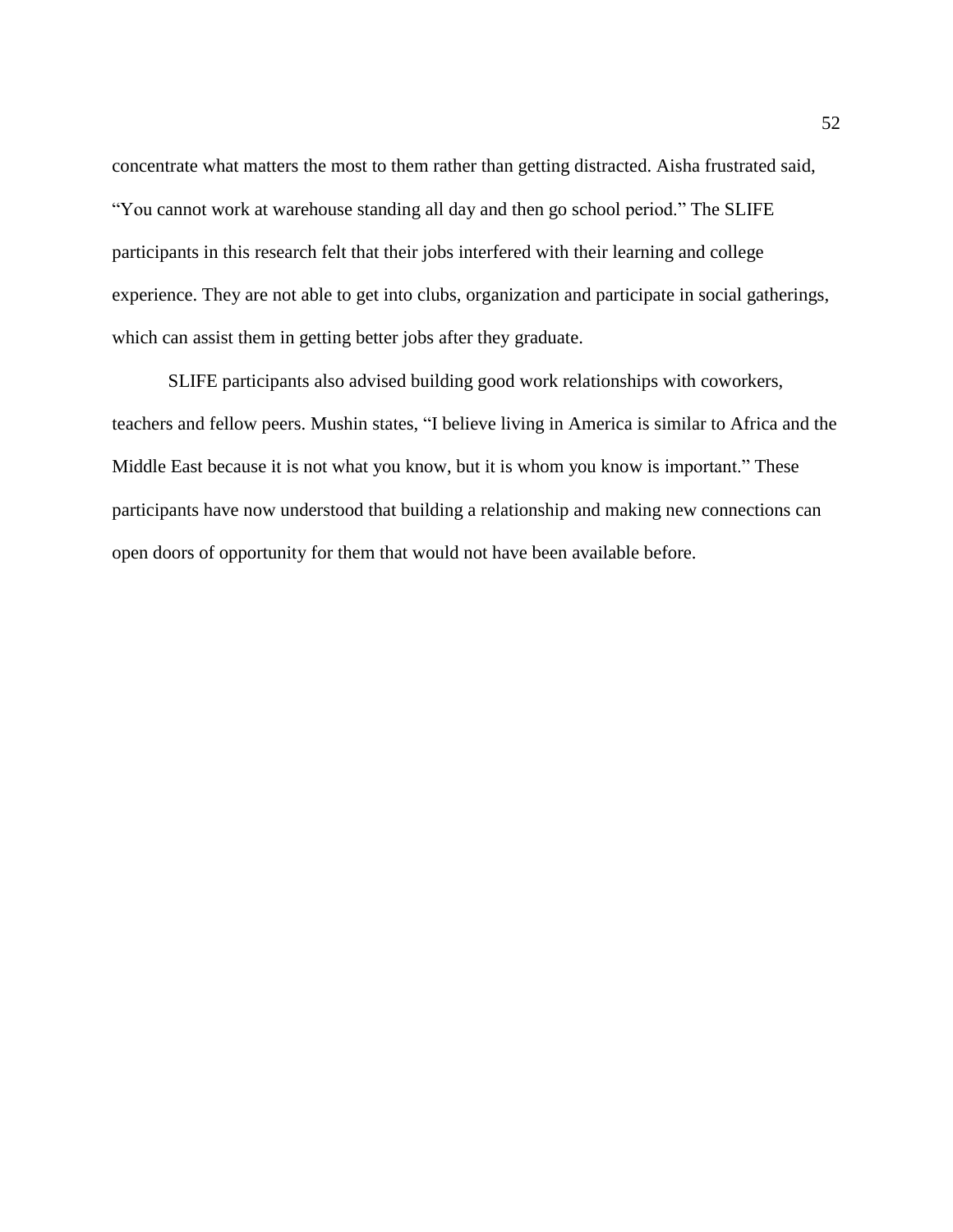concentrate what matters the most to them rather than getting distracted. Aisha frustrated said, "You cannot work at warehouse standing all day and then go school period." The SLIFE participants in this research felt that their jobs interfered with their learning and college experience. They are not able to get into clubs, organization and participate in social gatherings, which can assist them in getting better jobs after they graduate.

SLIFE participants also advised building good work relationships with coworkers, teachers and fellow peers. Mushin states, "I believe living in America is similar to Africa and the Middle East because it is not what you know, but it is whom you know is important." These participants have now understood that building a relationship and making new connections can open doors of opportunity for them that would not have been available before.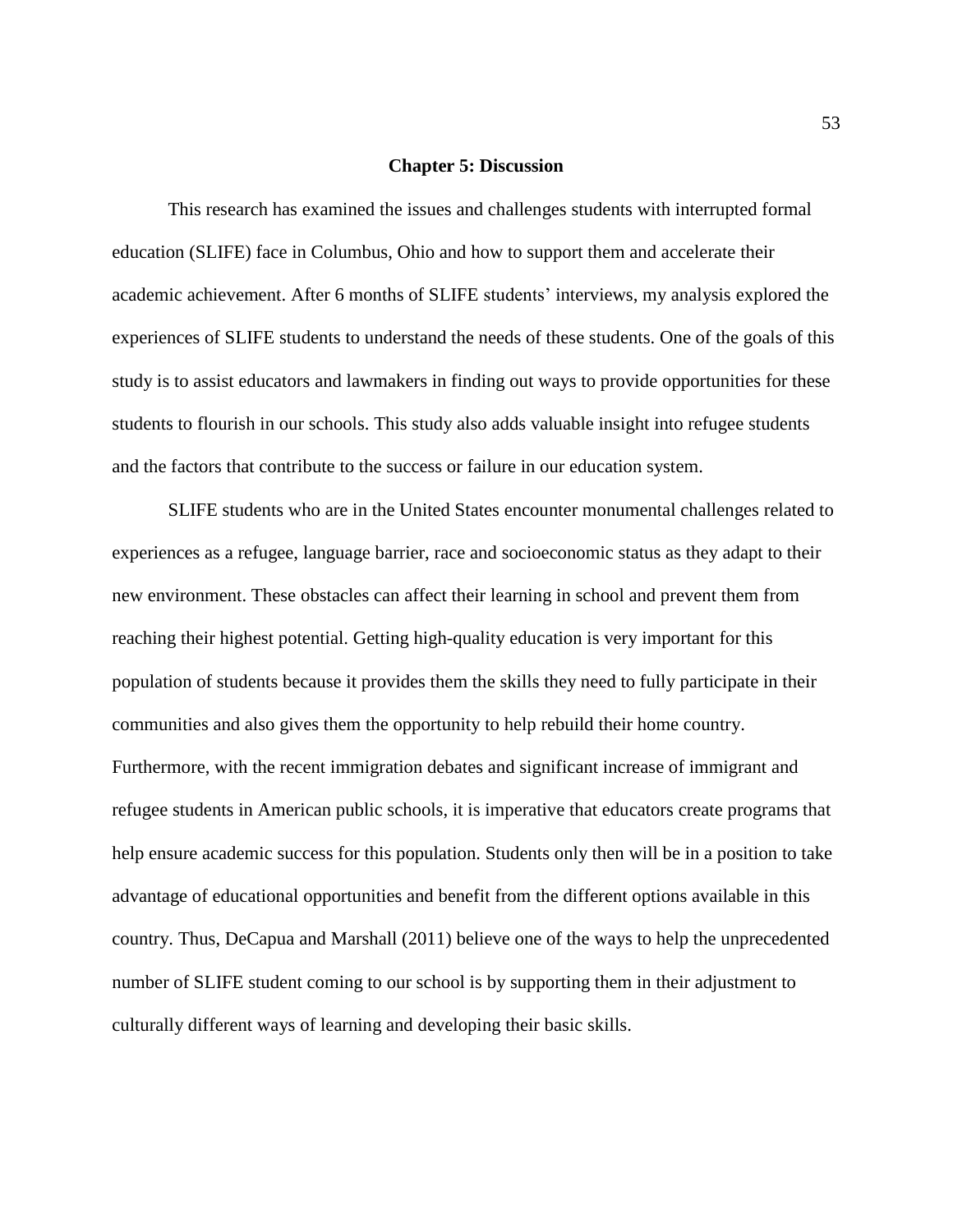#### **Chapter 5: Discussion**

This research has examined the issues and challenges students with interrupted formal education (SLIFE) face in Columbus, Ohio and how to support them and accelerate their academic achievement. After 6 months of SLIFE students' interviews, my analysis explored the experiences of SLIFE students to understand the needs of these students. One of the goals of this study is to assist educators and lawmakers in finding out ways to provide opportunities for these students to flourish in our schools. This study also adds valuable insight into refugee students and the factors that contribute to the success or failure in our education system.

SLIFE students who are in the United States encounter monumental challenges related to experiences as a refugee, language barrier, race and socioeconomic status as they adapt to their new environment. These obstacles can affect their learning in school and prevent them from reaching their highest potential. Getting high-quality education is very important for this population of students because it provides them the skills they need to fully participate in their communities and also gives them the opportunity to help rebuild their home country. Furthermore, with the recent immigration debates and significant increase of immigrant and refugee students in American public schools, it is imperative that educators create programs that help ensure academic success for this population. Students only then will be in a position to take advantage of educational opportunities and benefit from the different options available in this country. Thus, DeCapua and Marshall (2011) believe one of the ways to help the unprecedented number of SLIFE student coming to our school is by supporting them in their adjustment to culturally different ways of learning and developing their basic skills.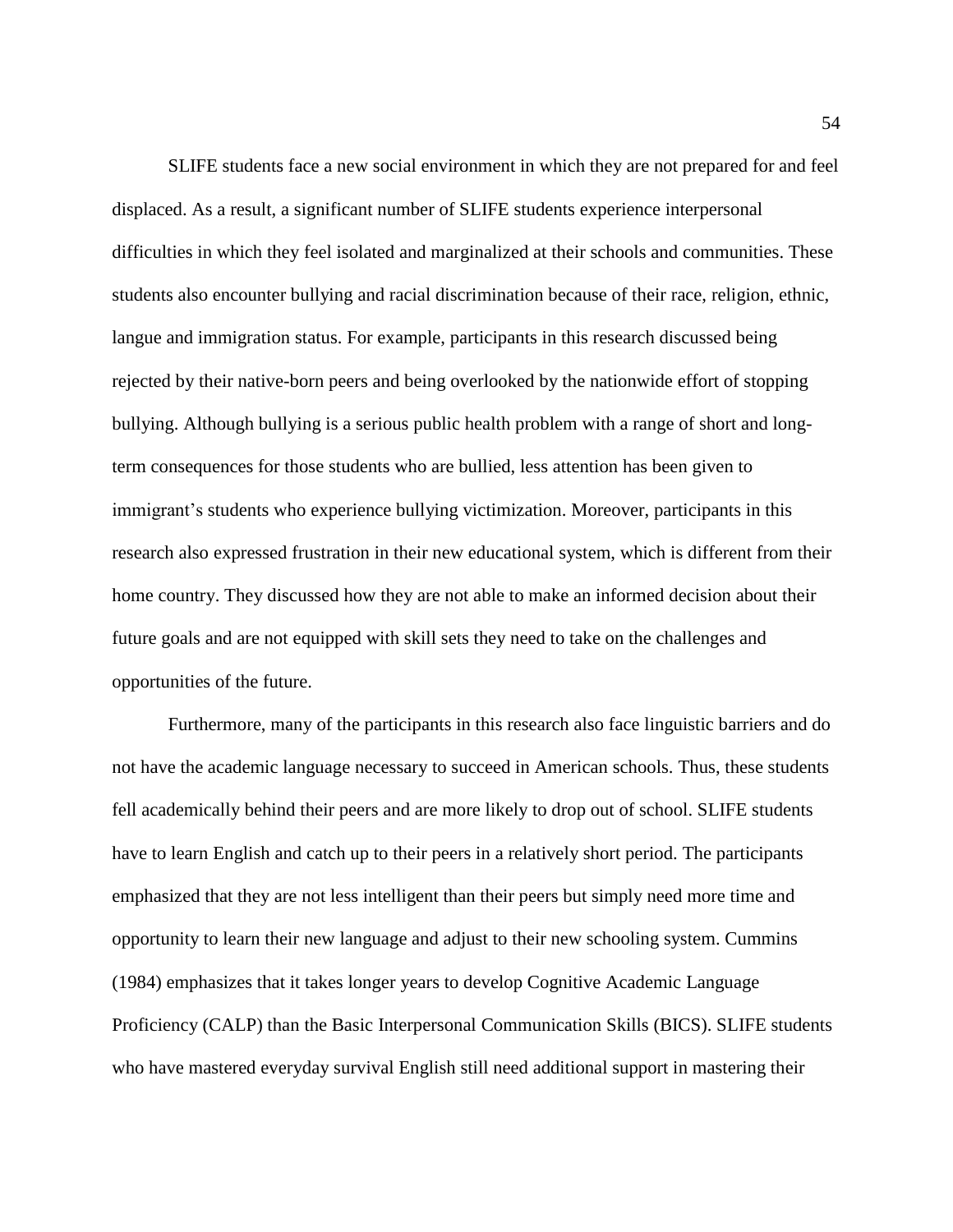SLIFE students face a new social environment in which they are not prepared for and feel displaced. As a result, a significant number of SLIFE students experience interpersonal difficulties in which they feel isolated and marginalized at their schools and communities. These students also encounter bullying and racial discrimination because of their race, religion, ethnic, langue and immigration status. For example, participants in this research discussed being rejected by their native-born peers and being overlooked by the nationwide effort of stopping bullying. Although bullying is a serious public health problem with a range of short and longterm consequences for those students who are bullied, less attention has been given to immigrant's students who experience bullying victimization. Moreover, participants in this research also expressed frustration in their new educational system, which is different from their home country. They discussed how they are not able to make an informed decision about their future goals and are not equipped with skill sets they need to take on the challenges and opportunities of the future.

Furthermore, many of the participants in this research also face linguistic barriers and do not have the academic language necessary to succeed in American schools. Thus, these students fell academically behind their peers and are more likely to drop out of school. SLIFE students have to learn English and catch up to their peers in a relatively short period. The participants emphasized that they are not less intelligent than their peers but simply need more time and opportunity to learn their new language and adjust to their new schooling system. Cummins (1984) emphasizes that it takes longer years to develop Cognitive Academic Language Proficiency (CALP) than the Basic Interpersonal Communication Skills (BICS). SLIFE students who have mastered everyday survival English still need additional support in mastering their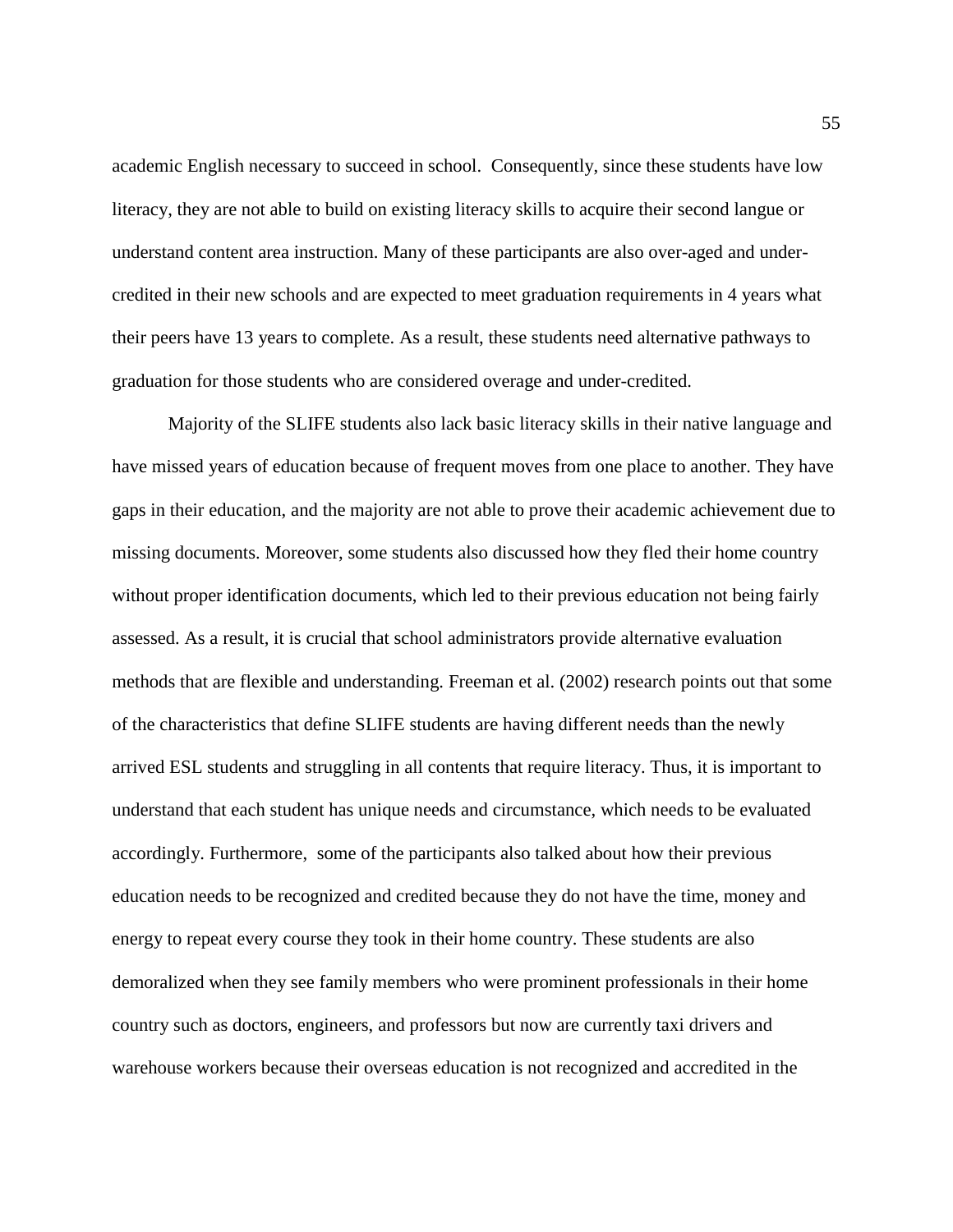academic English necessary to succeed in school. Consequently, since these students have low literacy, they are not able to build on existing literacy skills to acquire their second langue or understand content area instruction. Many of these participants are also over-aged and undercredited in their new schools and are expected to meet graduation requirements in 4 years what their peers have 13 years to complete. As a result, these students need alternative pathways to graduation for those students who are considered overage and under-credited.

Majority of the SLIFE students also lack basic literacy skills in their native language and have missed years of education because of frequent moves from one place to another. They have gaps in their education, and the majority are not able to prove their academic achievement due to missing documents. Moreover, some students also discussed how they fled their home country without proper identification documents, which led to their previous education not being fairly assessed. As a result, it is crucial that school administrators provide alternative evaluation methods that are flexible and understanding. Freeman et al. (2002) research points out that some of the characteristics that define SLIFE students are having different needs than the newly arrived ESL students and struggling in all contents that require literacy. Thus, it is important to understand that each student has unique needs and circumstance, which needs to be evaluated accordingly. Furthermore, some of the participants also talked about how their previous education needs to be recognized and credited because they do not have the time, money and energy to repeat every course they took in their home country. These students are also demoralized when they see family members who were prominent professionals in their home country such as doctors, engineers, and professors but now are currently taxi drivers and warehouse workers because their overseas education is not recognized and accredited in the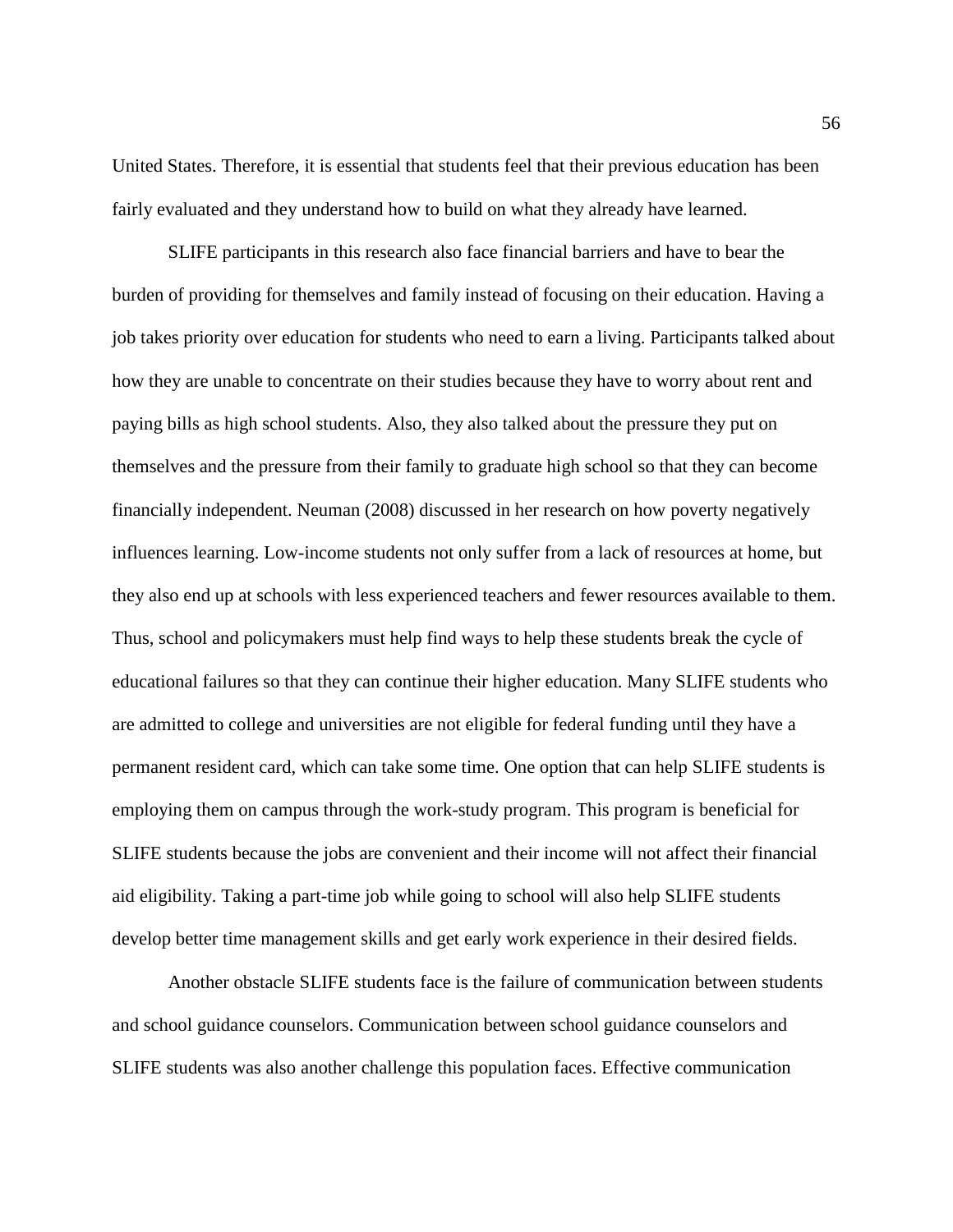United States. Therefore, it is essential that students feel that their previous education has been fairly evaluated and they understand how to build on what they already have learned.

SLIFE participants in this research also face financial barriers and have to bear the burden of providing for themselves and family instead of focusing on their education. Having a job takes priority over education for students who need to earn a living. Participants talked about how they are unable to concentrate on their studies because they have to worry about rent and paying bills as high school students. Also, they also talked about the pressure they put on themselves and the pressure from their family to graduate high school so that they can become financially independent. Neuman (2008) discussed in her research on how poverty negatively influences learning. Low-income students not only suffer from a lack of resources at home, but they also end up at schools with less experienced teachers and fewer resources available to them. Thus, school and policymakers must help find ways to help these students break the cycle of educational failures so that they can continue their higher education. Many SLIFE students who are admitted to college and universities are not eligible for federal funding until they have a permanent resident card, which can take some time. One option that can help SLIFE students is employing them on campus through the work-study program. This program is beneficial for SLIFE students because the jobs are convenient and their income will not affect their financial aid eligibility. Taking a part-time job while going to school will also help SLIFE students develop better time management skills and get early work experience in their desired fields.

Another obstacle SLIFE students face is the failure of communication between students and school guidance counselors. Communication between school guidance counselors and SLIFE students was also another challenge this population faces. Effective communication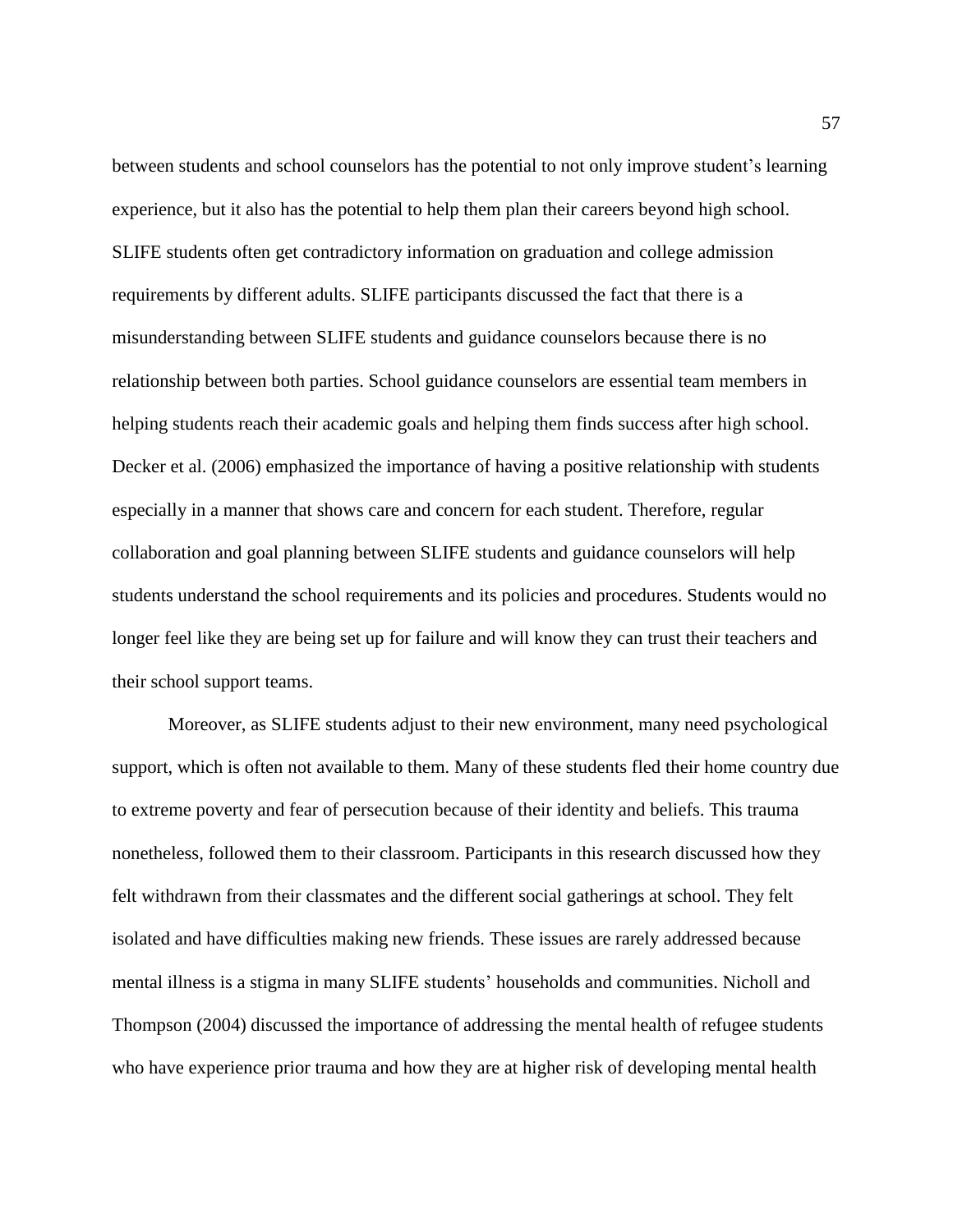between students and school counselors has the potential to not only improve student's learning experience, but it also has the potential to help them plan their careers beyond high school. SLIFE students often get contradictory information on graduation and college admission requirements by different adults. SLIFE participants discussed the fact that there is a misunderstanding between SLIFE students and guidance counselors because there is no relationship between both parties. School guidance counselors are essential team members in helping students reach their academic goals and helping them finds success after high school. Decker et al. (2006) emphasized the importance of having a positive relationship with students especially in a manner that shows care and concern for each student. Therefore, regular collaboration and goal planning between SLIFE students and guidance counselors will help students understand the school requirements and its policies and procedures. Students would no longer feel like they are being set up for failure and will know they can trust their teachers and their school support teams.

Moreover, as SLIFE students adjust to their new environment, many need psychological support, which is often not available to them. Many of these students fled their home country due to extreme poverty and fear of persecution because of their identity and beliefs. This trauma nonetheless, followed them to their classroom. Participants in this research discussed how they felt withdrawn from their classmates and the different social gatherings at school. They felt isolated and have difficulties making new friends. These issues are rarely addressed because mental illness is a stigma in many SLIFE students' households and communities. Nicholl and Thompson (2004) discussed the importance of addressing the mental health of refugee students who have experience prior trauma and how they are at higher risk of developing mental health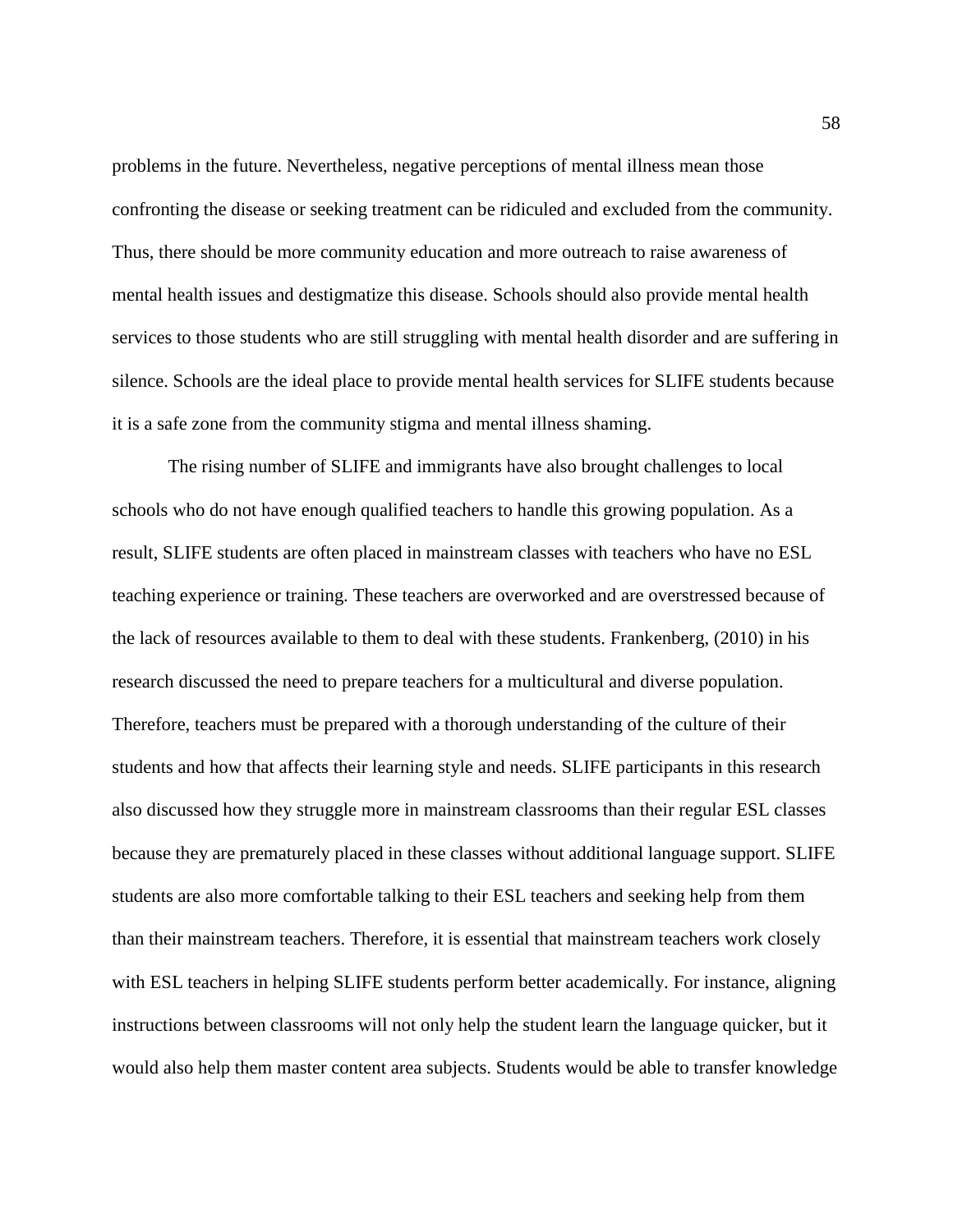problems in the future. Nevertheless, negative perceptions of mental illness mean those confronting the disease or seeking treatment can be ridiculed and excluded from the community. Thus, there should be more community education and more outreach to raise awareness of mental health issues and destigmatize this disease. Schools should also provide mental health services to those students who are still struggling with mental health disorder and are suffering in silence. Schools are the ideal place to provide mental health services for SLIFE students because it is a safe zone from the community stigma and mental illness shaming.

The rising number of SLIFE and immigrants have also brought challenges to local schools who do not have enough qualified teachers to handle this growing population. As a result, SLIFE students are often placed in mainstream classes with teachers who have no ESL teaching experience or training. These teachers are overworked and are overstressed because of the lack of resources available to them to deal with these students. Frankenberg, (2010) in his research discussed the need to prepare teachers for a multicultural and diverse population. Therefore, teachers must be prepared with a thorough understanding of the culture of their students and how that affects their learning style and needs. SLIFE participants in this research also discussed how they struggle more in mainstream classrooms than their regular ESL classes because they are prematurely placed in these classes without additional language support. SLIFE students are also more comfortable talking to their ESL teachers and seeking help from them than their mainstream teachers. Therefore, it is essential that mainstream teachers work closely with ESL teachers in helping SLIFE students perform better academically. For instance, aligning instructions between classrooms will not only help the student learn the language quicker, but it would also help them master content area subjects. Students would be able to transfer knowledge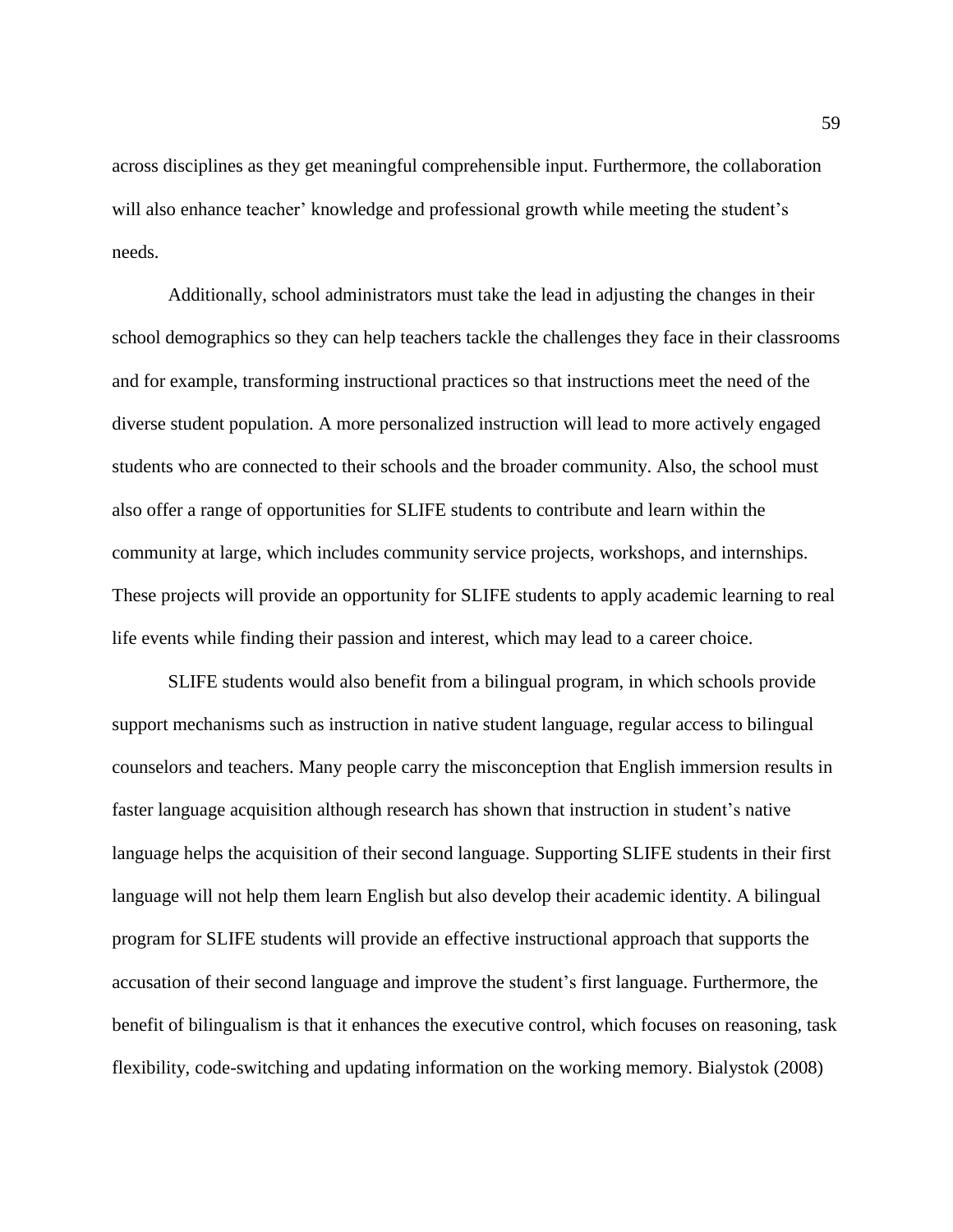across disciplines as they get meaningful comprehensible input. Furthermore, the collaboration will also enhance teacher' knowledge and professional growth while meeting the student's needs.

Additionally, school administrators must take the lead in adjusting the changes in their school demographics so they can help teachers tackle the challenges they face in their classrooms and for example, transforming instructional practices so that instructions meet the need of the diverse student population. A more personalized instruction will lead to more actively engaged students who are connected to their schools and the broader community. Also, the school must also offer a range of opportunities for SLIFE students to contribute and learn within the community at large, which includes community service projects, workshops, and internships. These projects will provide an opportunity for SLIFE students to apply academic learning to real life events while finding their passion and interest, which may lead to a career choice.

SLIFE students would also benefit from a bilingual program, in which schools provide support mechanisms such as instruction in native student language, regular access to bilingual counselors and teachers. Many people carry the misconception that English immersion results in faster language acquisition although research has shown that instruction in student's native language helps the acquisition of their second language. Supporting SLIFE students in their first language will not help them learn English but also develop their academic identity. A bilingual program for SLIFE students will provide an effective instructional approach that supports the accusation of their second language and improve the student's first language. Furthermore, the benefit of bilingualism is that it enhances the executive control, which focuses on reasoning, task flexibility, code-switching and updating information on the working memory. Bialystok (2008)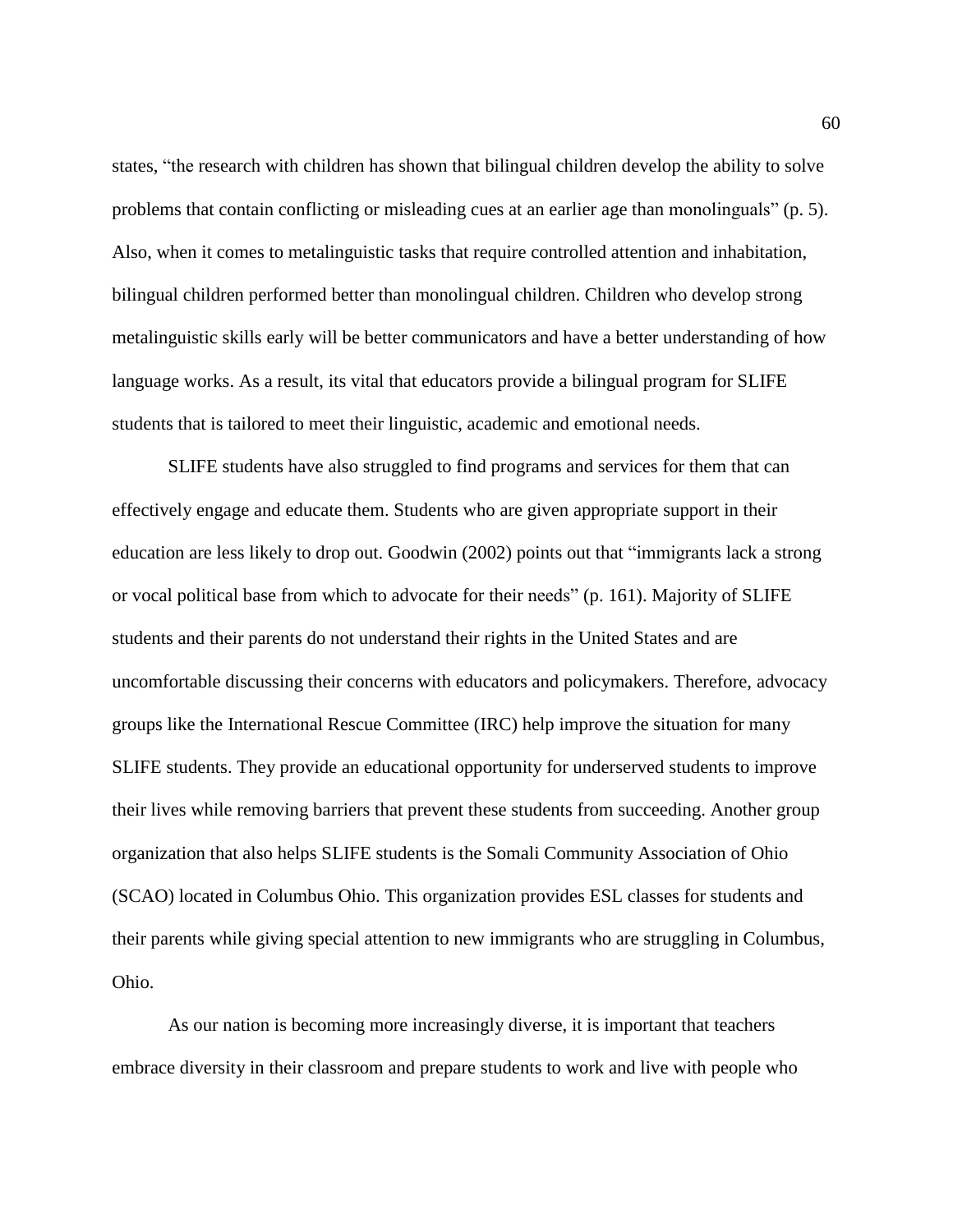states, "the research with children has shown that bilingual children develop the ability to solve problems that contain conflicting or misleading cues at an earlier age than monolinguals" (p. 5). Also, when it comes to metalinguistic tasks that require controlled attention and inhabitation, bilingual children performed better than monolingual children. Children who develop strong metalinguistic skills early will be better communicators and have a better understanding of how language works. As a result, its vital that educators provide a bilingual program for SLIFE students that is tailored to meet their linguistic, academic and emotional needs.

SLIFE students have also struggled to find programs and services for them that can effectively engage and educate them. Students who are given appropriate support in their education are less likely to drop out. Goodwin (2002) points out that "immigrants lack a strong or vocal political base from which to advocate for their needs" (p. 161). Majority of SLIFE students and their parents do not understand their rights in the United States and are uncomfortable discussing their concerns with educators and policymakers. Therefore, advocacy groups like the International Rescue Committee (IRC) help improve the situation for many SLIFE students. They provide an educational opportunity for underserved students to improve their lives while removing barriers that prevent these students from succeeding. Another group organization that also helps SLIFE students is the Somali Community Association of Ohio (SCAO) located in Columbus Ohio. This organization provides ESL classes for students and their parents while giving special attention to new immigrants who are struggling in Columbus, Ohio.

As our nation is becoming more increasingly diverse, it is important that teachers embrace diversity in their classroom and prepare students to work and live with people who 60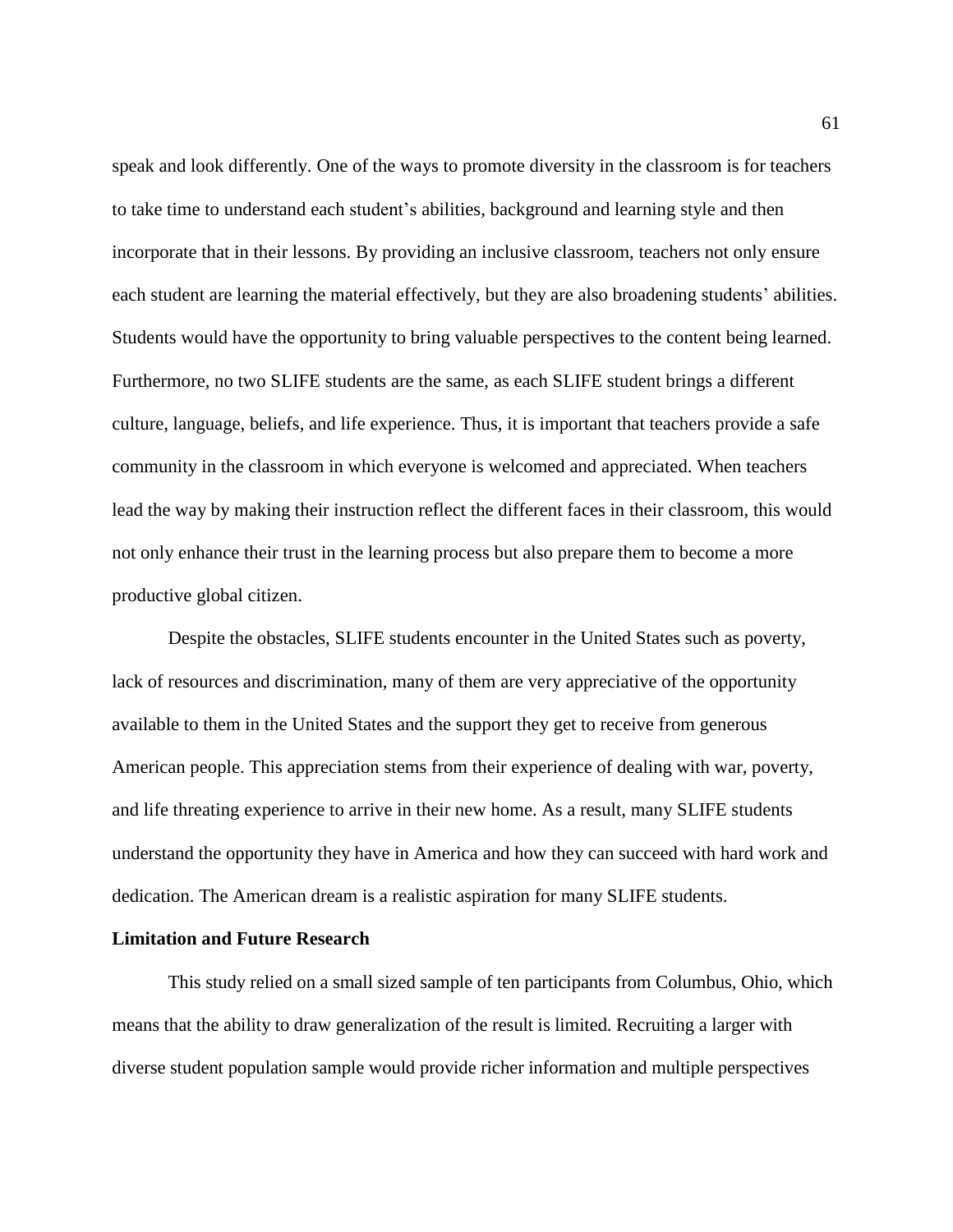speak and look differently. One of the ways to promote diversity in the classroom is for teachers to take time to understand each student's abilities, background and learning style and then incorporate that in their lessons. By providing an inclusive classroom, teachers not only ensure each student are learning the material effectively, but they are also broadening students' abilities. Students would have the opportunity to bring valuable perspectives to the content being learned. Furthermore, no two SLIFE students are the same, as each SLIFE student brings a different culture, language, beliefs, and life experience. Thus, it is important that teachers provide a safe community in the classroom in which everyone is welcomed and appreciated. When teachers lead the way by making their instruction reflect the different faces in their classroom, this would not only enhance their trust in the learning process but also prepare them to become a more productive global citizen.

Despite the obstacles, SLIFE students encounter in the United States such as poverty, lack of resources and discrimination, many of them are very appreciative of the opportunity available to them in the United States and the support they get to receive from generous American people. This appreciation stems from their experience of dealing with war, poverty, and life threating experience to arrive in their new home. As a result, many SLIFE students understand the opportunity they have in America and how they can succeed with hard work and dedication. The American dream is a realistic aspiration for many SLIFE students.

# **Limitation and Future Research**

This study relied on a small sized sample of ten participants from Columbus, Ohio, which means that the ability to draw generalization of the result is limited. Recruiting a larger with diverse student population sample would provide richer information and multiple perspectives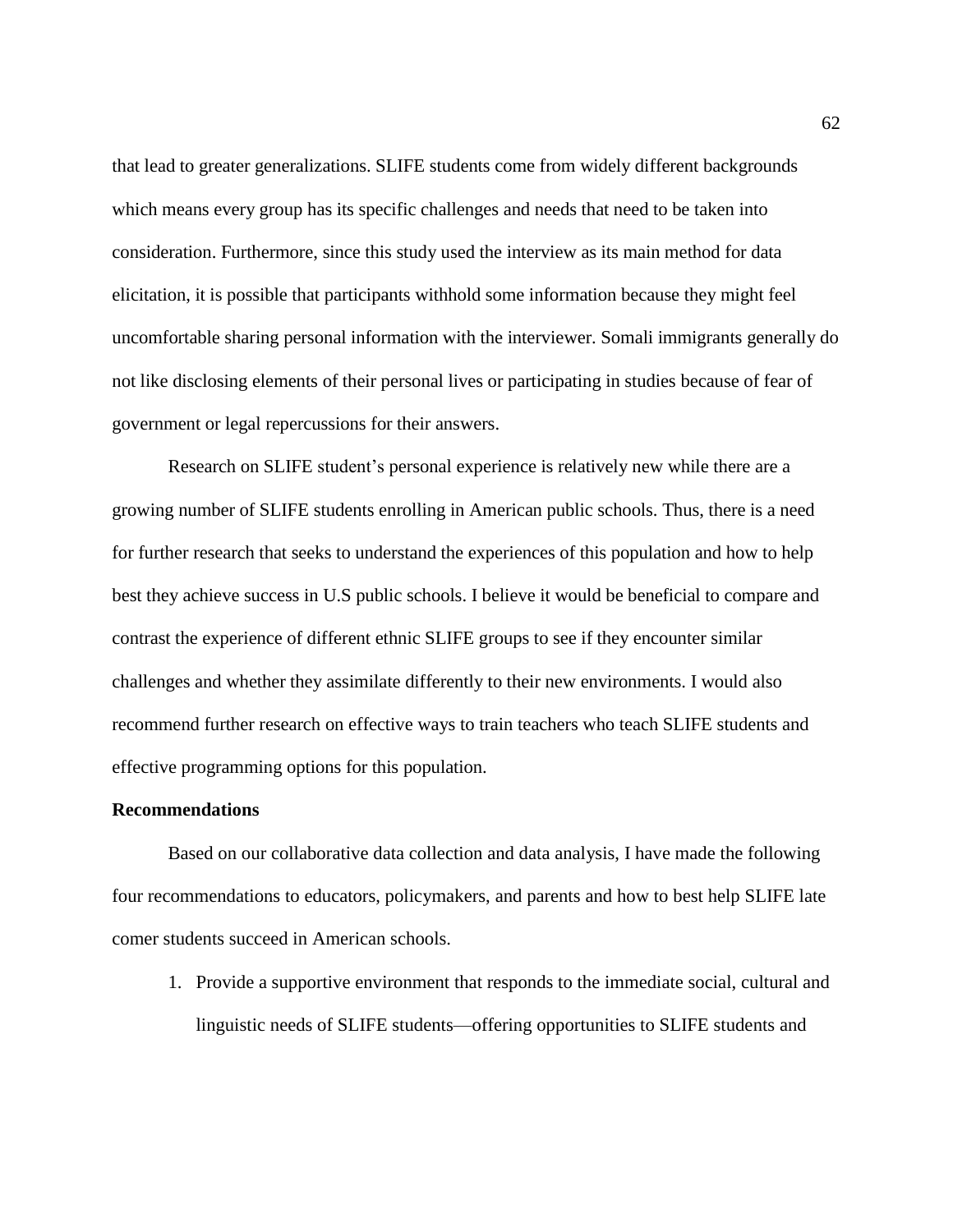that lead to greater generalizations. SLIFE students come from widely different backgrounds which means every group has its specific challenges and needs that need to be taken into consideration. Furthermore, since this study used the interview as its main method for data elicitation, it is possible that participants withhold some information because they might feel uncomfortable sharing personal information with the interviewer. Somali immigrants generally do not like disclosing elements of their personal lives or participating in studies because of fear of government or legal repercussions for their answers.

Research on SLIFE student's personal experience is relatively new while there are a growing number of SLIFE students enrolling in American public schools. Thus, there is a need for further research that seeks to understand the experiences of this population and how to help best they achieve success in U.S public schools. I believe it would be beneficial to compare and contrast the experience of different ethnic SLIFE groups to see if they encounter similar challenges and whether they assimilate differently to their new environments. I would also recommend further research on effective ways to train teachers who teach SLIFE students and effective programming options for this population.

# **Recommendations**

Based on our collaborative data collection and data analysis, I have made the following four recommendations to educators, policymakers, and parents and how to best help SLIFE late comer students succeed in American schools.

1. Provide a supportive environment that responds to the immediate social, cultural and linguistic needs of SLIFE students—offering opportunities to SLIFE students and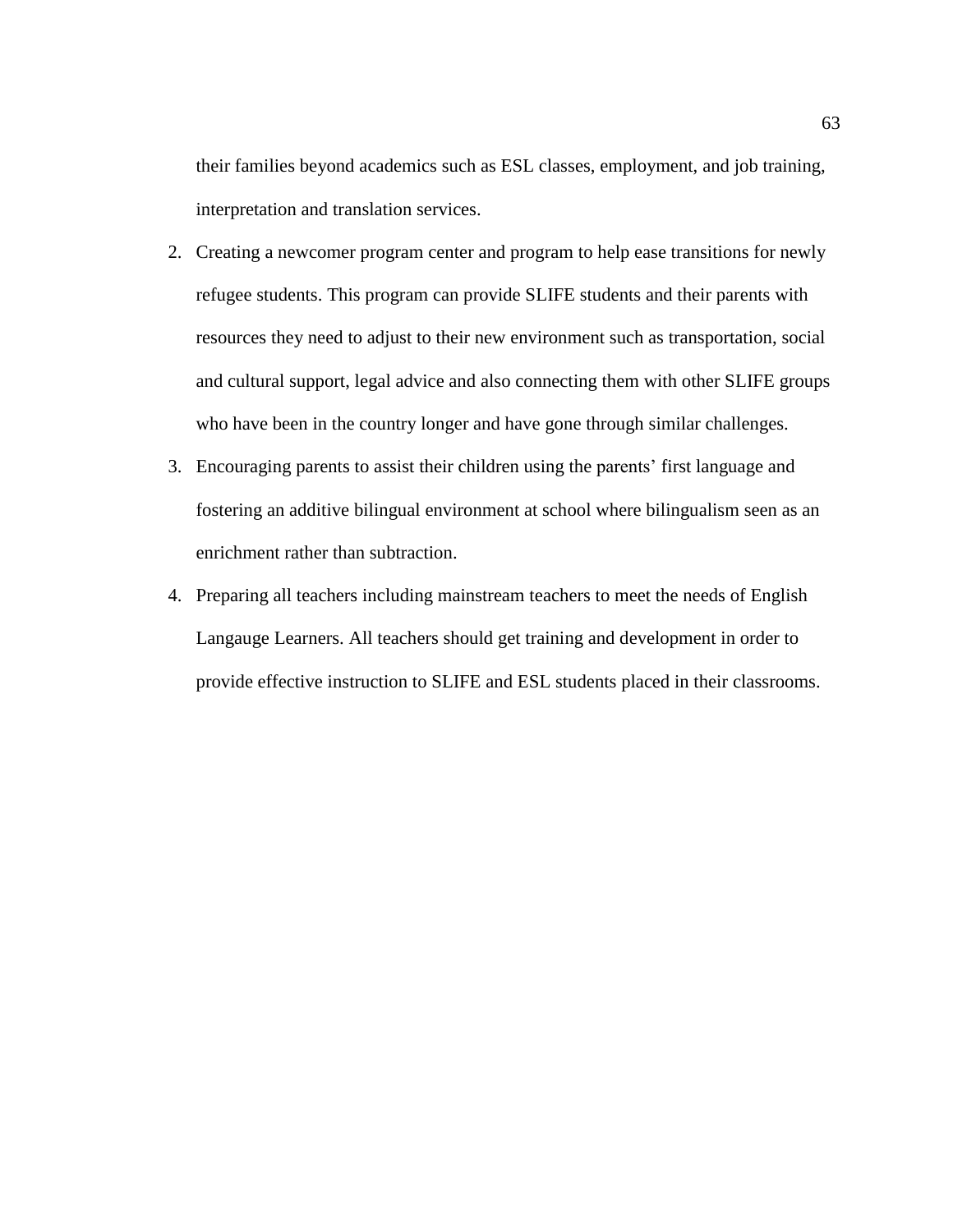their families beyond academics such as ESL classes, employment, and job training, interpretation and translation services.

- 2. Creating a newcomer program center and program to help ease transitions for newly refugee students. This program can provide SLIFE students and their parents with resources they need to adjust to their new environment such as transportation, social and cultural support, legal advice and also connecting them with other SLIFE groups who have been in the country longer and have gone through similar challenges.
- 3. Encouraging parents to assist their children using the parents' first language and fostering an additive bilingual environment at school where bilingualism seen as an enrichment rather than subtraction.
- 4. Preparing all teachers including mainstream teachers to meet the needs of English Langauge Learners. All teachers should get training and development in order to provide effective instruction to SLIFE and ESL students placed in their classrooms.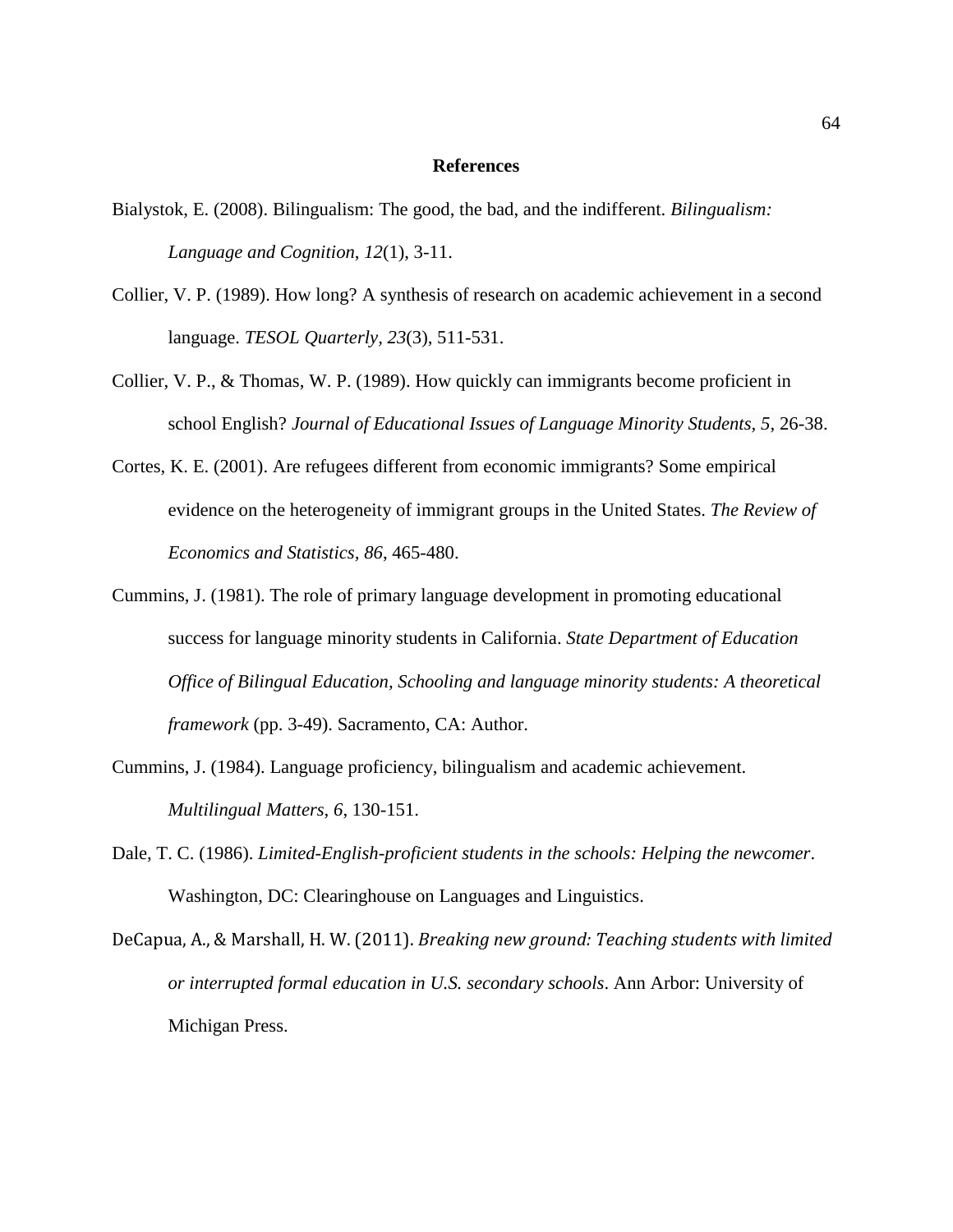# **References**

- Bialystok, E. (2008). Bilingualism: The good, the bad, and the indifferent. *Bilingualism: Language and Cognition*, *12*(1), 3-11.
- Collier, V. P. (1989). How long? A synthesis of research on academic achievement in a second language. *TESOL Quarterly, 23*(3), 511-531.
- Collier, V. P., & Thomas, W. P. (1989). How quickly can immigrants become proficient in school English? *Journal of Educational Issues of Language Minority Students, 5*, 26-38.
- Cortes, K. E. (2001). Are refugees different from economic immigrants? Some empirical evidence on the heterogeneity of immigrant groups in the United States. *The Review of Economics and Statistics, 86*, 465-480.
- Cummins, J. (1981). The role of primary language development in promoting educational success for language minority students in California. *State Department of Education Office of Bilingual Education, Schooling and language minority students: A theoretical framework* (pp. 3-49). Sacramento, CA: Author.
- Cummins, J. (1984). Language proficiency, bilingualism and academic achievement. *Multilingual Matters, 6*, 130-151.
- Dale, T. C. (1986). *Limited-English-proficient students in the schools: Helping the newcomer*. Washington, DC: Clearinghouse on Languages and Linguistics.
- DeCapua, A., & Marshall, H. W. (2011). *Breaking new ground: Teaching students with limited or interrupted formal education in U.S. secondary schools*. Ann Arbor: University of Michigan Press.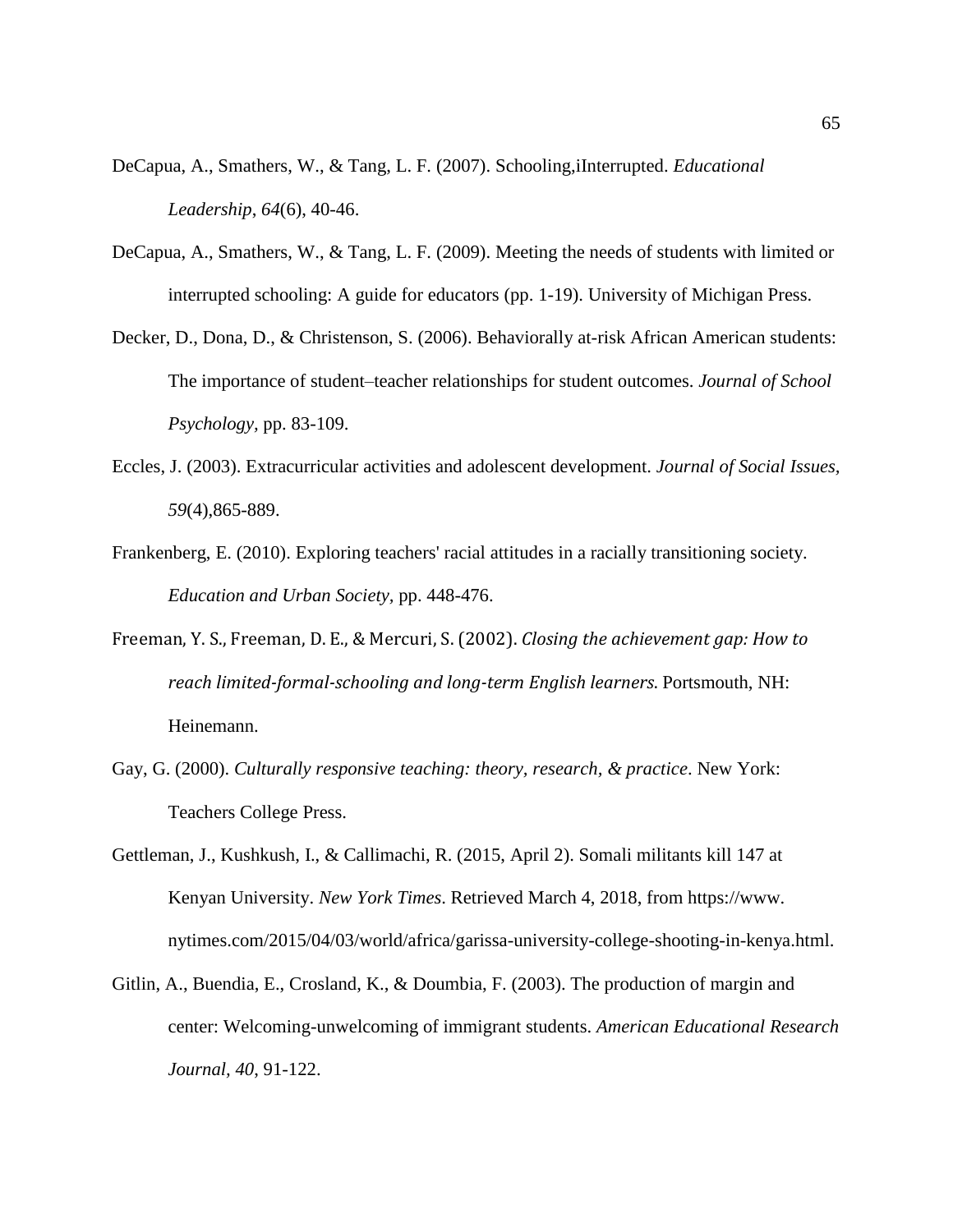- DeCapua, A., Smathers, W., & Tang, L. F. (2007). Schooling,iInterrupted. *Educational Leadership*, *64*(6), 40-46.
- DeCapua, A., Smathers, W., & Tang, L. F. (2009). Meeting the needs of students with limited or interrupted schooling: A guide for educators (pp. 1-19). University of Michigan Press.
- Decker, D., Dona, D., & Christenson, S. (2006). Behaviorally at-risk African American students: The importance of student–teacher relationships for student outcomes. *Journal of School Psychology,* pp. 83-109.
- Eccles, J. (2003). Extracurricular activities and adolescent development. *Journal of Social Issues, 59*(4),865-889.
- Frankenberg, E. (2010). Exploring teachers' racial attitudes in a racially transitioning society. *Education and Urban Society,* pp. 448-476.
- Freeman, Y. S., Freeman, D. E., & Mercuri, S. (2002). *Closing the achievement gap: How to reach limited-formal-schooling and long-term English learners*. Portsmouth, NH: Heinemann.
- Gay, G. (2000). *Culturally responsive teaching: theory, research, & practice*. New York: Teachers College Press.
- Gettleman, J., Kushkush, I., & Callimachi, R. (2015, April 2). Somali militants kill 147 at Kenyan University. *New York Times*. Retrieved March 4, 2018, from [https://www.](https://www/) nytimes.com/2015/04/03/world/africa/garissa-university-college-shooting-in-kenya.html.
- Gitlin, A., Buendia, E., Crosland, K., & Doumbia, F. (2003). The production of margin and center: Welcoming-unwelcoming of immigrant students. *American Educational Research Journal, 40*, 91-122.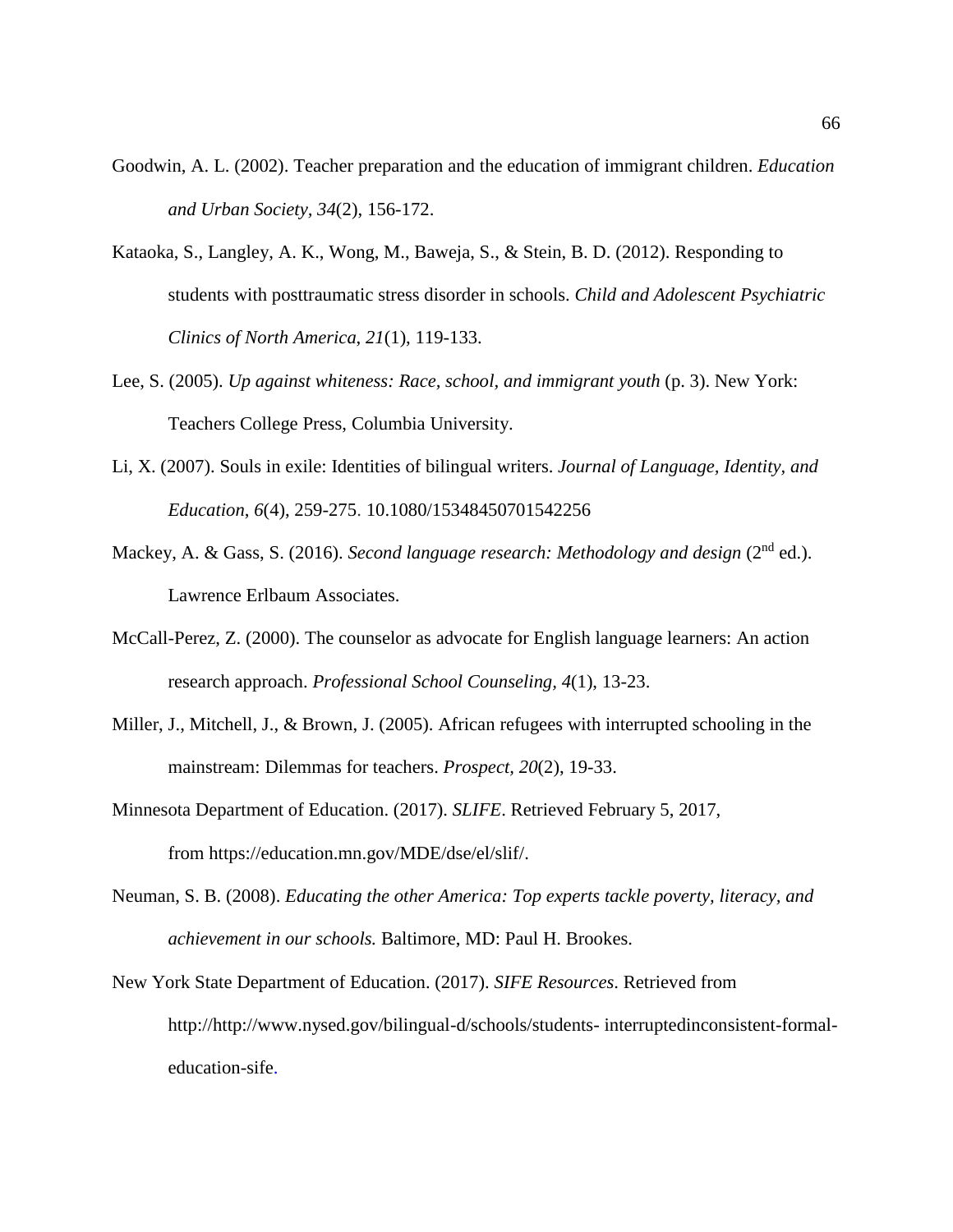- Goodwin, A. L. (2002). Teacher preparation and the education of immigrant children. *Education and Urban Society, 34*(2), 156-172.
- Kataoka, S., Langley, A. K., Wong, M., Baweja, S., & Stein, B. D. (2012). Responding to students with posttraumatic stress disorder in schools. *Child and Adolescent Psychiatric Clinics of North America*, *21*(1), 119-133.
- Lee, S. (2005). *Up against whiteness: Race, school, and immigrant youth* (p. 3). New York: Teachers College Press, Columbia University.
- Li, X. (2007). Souls in exile: Identities of bilingual writers. *Journal of Language, Identity, and Education*, *6*(4), 259-275. 10.1080/15348450701542256
- Mackey, A. & Gass, S. (2016). *Second language research: Methodology and design* (2<sup>nd</sup> ed.). Lawrence Erlbaum Associates.
- McCall-Perez, Z. (2000). The counselor as advocate for English language learners: An action research approach. *Professional School Counseling, 4*(1), 13-23.
- Miller, J., Mitchell, J., & Brown, J. (2005). African refugees with interrupted schooling in the mainstream: Dilemmas for teachers. *Prospect, 20*(2), 19-33.
- Minnesota Department of Education. (2017). *SLIFE*. Retrieved February 5, 2017, from [https://education.mn.gov/MDE/dse/el/slif/.](https://education.mn.gov/MDE/dse/el/slif/)
- Neuman, S. B. (2008). *Educating the other America: Top experts tackle poverty, literacy, and achievement in our schools.* Baltimore, MD: Paul H. Brookes.
- New York State Department of Education. (2017). *SIFE Resources*. Retrieved from http:/[/http://www.nysed.gov/bilingual-d/schools/students-](http://www.nysed.gov/bilingual-d/schools/students-%20interruptedinconsistent-formal-education-sife) interruptedinconsistent-formal[education-sife.](http://www.nysed.gov/bilingual-d/schools/students-%20interruptedinconsistent-formal-education-sife)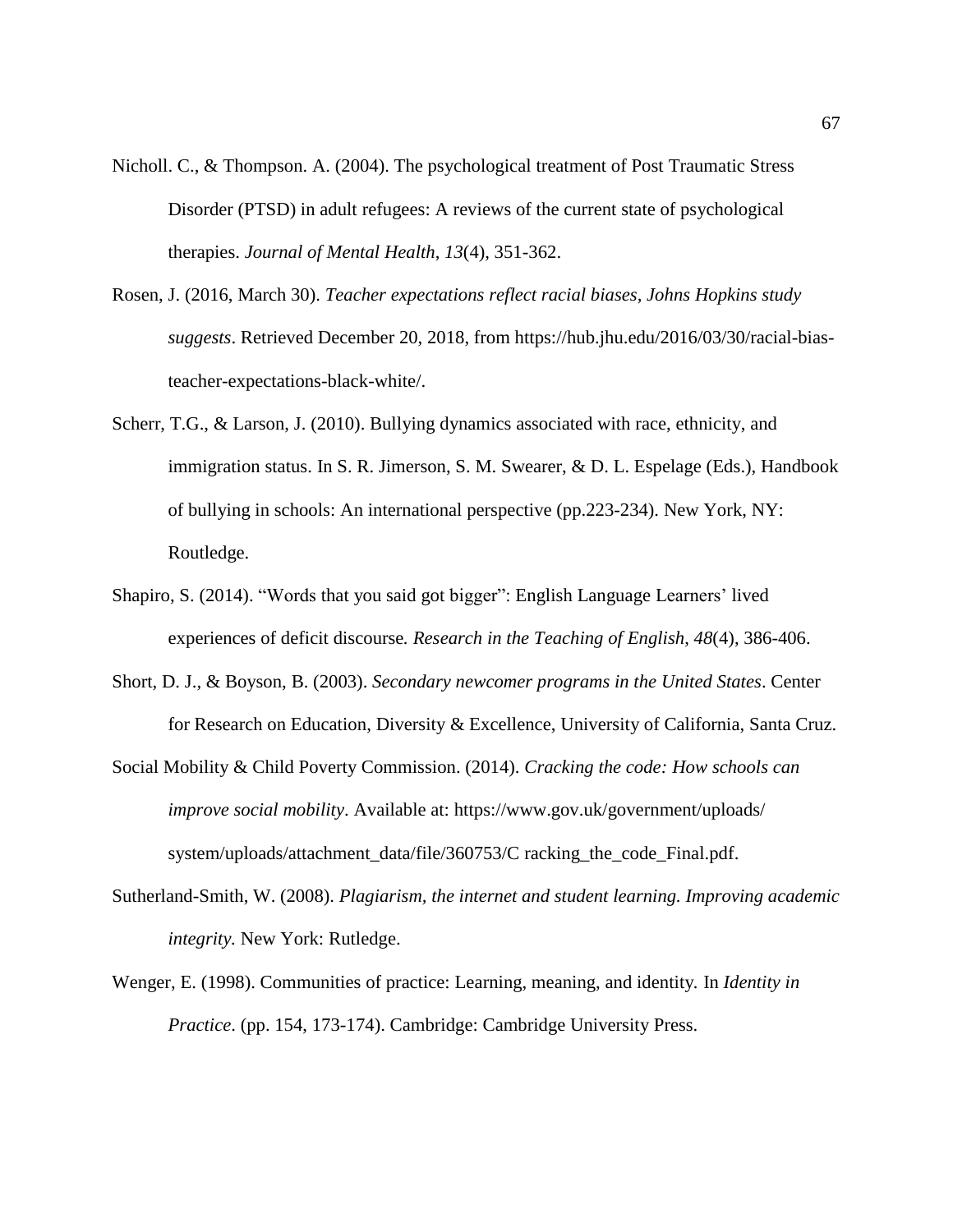- Nicholl. C., & Thompson. A. (2004). The psychological treatment of Post Traumatic Stress Disorder (PTSD) in adult refugees: A reviews of the current state of psychological therapies. *Journal of Mental Health*, *13*(4), 351-362.
- Rosen, J. (2016, March 30). *Teacher expectations reflect racial biases, Johns Hopkins study suggests*. Retrieved December 20, 2018, from https://hub.jhu.edu/2016/03/30/racial-biasteacher-expectations-black-white/.
- Scherr, T.G., & Larson, J. (2010). Bullying dynamics associated with race, ethnicity, and immigration status. In S. R. Jimerson, S. M. Swearer, & D. L. Espelage (Eds.), Handbook of bullying in schools: An international perspective (pp.223-234). New York, NY: Routledge.
- Shapiro, S. (2014). "Words that you said got bigger": English Language Learners' lived experiences of deficit discourse*. Research in the Teaching of English*, *48*(4), 386-406.
- Short, D. J., & Boyson, B. (2003). *Secondary newcomer programs in the United States*. Center for Research on Education, Diversity & Excellence, University of California, Santa Cruz.
- Social Mobility & Child Poverty Commission. (2014). *Cracking the code: How schools can improve social mobility*. Available at: [https://www.gov.uk/government/uploads/](https://www.gov.uk/government/uploads/%20system/uploads/attachment_data/file/360753/C) [system/uploads/attachment\\_data/file/360753/C](https://www.gov.uk/government/uploads/%20system/uploads/attachment_data/file/360753/C) racking\_the\_code\_Final.pdf.
- Sutherland-Smith, W. (2008). *Plagiarism, the internet and student learning. Improving academic integrity.* New York: Rutledge.
- Wenger, E. (1998). Communities of practice: Learning, meaning, and identity*.* In *Identity in Practice*. (pp. 154, 173-174). Cambridge: Cambridge University Press.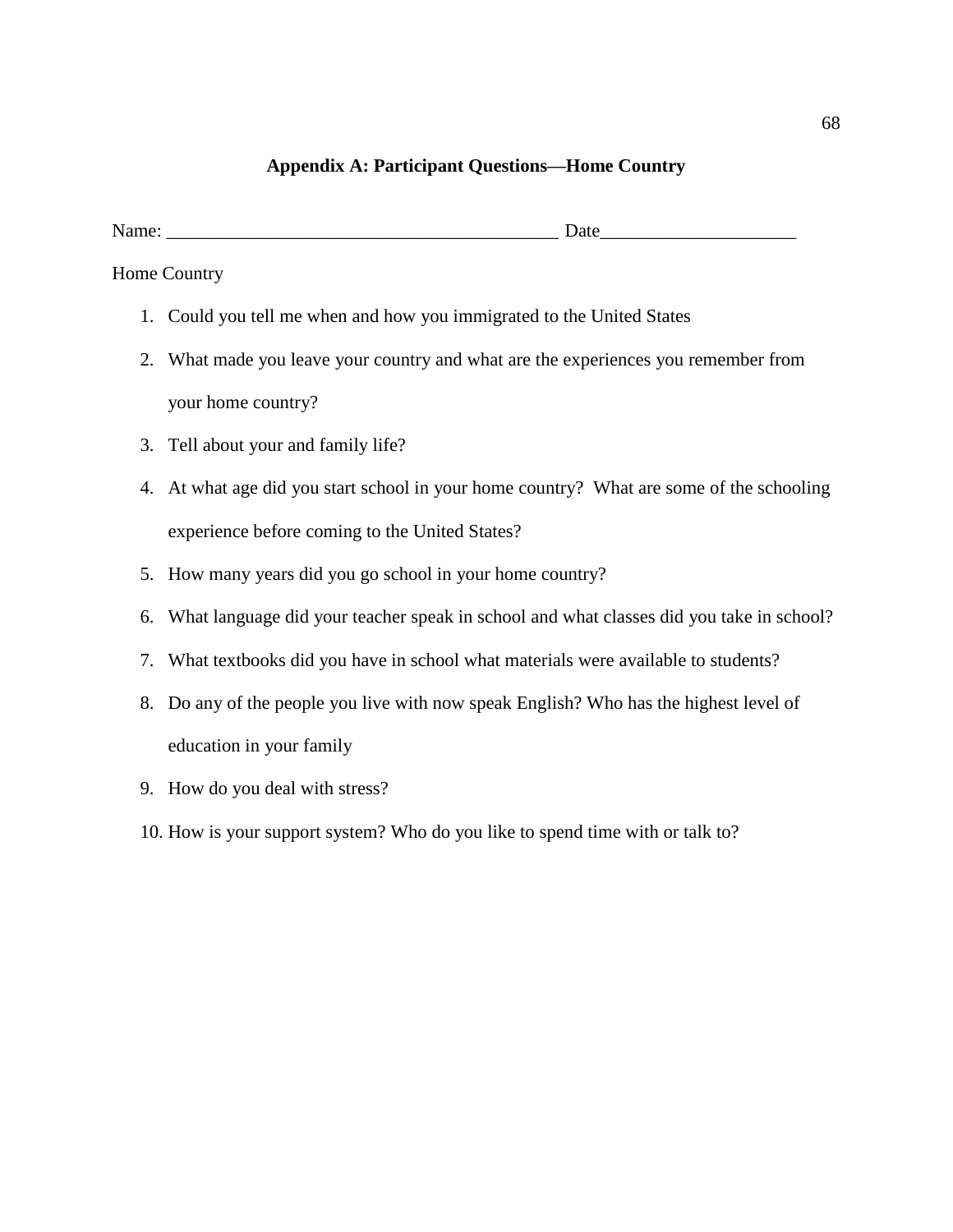# **Appendix A: Participant Questions—Home Country**

Home Country

- 1. Could you tell me when and how you immigrated to the United States
- 2. What made you leave your country and what are the experiences you remember from your home country?
- 3. Tell about your and family life?
- 4. At what age did you start school in your home country? What are some of the schooling experience before coming to the United States?
- 5. How many years did you go school in your home country?
- 6. What language did your teacher speak in school and what classes did you take in school?
- 7. What textbooks did you have in school what materials were available to students?
- 8. Do any of the people you live with now speak English? Who has the highest level of education in your family
- 9. How do you deal with stress?
- 10. How is your support system? Who do you like to spend time with or talk to?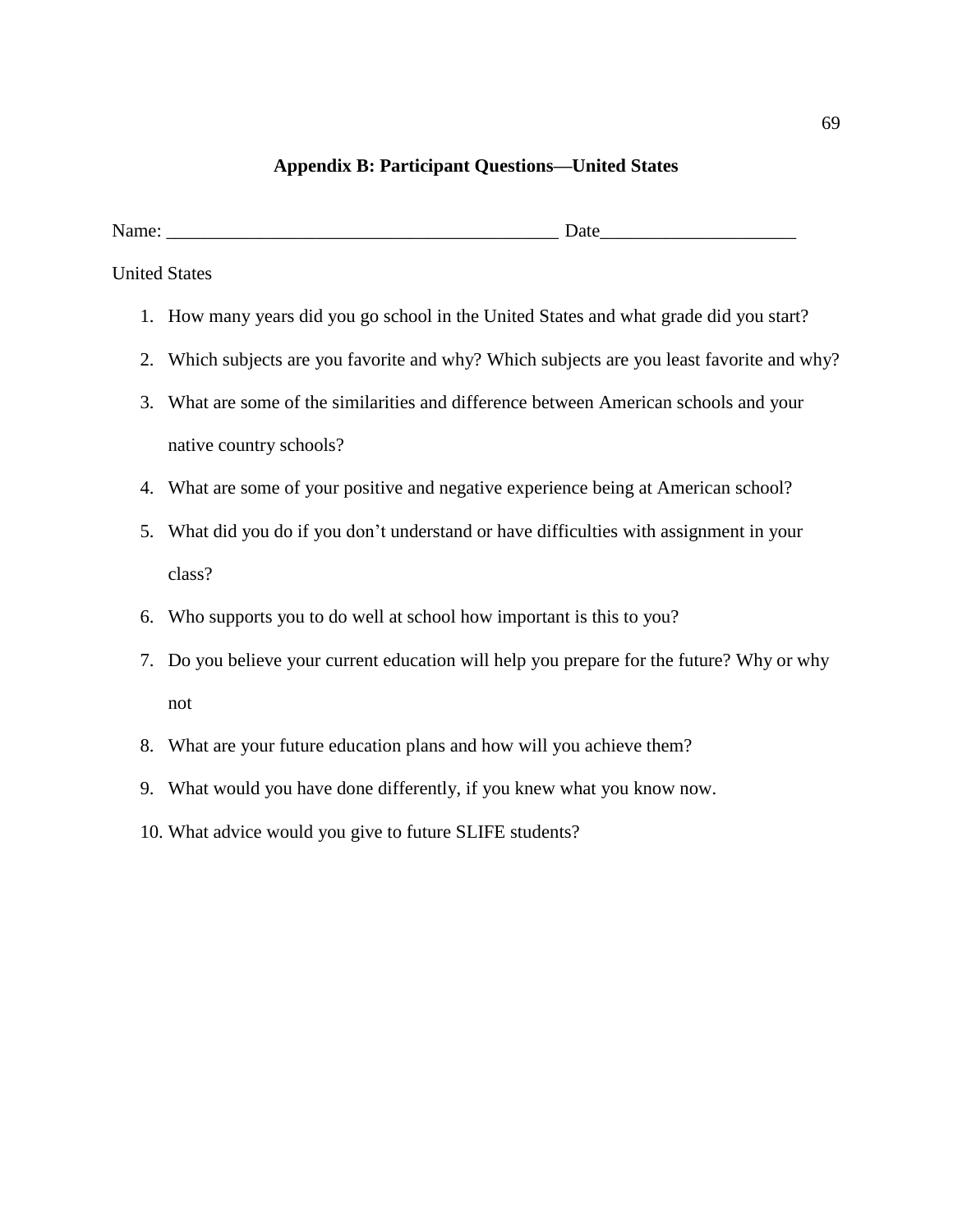# **Appendix B: Participant Questions—United States**

| ъ | --- |
|---|-----|
|   |     |

United States

- 1. How many years did you go school in the United States and what grade did you start?
- 2. Which subjects are you favorite and why? Which subjects are you least favorite and why?
- 3. What are some of the similarities and difference between American schools and your native country schools?
- 4. What are some of your positive and negative experience being at American school?
- 5. What did you do if you don't understand or have difficulties with assignment in your class?
- 6. Who supports you to do well at school how important is this to you?
- 7. Do you believe your current education will help you prepare for the future? Why or why not
- 8. What are your future education plans and how will you achieve them?
- 9. What would you have done differently, if you knew what you know now.
- 10. What advice would you give to future SLIFE students?